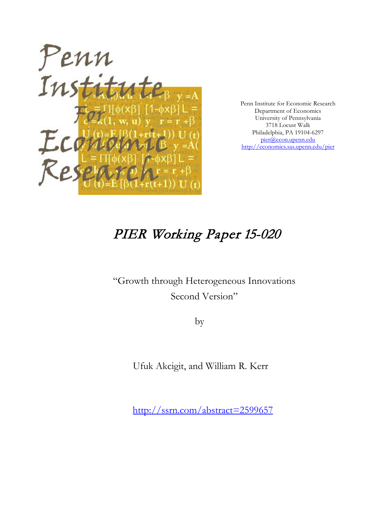

Penn Institute for Economic Research Department of Economics University of Pennsylvania 3718 Locust Walk Philadelphia, PA 19104-6297 [pier@econ.upenn.edu](mailto:pier@econ.upenn.edu) <http://economics.sas.upenn.edu/pier>

# PIER Working Paper 15-020

"Growth through Heterogeneous Innovations Second Version"

by

Ufuk Akcigit, and William R. Kerr

[http://ssrn.com/abstract=2](http://ssrn.com/abstract_id=)599657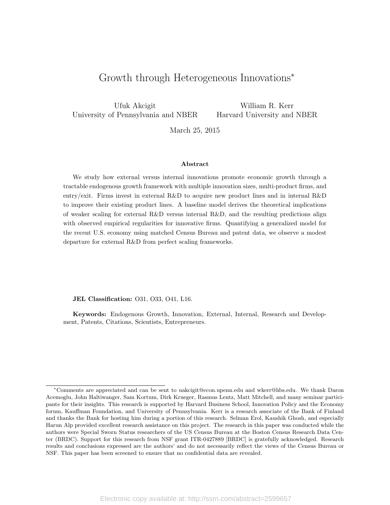# Growth through Heterogeneous Innovations<sup>∗</sup>

Ufuk Akcigit University of Pennsylvania and NBER

William R. Kerr Harvard University and NBER

March 25, 2015

#### Abstract

We study how external versus internal innovations promote economic growth through a tractable endogenous growth framework with multiple innovation sizes, multi-product firms, and entry/exit. Firms invest in external R&D to acquire new product lines and in internal R&D to improve their existing product lines. A baseline model derives the theoretical implications of weaker scaling for external R&D versus internal R&D, and the resulting predictions align with observed empirical regularities for innovative firms. Quantifying a generalized model for the recent U.S. economy using matched Census Bureau and patent data, we observe a modest departure for external R&D from perfect scaling frameworks.

JEL Classification: O31, O33, O41, L16.

Keywords: Endogenous Growth, Innovation, External, Internal, Research and Development, Patents, Citations, Scientists, Entrepreneurs.

<sup>∗</sup>Comments are appreciated and can be sent to uakcigit@econ.upenn.edu and wkerr@hbs.edu. We thank Daron Acemoglu, John Haltiwanger, Sam Kortum, Dirk Krueger, Rasmus Lentz, Matt Mitchell, and many seminar participants for their insights. This research is supported by Harvard Business School, Innovation Policy and the Economy forum, Kauffman Foundation, and University of Pennsylvania. Kerr is a research associate of the Bank of Finland and thanks the Bank for hosting him during a portion of this research. Selman Erol, Kaushik Ghosh, and especially Harun Alp provided excellent research assistance on this project. The research in this paper was conducted while the authors were Special Sworn Status researchers of the US Census Bureau at the Boston Census Research Data Center (BRDC). Support for this research from NSF grant ITR-0427889 [BRDC] is gratefully acknowledged. Research results and conclusions expressed are the authors' and do not necessarily reflect the views of the Census Bureau or NSF. This paper has been screened to ensure that no confidential data are revealed.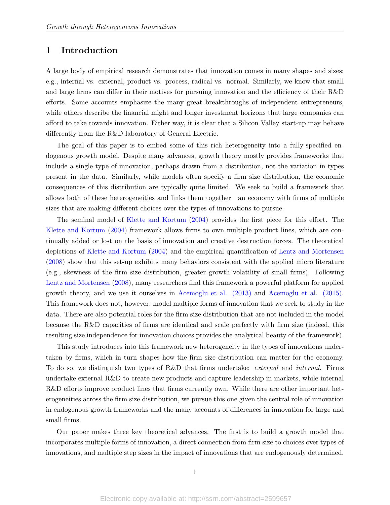# 1 Introduction

A large body of empirical research demonstrates that innovation comes in many shapes and sizes: e.g., internal vs. external, product vs. process, radical vs. normal. Similarly, we know that small and large firms can differ in their motives for pursuing innovation and the efficiency of their R&D efforts. Some accounts emphasize the many great breakthroughs of independent entrepreneurs, while others describe the financial might and longer investment horizons that large companies can afford to take towards innovation. Either way, it is clear that a Silicon Valley start-up may behave differently from the R&D laboratory of General Electric.

The goal of this paper is to embed some of this rich heterogeneity into a fully-specified endogenous growth model. Despite many advances, growth theory mostly provides frameworks that include a single type of innovation, perhaps drawn from a distribution, not the variation in types present in the data. Similarly, while models often specify a firm size distribution, the economic consequences of this distribution are typically quite limited. We seek to build a framework that allows both of these heterogeneities and links them together—an economy with firms of multiple sizes that are making different choices over the types of innovations to pursue.

The seminal model of [Klette and Kortum](#page-46-0) [\(2004\)](#page-46-0) provides the first piece for this effort. The [Klette and Kortum](#page-46-0) [\(2004\)](#page-46-0) framework allows firms to own multiple product lines, which are continually added or lost on the basis of innovation and creative destruction forces. The theoretical depictions of [Klette and Kortum](#page-46-0) [\(2004\)](#page-46-0) and the empirical quantification of [Lentz and Mortensen](#page-46-1) [\(2008\)](#page-46-1) show that this set-up exhibits many behaviors consistent with the applied micro literature (e.g., skewness of the firm size distribution, greater growth volatility of small firms). Following [Lentz and Mortensen](#page-46-1) [\(2008\)](#page-46-1), many researchers find this framework a powerful platform for applied growth theory, and we use it ourselves in [Acemoglu et al. \(2013\)](#page-42-0) and [Acemoglu et al. \(2015\).](#page-42-1) This framework does not, however, model multiple forms of innovation that we seek to study in the data. There are also potential roles for the firm size distribution that are not included in the model because the R&D capacities of firms are identical and scale perfectly with firm size (indeed, this resulting size independence for innovation choices provides the analytical beauty of the framework).

This study introduces into this framework new heterogeneity in the types of innovations undertaken by firms, which in turn shapes how the firm size distribution can matter for the economy. To do so, we distinguish two types of R&D that firms undertake: external and internal. Firms undertake external R&D to create new products and capture leadership in markets, while internal R&D efforts improve product lines that firms currently own. While there are other important heterogeneities across the firm size distribution, we pursue this one given the central role of innovation in endogenous growth frameworks and the many accounts of differences in innovation for large and small firms.

Our paper makes three key theoretical advances. The first is to build a growth model that incorporates multiple forms of innovation, a direct connection from firm size to choices over types of innovations, and multiple step sizes in the impact of innovations that are endogenously determined.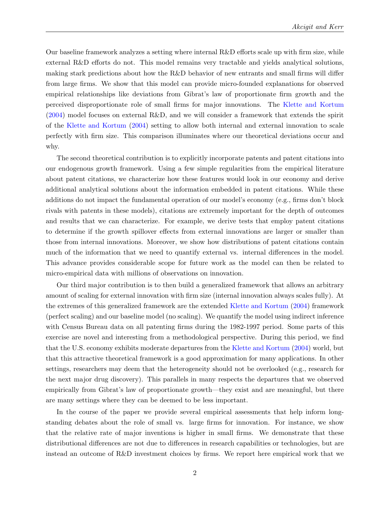Our baseline framework analyzes a setting where internal R&D efforts scale up with firm size, while external R&D efforts do not. This model remains very tractable and yields analytical solutions, making stark predictions about how the R&D behavior of new entrants and small firms will differ from large firms. We show that this model can provide micro-founded explanations for observed empirical relationships like deviations from Gibrat's law of proportionate firm growth and the perceived disproportionate role of small firms for major innovations. The [Klette and Kortum](#page-46-0) [\(2004\)](#page-46-0) model focuses on external R&D, and we will consider a framework that extends the spirit of the [Klette and Kortum](#page-46-0) [\(2004\)](#page-46-0) setting to allow both internal and external innovation to scale perfectly with firm size. This comparison illuminates where our theoretical deviations occur and why.

The second theoretical contribution is to explicitly incorporate patents and patent citations into our endogenous growth framework. Using a few simple regularities from the empirical literature about patent citations, we characterize how these features would look in our economy and derive additional analytical solutions about the information embedded in patent citations. While these additions do not impact the fundamental operation of our model's economy (e.g., firms don't block rivals with patents in these models), citations are extremely important for the depth of outcomes and results that we can characterize. For example, we derive tests that employ patent citations to determine if the growth spillover effects from external innovations are larger or smaller than those from internal innovations. Moreover, we show how distributions of patent citations contain much of the information that we need to quantify external vs. internal differences in the model. This advance provides considerable scope for future work as the model can then be related to micro-empirical data with millions of observations on innovation.

Our third major contribution is to then build a generalized framework that allows an arbitrary amount of scaling for external innovation with firm size (internal innovation always scales fully). At the extremes of this generalized framework are the extended [Klette and Kortum](#page-46-0) [\(2004\)](#page-46-0) framework (perfect scaling) and our baseline model (no scaling). We quantify the model using indirect inference with Census Bureau data on all patenting firms during the 1982-1997 period. Some parts of this exercise are novel and interesting from a methodological perspective. During this period, we find that the U.S. economy exhibits moderate departures from the [Klette and Kortum](#page-46-0) [\(2004\)](#page-46-0) world, but that this attractive theoretical framework is a good approximation for many applications. In other settings, researchers may deem that the heterogeneity should not be overlooked (e.g., research for the next major drug discovery). This parallels in many respects the departures that we observed empirically from Gibrat's law of proportionate growth—they exist and are meaningful, but there are many settings where they can be deemed to be less important.

In the course of the paper we provide several empirical assessments that help inform longstanding debates about the role of small vs. large firms for innovation. For instance, we show that the relative rate of major inventions is higher in small firms. We demonstrate that these distributional differences are not due to differences in research capabilities or technologies, but are instead an outcome of R&D investment choices by firms. We report here empirical work that we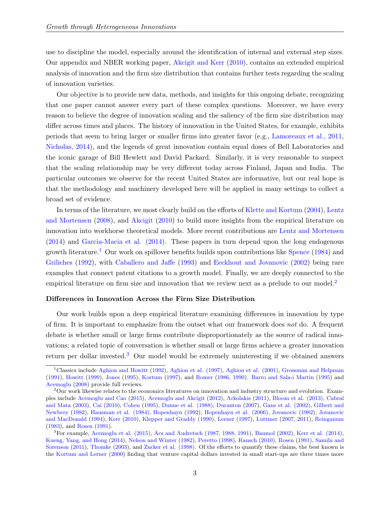use to discipline the model, especially around the identification of internal and external step sizes. Our appendix and NBER working paper, [Akcigit and Kerr](#page-42-2) [\(2010\)](#page-42-2), contains an extended empirical analysis of innovation and the firm size distribution that contains further tests regarding the scaling of innovation varieties.

Our objective is to provide new data, methods, and insights for this ongoing debate, recognizing that one paper cannot answer every part of these complex questions. Moreover, we have every reason to believe the degree of innovation scaling and the saliency of the firm size distribution may differ across times and places. The history of innovation in the United States, for example, exhibits periods that seem to bring larger or smaller firms into greater favor (e.g., [Lamoreaux et al., 2011,](#page-46-2) [Nicholas, 2014\)](#page-47-0), and the legends of great innovation contain equal doses of Bell Laboratories and the iconic garage of Bill Hewlett and David Packard. Similarly, it is very reasonable to suspect that the scaling relationship may be very different today across Finland, Japan and India. The particular outcomes we observe for the recent United States are informative, but our real hope is that the methodology and machinery developed here will be applied in many settings to collect a broad set of evidence.

In terms of the literature, we most clearly build on the efforts of [Klette and Kortum](#page-46-0) [\(2004\)](#page-46-0), [Lentz](#page-46-1) [and Mortensen](#page-46-1) [\(2008\)](#page-46-1), and [Akcigit](#page-42-3) [\(2010\)](#page-42-3) to build more insights from the empirical literature on innovation into workhorse theoretical models. More recent contributions are [Lentz and Mortensen](#page-46-3) [\(2014\)](#page-46-3) and [Garcia-Macia et al. \(2014\).](#page-44-0) These papers in turn depend upon the long endogenous growth literature.<sup>[1](#page-4-0)</sup> Our work on spillover benefits builds upon contributions like [Spence](#page-47-1)  $(1984)$  and [Griliches](#page-44-1) [\(1992\)](#page-44-1), with [Caballero and Jaffe](#page-43-0) [\(1993\)](#page-43-0) and [Eeckhout and Jovanovic](#page-43-1) [\(2002\)](#page-43-1) being rare examples that connect patent citations to a growth model. Finally, we are deeply connected to the empirical literature on firm size and innovation that we review next as a prelude to our model.<sup>[2](#page-4-1)</sup>

#### Differences in Innovation Across the Firm Size Distribution

Our work builds upon a deep empirical literature examining differences in innovation by type of firm. It is important to emphasize from the outset what our framework does not do. A frequent debate is whether small or large firms contribute disproportionately as the source of radical innovations; a related topic of conversation is whether small or large firms achieve a greater innovation return per dollar invested.[3](#page-4-2) Our model would be extremely uninteresting if we obtained answers

<span id="page-4-0"></span><sup>&</sup>lt;sup>1</sup>Classics include [Aghion and Howitt](#page-42-4) [\(1992\)](#page-42-4), [Aghion et al. \(1997\),](#page-42-5) [Aghion et al. \(2001\),](#page-42-6) [Grossman and Helpman](#page-44-2) [\(1991\)](#page-44-2), [Howitt](#page-45-0) [\(1999\)](#page-45-0), [Jones](#page-45-1) [\(1995\)](#page-45-1), [Kortum](#page-46-4) [\(1997\)](#page-46-4), and [Romer](#page-47-2) [\(1986,](#page-47-2) [1990\)](#page-47-3). [Barro and Sala-i Martin](#page-42-7) [\(1995\)](#page-42-7) and [Acemoglu](#page-42-8) [\(2008\)](#page-42-8) provide full reviews.

<span id="page-4-1"></span><sup>&</sup>lt;sup>2</sup>Our work likewise relates to the economics literatures on innovation and industry structure and evolution. Examples include [Acemoglu and Cao](#page-42-9) [\(2015\)](#page-42-9), [Acemoglu and Akcigit](#page-42-10) [\(2012\)](#page-42-10), [Arkolakis](#page-42-11) [\(2011\)](#page-42-11), [Bloom et al. \(2013\),](#page-43-2) [Cabral](#page-43-3) [and Mata](#page-43-3) [\(2003\)](#page-43-3), [Cai](#page-43-4) [\(2010\)](#page-43-4), [Cohen](#page-43-5) [\(1995\)](#page-43-5), [Dunne et al. \(1988\),](#page-43-6) [Duranton](#page-43-7) [\(2007\)](#page-43-7), [Gans et al. \(2002\),](#page-44-3) [Gilbert and](#page-44-4) [Newbery](#page-44-4) [\(1982\)](#page-44-4), [Hausman et al. \(1984\),](#page-44-5) [Hopenhayn](#page-45-2) [\(1992\)](#page-45-2), [Hopenhayn et al. \(2006\),](#page-45-3) [Jovanovic](#page-45-4) [\(1982\)](#page-45-4), [Jovanovic](#page-45-5) [and MacDonald](#page-45-5) [\(1994\)](#page-45-5), [Kerr](#page-45-6) [\(2010\)](#page-45-6), [Klepper and Graddy](#page-46-5) [\(1990\)](#page-46-5), [Lerner](#page-46-6) [\(1997\)](#page-46-6), [Luttmer](#page-46-7) [\(2007,](#page-46-7) [2011\)](#page-46-8), [Reinganum](#page-47-4) [\(1983\)](#page-47-4), and [Rosen](#page-47-5) [\(1991\)](#page-47-5).

<span id="page-4-2"></span><sup>3</sup>For example, [Acemoglu et al. \(2015\),](#page-42-1) [Acs and Audretsch](#page-42-12) [\(1987,](#page-42-12) [1988,](#page-42-13) [1991\)](#page-42-14), [Baumol](#page-43-8) [\(2002\)](#page-43-8), [Kerr et al. \(2014\),](#page-45-7) [Kueng, Yang, and Hong](#page-46-9) [\(2014\)](#page-46-9), [Nelson and Winter](#page-47-6) [\(1982\)](#page-47-6), [Peretto](#page-47-7) [\(1998\)](#page-47-7), [Rausch](#page-47-8) [\(2010\)](#page-47-8), [Rosen](#page-47-5) [\(1991\)](#page-47-5), [Samila and](#page-47-9) [Sorenson](#page-47-9) [\(2011\)](#page-47-9), [Thomke](#page-47-10) [\(2003\)](#page-47-10), and [Zucker et al. \(1998\).](#page-47-11) Of the efforts to quantify these claims, the best known is the [Kortum and Lerner](#page-46-10) [\(2000\)](#page-46-10) finding that venture capital dollars invested in small start-ups are three times more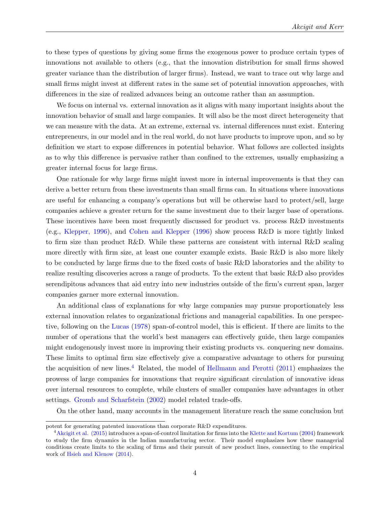to these types of questions by giving some firms the exogenous power to produce certain types of innovations not available to others (e.g., that the innovation distribution for small firms showed greater variance than the distribution of larger firms). Instead, we want to trace out why large and small firms might invest at different rates in the same set of potential innovation approaches, with differences in the size of realized advances being an outcome rather than an assumption.

We focus on internal vs. external innovation as it aligns with many important insights about the innovation behavior of small and large companies. It will also be the most direct heterogeneity that we can measure with the data. At an extreme, external vs. internal differences must exist. Entering entrepreneurs, in our model and in the real world, do not have products to improve upon, and so by definition we start to expose differences in potential behavior. What follows are collected insights as to why this difference is pervasive rather than confined to the extremes, usually emphasizing a greater internal focus for large firms.

One rationale for why large firms might invest more in internal improvements is that they can derive a better return from these investments than small firms can. In situations where innovations are useful for enhancing a company's operations but will be otherwise hard to protect/sell, large companies achieve a greater return for the same investment due to their larger base of operations. These incentives have been most frequently discussed for product vs. process R&D investments (e.g., [Klepper, 1996\)](#page-45-8), and [Cohen and Klepper](#page-43-9) [\(1996\)](#page-43-9) show process R&D is more tightly linked to firm size than product R&D. While these patterns are consistent with internal R&D scaling more directly with firm size, at least one counter example exists. Basic R&D is also more likely to be conducted by large firms due to the fixed costs of basic R&D laboratories and the ability to realize resulting discoveries across a range of products. To the extent that basic R&D also provides serendipitous advances that aid entry into new industries outside of the firm's current span, larger companies garner more external innovation.

An additional class of explanations for why large companies may pursue proportionately less external innovation relates to organizational frictions and managerial capabilities. In one perspective, following on the [Lucas](#page-46-11) [\(1978\)](#page-46-11) span-of-control model, this is efficient. If there are limits to the number of operations that the world's best managers can effectively guide, then large companies might endogenously invest more in improving their existing products vs. conquering new domains. These limits to optimal firm size effectively give a comparative advantage to others for pursuing the acquisition of new lines.<sup>[4](#page-5-0)</sup> Related, the model of [Hellmann and Perotti](#page-44-6)  $(2011)$  emphasizes the prowess of large companies for innovations that require significant circulation of innovative ideas over internal resources to complete, while clusters of smaller companies have advantages in other settings. [Gromb and Scharfstein](#page-44-7) [\(2002\)](#page-44-7) model related trade-offs.

On the other hand, many accounts in the management literature reach the same conclusion but

potent for generating patented innovations than corporate R&D expenditures.

<span id="page-5-0"></span><sup>4</sup>[Akcigit et al. \(2015\)](#page-42-15) introduces a span-of-control limitation for firms into the [Klette and Kortum](#page-46-0) [\(2004\)](#page-46-0) framework to study the firm dynamics in the Indian manufacturing sector. Their model emphasizes how these managerial conditions create limits to the scaling of firms and their pursuit of new product lines, connecting to the empirical work of [Hsieh and Klenow](#page-45-9) [\(2014\)](#page-45-9).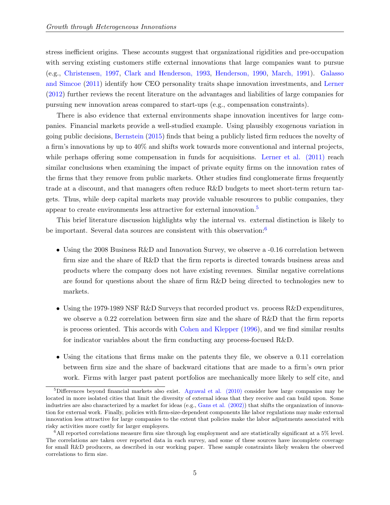stress inefficient origins. These accounts suggest that organizational rigidities and pre-occupation with serving existing customers stifle external innovations that large companies want to pursue (e.g., [Christensen, 1997,](#page-43-10) [Clark and Henderson, 1993,](#page-45-10) [Henderson, 1990,](#page-45-11) [March, 1991\)](#page-46-12). [Galasso](#page-44-8) [and Simcoe](#page-44-8) [\(2011\)](#page-44-8) identify how CEO personality traits shape innovation investments, and [Lerner](#page-46-13) [\(2012\)](#page-46-13) further reviews the recent literature on the advantages and liabilities of large companies for pursuing new innovation areas compared to start-ups (e.g., compensation constraints).

There is also evidence that external environments shape innovation incentives for large companies. Financial markets provide a well-studied example. Using plausibly exogenous variation in going public decisions, [Bernstein](#page-43-11) [\(2015\)](#page-43-11) finds that being a publicly listed firm reduces the novelty of a firm's innovations by up to 40% and shifts work towards more conventional and internal projects, while perhaps offering some compensation in funds for acquisitions. Lerner et al.  $(2011)$  reach similar conclusions when examining the impact of private equity firms on the innovation rates of the firms that they remove from public markets. Other studies find conglomerate firms frequently trade at a discount, and that managers often reduce R&D budgets to meet short-term return targets. Thus, while deep capital markets may provide valuable resources to public companies, they appear to create environments less attractive for external innovation.[5](#page-6-0)

This brief literature discussion highlights why the internal vs. external distinction is likely to be important. Several data sources are consistent with this observation:<sup>[6](#page-6-1)</sup>

- Using the 2008 Business R&D and Innovation Survey, we observe a -0.16 correlation between firm size and the share of R&D that the firm reports is directed towards business areas and products where the company does not have existing revenues. Similar negative correlations are found for questions about the share of firm R&D being directed to technologies new to markets.
- Using the 1979-1989 NSF R&D Surveys that recorded product vs. process R&D expenditures, we observe a 0.22 correlation between firm size and the share of R&D that the firm reports is process oriented. This accords with [Cohen and Klepper](#page-43-9) [\(1996\)](#page-43-9), and we find similar results for indicator variables about the firm conducting any process-focused R&D.
- Using the citations that firms make on the patents they file, we observe a 0.11 correlation between firm size and the share of backward citations that are made to a firm's own prior work. Firms with larger past patent portfolios are mechanically more likely to self cite, and

<span id="page-6-0"></span><sup>&</sup>lt;sup>5</sup>Differences beyond financial markets also exist. [Agrawal et al. \(2010\)](#page-42-16) consider how large companies may be located in more isolated cities that limit the diversity of external ideas that they receive and can build upon. Some industries are also characterized by a market for ideas (e.g., [Gans et al. \(2002\)\)](#page-44-3) that shifts the organization of innovation for external work. Finally, policies with firm-size-dependent components like labor regulations may make external innovation less attractive for large companies to the extent that policies make the labor adjustments associated with risky activities more costly for larger employers.

<span id="page-6-1"></span> $6$ All reported correlations measure firm size through log employment and are statistically significant at a 5% level. The correlations are taken over reported data in each survey, and some of these sources have incomplete coverage for small R&D producers, as described in our working paper. These sample constraints likely weaken the observed correlations to firm size.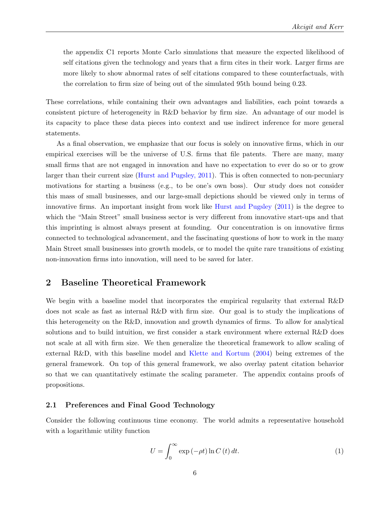the appendix C1 reports Monte Carlo simulations that measure the expected likelihood of self citations given the technology and years that a firm cites in their work. Larger firms are more likely to show abnormal rates of self citations compared to these counterfactuals, with the correlation to firm size of being out of the simulated 95th bound being 0.23.

These correlations, while containing their own advantages and liabilities, each point towards a consistent picture of heterogeneity in R&D behavior by firm size. An advantage of our model is its capacity to place these data pieces into context and use indirect inference for more general statements.

As a final observation, we emphasize that our focus is solely on innovative firms, which in our empirical exercises will be the universe of U.S. firms that file patents. There are many, many small firms that are not engaged in innovation and have no expectation to ever do so or to grow larger than their current size [\(Hurst and Pugsley, 2011\)](#page-45-12). This is often connected to non-pecuniary motivations for starting a business (e.g., to be one's own boss). Our study does not consider this mass of small businesses, and our large-small depictions should be viewed only in terms of innovative firms. An important insight from work like [Hurst and Pugsley](#page-45-12) [\(2011\)](#page-45-12) is the degree to which the "Main Street" small business sector is very different from innovative start-ups and that this imprinting is almost always present at founding. Our concentration is on innovative firms connected to technological advancement, and the fascinating questions of how to work in the many Main Street small businesses into growth models, or to model the quite rare transitions of existing non-innovation firms into innovation, will need to be saved for later.

## <span id="page-7-0"></span>2 Baseline Theoretical Framework

We begin with a baseline model that incorporates the empirical regularity that external R&D does not scale as fast as internal R&D with firm size. Our goal is to study the implications of this heterogeneity on the R&D, innovation and growth dynamics of firms. To allow for analytical solutions and to build intuition, we first consider a stark environment where external R&D does not scale at all with firm size. We then generalize the theoretical framework to allow scaling of external R&D, with this baseline model and [Klette and Kortum](#page-46-0) [\(2004\)](#page-46-0) being extremes of the general framework. On top of this general framework, we also overlay patent citation behavior so that we can quantitatively estimate the scaling parameter. The appendix contains proofs of propositions.

#### 2.1 Preferences and Final Good Technology

Consider the following continuous time economy. The world admits a representative household with a logarithmic utility function

$$
U = \int_0^\infty \exp(-\rho t) \ln C(t) dt.
$$
 (1)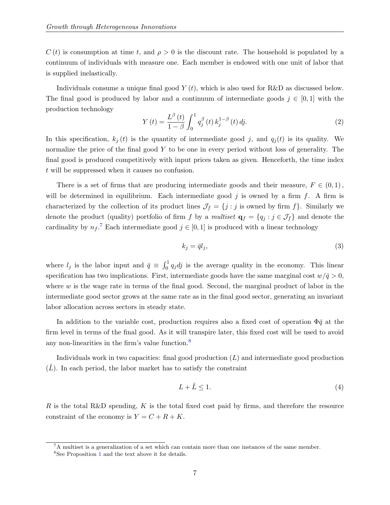$C(t)$  is consumption at time t, and  $\rho > 0$  is the discount rate. The household is populated by a continuum of individuals with measure one. Each member is endowed with one unit of labor that is supplied inelastically.

Individuals consume a unique final good  $Y(t)$ , which is also used for R&D as discussed below. The final good is produced by labor and a continuum of intermediate goods  $j \in [0,1]$  with the production technology

$$
Y(t) = \frac{L^{\beta}(t)}{1-\beta} \int_0^1 q_j^{\beta}(t) k_j^{1-\beta}(t) \, dj. \tag{2}
$$

In this specification,  $k_j(t)$  is the quantity of intermediate good j, and  $q_i(t)$  is its quality. We normalize the price of the final good Y to be one in every period without loss of generality. The final good is produced competitively with input prices taken as given. Henceforth, the time index t will be suppressed when it causes no confusion.

There is a set of firms that are producing intermediate goods and their measure,  $F \in (0,1)$ , will be determined in equilibrium. Each intermediate good  $j$  is owned by a firm  $f$ . A firm is characterized by the collection of its product lines  $\mathcal{J}_f = \{j : j \text{ is owned by firm } f\}.$  Similarly we denote the product (quality) portfolio of firm f by a multiset  $\mathbf{q}_f = \{q_j : j \in \mathcal{J}_f\}$  and denote the cardinality by  $n_f$ .<sup>[7](#page-8-0)</sup> Each intermediate good  $j \in [0, 1]$  is produced with a linear technology

<span id="page-8-2"></span>
$$
k_j = \bar{q}l_j,\tag{3}
$$

where  $l_j$  is the labor input and  $\bar{q} \equiv \int_0^1 q_j \, dj$  is the average quality in the economy. This linear specification has two implications. First, intermediate goods have the same marginal cost  $w/\bar{q} > 0$ , where  $w$  is the wage rate in terms of the final good. Second, the marginal product of labor in the intermediate good sector grows at the same rate as in the final good sector, generating an invariant labor allocation across sectors in steady state.

In addition to the variable cost, production requires also a fixed cost of operation  $\Phi \bar{q}$  at the firm level in terms of the final good. As it will transpire later, this fixed cost will be used to avoid any non-linearities in the firm's value function.[8](#page-8-1)

Individuals work in two capacities: final good production  $(L)$  and intermediate good production  $(L)$ . In each period, the labor market has to satisfy the constraint

<span id="page-8-3"></span>
$$
L + \tilde{L} \le 1. \tag{4}
$$

R is the total R&D spending, K is the total fixed cost paid by firms, and therefore the resource constraint of the economy is  $Y = C + R + K$ .

<span id="page-8-0"></span><sup>7</sup>A multiset is a generalization of a set which can contain more than one instances of the same member.

<span id="page-8-1"></span><sup>8</sup>See Proposition [1](#page-15-0) and the text above it for details.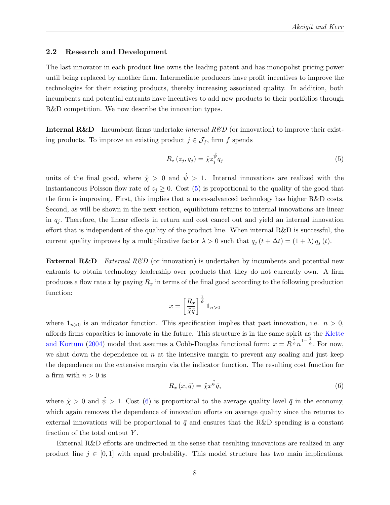#### <span id="page-9-2"></span>2.2 Research and Development

The last innovator in each product line owns the leading patent and has monopolist pricing power until being replaced by another firm. Intermediate producers have profit incentives to improve the technologies for their existing products, thereby increasing associated quality. In addition, both incumbents and potential entrants have incentives to add new products to their portfolios through R&D competition. We now describe the innovation types.

**Internal R&D** Incumbent firms undertake *internal R\BD* (or innovation) to improve their existing products. To improve an existing product  $j \in \mathcal{J}_f$ , firm f spends

<span id="page-9-0"></span>
$$
R_z(z_j, q_j) = \hat{\chi} z_j^{\hat{\psi}} q_j \tag{5}
$$

units of the final good, where  $\hat{\chi} > 0$  and  $\hat{\psi} > 1$ . Internal innovations are realized with the instantaneous Poisson flow rate of  $z_j \geq 0$ . Cost [\(5\)](#page-9-0) is proportional to the quality of the good that the firm is improving. First, this implies that a more-advanced technology has higher R&D costs. Second, as will be shown in the next section, equilibrium returns to internal innovations are linear in  $q_j$ . Therefore, the linear effects in return and cost cancel out and yield an internal innovation effort that is independent of the quality of the product line. When internal R&D is successful, the current quality improves by a multiplicative factor  $\lambda > 0$  such that  $q_j(t + \Delta t) = (1 + \lambda) q_j(t)$ .

**External R&D** External R&D (or innovation) is undertaken by incumbents and potential new entrants to obtain technology leadership over products that they do not currently own. A firm produces a flow rate x by paying  $R_x$  in terms of the final good according to the following production function:

$$
x = \left[\frac{R_x}{\tilde\chi\bar q}\right]^{\frac{1}{\tilde\psi}}{\bf 1}_{n>0}
$$

where  $\mathbf{1}_{n>0}$  is an indicator function. This specification implies that past innovation, i.e.  $n > 0$ , affords firms capacities to innovate in the future. This structure is in the same spirit as the [Klette](#page-46-0) [and Kortum](#page-46-0) [\(2004\)](#page-46-0) model that assumes a Cobb-Douglas functional form:  $x = R^{\frac{1}{\psi}} n^{1-\frac{1}{\psi}}$ . For now, we shut down the dependence on  $n$  at the intensive margin to prevent any scaling and just keep the dependence on the extensive margin via the indicator function. The resulting cost function for a firm with  $n > 0$  is

<span id="page-9-1"></span>
$$
R_x(x,\bar{q}) = \tilde{\chi} x^{\tilde{\psi}} \bar{q},\tag{6}
$$

where  $\tilde{\chi} > 0$  and  $\tilde{\psi} > 1$ . Cost [\(6\)](#page-9-1) is proportional to the average quality level  $\bar{q}$  in the economy, which again removes the dependence of innovation efforts on average quality since the returns to external innovations will be proportional to  $\bar{q}$  and ensures that the R&D spending is a constant fraction of the total output  $Y$ .

External R&D efforts are undirected in the sense that resulting innovations are realized in any product line  $j \in [0, 1]$  with equal probability. This model structure has two main implications.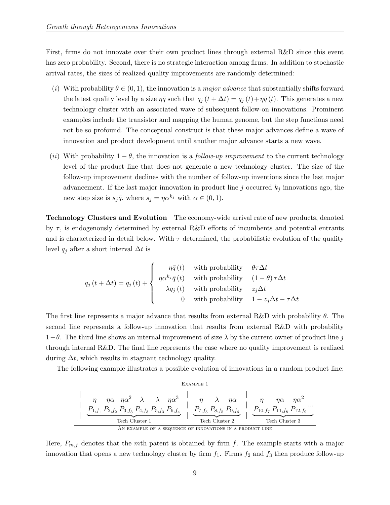First, firms do not innovate over their own product lines through external R&D since this event has zero probability. Second, there is no strategic interaction among firms. In addition to stochastic arrival rates, the sizes of realized quality improvements are randomly determined:

- (i) With probability  $\theta \in (0, 1)$ , the innovation is a *major advance* that substantially shifts forward the latest quality level by a size  $\eta \bar{q}$  such that  $q_j(t + \Delta t) = q_j(t) + \eta \bar{q}(t)$ . This generates a new technology cluster with an associated wave of subsequent follow-on innovations. Prominent examples include the transistor and mapping the human genome, but the step functions need not be so profound. The conceptual construct is that these major advances define a wave of innovation and product development until another major advance starts a new wave.
- (ii) With probability  $1 \theta$ , the innovation is a *follow-up improvement* to the current technology level of the product line that does not generate a new technology cluster. The size of the follow-up improvement declines with the number of follow-up inventions since the last major advancement. If the last major innovation in product line j occurred  $k_j$  innovations ago, the new step size is  $s_j\bar{q}$ , where  $s_j = \eta \alpha^{k_j}$  with  $\alpha \in (0, 1)$ .

Technology Clusters and Evolution The economy-wide arrival rate of new products, denoted by  $\tau$ , is endogenously determined by external R&D efforts of incumbents and potential entrants and is characterized in detail below. With  $\tau$  determined, the probabilistic evolution of the quality level  $q_i$  after a short interval  $\Delta t$  is

$$
q_{j}\left(t+\Delta t\right)=q_{j}\left(t\right)+\left\{\begin{array}{cc} \eta\bar{q}\left(t\right)&\text{with probability} & \theta\tau\Delta t\\ \eta\alpha^{k_{j}}\bar{q}\left(t\right)&\text{with probability} & \left(1-\theta\right)\tau\Delta t\\ \lambda q_{j}\left(t\right)&\text{with probability} & z_{j}\Delta t\\ 0&\text{with probability} & 1-z_{j}\Delta t-\tau\Delta t \end{array}\right.
$$

The first line represents a major advance that results from external R&D with probability  $\theta$ . The second line represents a follow-up innovation that results from external R&D with probability  $1-\theta$ . The third line shows an internal improvement of size  $\lambda$  by the current owner of product line j through internal R&D. The final line represents the case where no quality improvement is realized during  $\Delta t$ , which results in stagnant technology quality.

The following example illustrates a possible evolution of innovations in a random product line:

|                                                                                                                                                                  | EXAMPLE 1                                  |                                                                                                  |
|------------------------------------------------------------------------------------------------------------------------------------------------------------------|--------------------------------------------|--------------------------------------------------------------------------------------------------|
| $\eta \alpha$ $\eta \alpha^2$ $\lambda$ $\lambda$<br>$\eta\alpha^3$<br>$P_{1,f_1}$ $P_{2,f_2}$ $P_{3,f_3}$ $P_{4,f_3}$ $P_{5,f_3}$ $P_{6,f_4}$<br>Tech Cluster 1 | $n\alpha$<br>$P_{7,f_5}$<br>Tech Cluster 2 | $n\alpha^2$<br>$n\alpha$<br>$\cdots$<br>$P_{10,f_7}$ $P_{11,f_8}$ $P_{12,f_9}$<br>Tech Cluster 3 |
| AN EXAMPLE OF A SEQUENCE OF INNOVATIONS IN A PRODUCT LINE                                                                                                        |                                            |                                                                                                  |

Here,  $P_{m,f}$  denotes that the mth patent is obtained by firm f. The example starts with a major innovation that opens a new technology cluster by firm  $f_1$ . Firms  $f_2$  and  $f_3$  then produce follow-up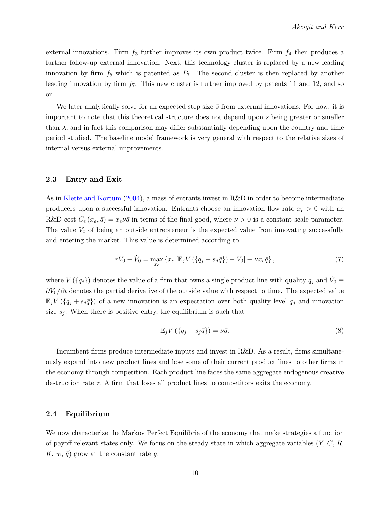external innovations. Firm  $f_3$  further improves its own product twice. Firm  $f_4$  then produces a further follow-up external innovation. Next, this technology cluster is replaced by a new leading innovation by firm  $f_5$  which is patented as  $P_7$ . The second cluster is then replaced by another leading innovation by firm  $f_7$ . This new cluster is further improved by patents 11 and 12, and so on.

We later analytically solve for an expected step size  $\bar{s}$  from external innovations. For now, it is important to note that this theoretical structure does not depend upon  $\bar{s}$  being greater or smaller than  $\lambda$ , and in fact this comparison may differ substantially depending upon the country and time period studied. The baseline model framework is very general with respect to the relative sizes of internal versus external improvements.

#### 2.3 Entry and Exit

As in [Klette and Kortum](#page-46-0) [\(2004\)](#page-46-0), a mass of entrants invest in R&D in order to become intermediate producers upon a successful innovation. Entrants choose an innovation flow rate  $x_e > 0$  with an R&D cost  $C_e(x_e, \bar{q}) = x_e\nu\bar{q}$  in terms of the final good, where  $\nu > 0$  is a constant scale parameter. The value  $V_0$  of being an outside entrepreneur is the expected value from innovating successfully and entering the market. This value is determined according to

$$
rV_0 - \dot{V}_0 = \max_{x_e} \{ x_e \left[ \mathbb{E}_j V \left( \{ q_j + s_j \bar{q} \} \right) - V_0 \right] - \nu x_e \bar{q} \},\tag{7}
$$

where  $V(\lbrace q_j \rbrace)$  denotes the value of a firm that owns a single product line with quality  $q_j$  and  $\dot{V}_0 \equiv$  $\partial V_0/\partial t$  denotes the partial derivative of the outside value with respect to time. The expected value  $\mathbb{E}_j V(\lbrace q_j + s_j \bar{q} \rbrace)$  of a new innovation is an expectation over both quality level  $q_j$  and innovation size  $s_j$ . When there is positive entry, the equilibrium is such that

<span id="page-11-0"></span>
$$
\mathbb{E}_j V\left(\{q_j + s_j \bar{q}\}\right) = \nu \bar{q}.\tag{8}
$$

Incumbent firms produce intermediate inputs and invest in R&D. As a result, firms simultaneously expand into new product lines and lose some of their current product lines to other firms in the economy through competition. Each product line faces the same aggregate endogenous creative destruction rate  $\tau$ . A firm that loses all product lines to competitors exits the economy.

#### 2.4 Equilibrium

We now characterize the Markov Perfect Equilibria of the economy that make strategies a function of payoff relevant states only. We focus on the steady state in which aggregate variables  $(Y, C, R, \mathbb{R})$  $K, w, \bar{q}$  grow at the constant rate g.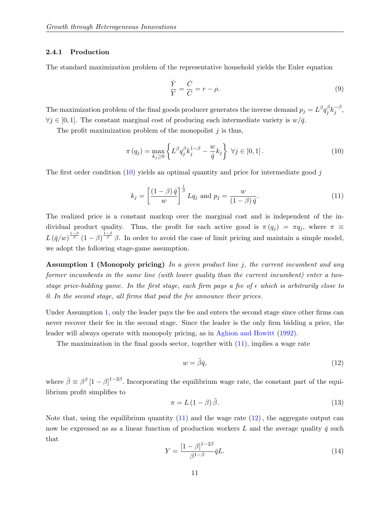#### 2.4.1 Production

The standard maximization problem of the representative household yields the Euler equation

<span id="page-12-5"></span>
$$
\frac{\dot{Y}}{Y} = \frac{\dot{C}}{C} = r - \rho.
$$
\n(9)

The maximization problem of the final goods producer generates the inverse demand  $p_j = L^{\beta} q_j^{\beta}$  $^{\beta}_{j}k_{j}^{-\beta}$  $^{-\rho}_j,$  $\forall j \in [0, 1]$ . The constant marginal cost of producing each intermediate variety is  $w/\bar{q}$ .

The profit maximization problem of the monopolist  $j$  is thus,

<span id="page-12-0"></span>
$$
\pi(q_j) = \max_{k_j \ge 0} \left\{ L^{\beta} q_j^{\beta} k_j^{1-\beta} - \frac{w}{\bar{q}} k_j \right\} \ \forall j \in [0, 1]. \tag{10}
$$

The first order condition  $(10)$  yields an optimal quantity and price for intermediate good j

<span id="page-12-2"></span>
$$
k_j = \left[\frac{(1-\beta)\,\bar{q}}{w}\right]^{\frac{1}{\beta}} Lq_j \text{ and } p_j = \frac{w}{(1-\beta)\,\bar{q}}.\tag{11}
$$

The realized price is a constant markup over the marginal cost and is independent of the individual product quality. Thus, the profit for each active good is  $\pi(q_j) = \pi q_j$ , where  $\pi \equiv$  $L(\bar{q}/w)^{\frac{1-\beta}{\beta}}(1-\beta)^{\frac{1-\beta}{\beta}}\beta$ . In order to avoid the case of limit pricing and maintain a simple model, we adopt the following stage-game assumption.

<span id="page-12-1"></span>Assumption 1 (Monopoly pricing) In a given product line j, the current incumbent and any former incumbents in the same line (with lower quality than the current incumbent) enter a twostage price-bidding game. In the first stage, each firm pays a fee of  $\epsilon$  which is arbitrarily close to 0. In the second stage, all firms that paid the fee announce their prices.

Under Assumption [1,](#page-12-1) only the leader pays the fee and enters the second stage since other firms can never recover their fee in the second stage. Since the leader is the only firm bidding a price, the leader will always operate with monopoly pricing, as in [Aghion and Howitt](#page-42-4) [\(1992\)](#page-42-4).

The maximization in the final goods sector, together with [\(11\)](#page-12-2), implies a wage rate

<span id="page-12-3"></span>
$$
w = \tilde{\beta}\bar{q},\tag{12}
$$

where  $\tilde{\beta} \equiv \beta^{\beta} [1-\beta]^{1-2\beta}$ . Incorporating the equilibrium wage rate, the constant part of the equilibrium profit simplifies to

$$
\pi = L\left(1 - \beta\right)\tilde{\beta}.\tag{13}
$$

Note that, using the equilibrium quantity  $(11)$  and the wage rate  $(12)$ , the aggregate output can now be expressed as as a linear function of production workers L and the average quality  $\bar{q}$  such that

<span id="page-12-4"></span>
$$
Y = \frac{\left[1 - \beta\right]^{1 - 2\beta}}{\beta^{1 - \beta}} \bar{q} L. \tag{14}
$$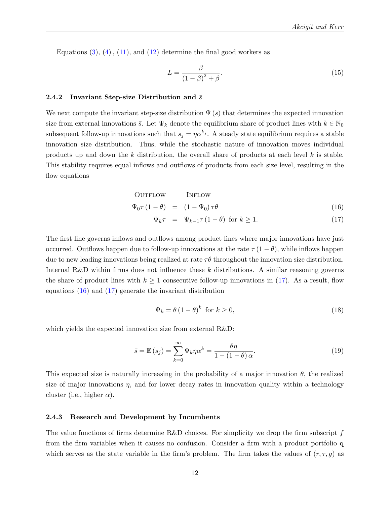Equations  $(3)$ ,  $(4)$ ,  $(11)$ , and  $(12)$  determine the final good workers as

<span id="page-13-1"></span>
$$
L = \frac{\beta}{\left(1 - \beta\right)^2 + \beta}.\tag{15}
$$

#### 2.4.2 Invariant Step-size Distribution and  $\bar{s}$

We next compute the invariant step-size distribution  $\Psi(s)$  that determines the expected innovation size from external innovations  $\bar{s}$ . Let  $\Psi_k$  denote the equilibrium share of product lines with  $k \in \mathbb{N}_0$ subsequent follow-up innovations such that  $s_j = \eta \alpha^{k_j}$ . A steady state equilibrium requires a stable innovation size distribution. Thus, while the stochastic nature of innovation moves individual products up and down the k distribution, the overall share of products at each level  $k$  is stable. This stability requires equal inflows and outflows of products from each size level, resulting in the flow equations

<span id="page-13-0"></span>OUTFlow

\n
$$
\Psi_0 \tau (1 - \theta) = (1 - \Psi_0) \tau \theta
$$
\n(16)

 $\Psi_k \tau = \Psi_{k-1} \tau (1-\theta)$  for  $k \ge 1$ . (17)

The first line governs inflows and outflows among product lines where major innovations have just occurred. Outflows happen due to follow-up innovations at the rate  $\tau(1-\theta)$ , while inflows happen due to new leading innovations being realized at rate  $\tau\theta$  throughout the innovation size distribution. Internal R&D within firms does not influence these  $k$  distributions. A similar reasoning governs the share of product lines with  $k \geq 1$  consecutive follow-up innovations in [\(17\)](#page-13-0). As a result, flow equations [\(16\)](#page-13-0) and [\(17\)](#page-13-0) generate the invariant distribution

<span id="page-13-2"></span>
$$
\Psi_k = \theta \left( 1 - \theta \right)^k \text{ for } k \ge 0,
$$
\n(18)

which yields the expected innovation size from external R&D:

$$
\bar{s} = \mathbb{E}\left(s_j\right) = \sum_{k=0}^{\infty} \Psi_k \eta \alpha^k = \frac{\theta \eta}{1 - (1 - \theta) \alpha}.
$$
\n(19)

This expected size is naturally increasing in the probability of a major innovation  $\theta$ , the realized size of major innovations  $\eta$ , and for lower decay rates in innovation quality within a technology cluster (i.e., higher  $\alpha$ ).

#### 2.4.3 Research and Development by Incumbents

The value functions of firms determine R&D choices. For simplicity we drop the firm subscript  $f$ from the firm variables when it causes no confusion. Consider a firm with a product portfolio q which serves as the state variable in the firm's problem. The firm takes the values of  $(r, \tau, g)$  as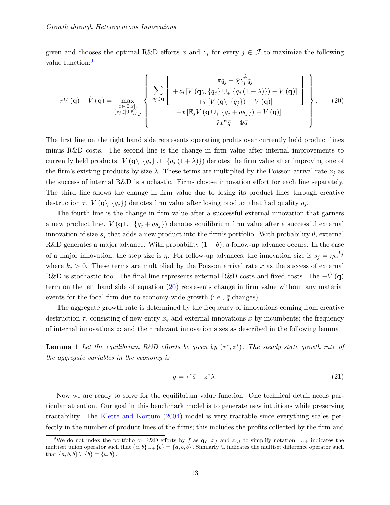given and chooses the optimal R&D efforts x and  $z_j$  for every  $j \in \mathcal{J}$  to maximize the following value function:<sup>[9](#page-14-0)</sup>

<span id="page-14-1"></span>
$$
rV(\mathbf{q}) - \dot{V}(\mathbf{q}) = \max_{\substack{x \in [0,\bar{x}], \\ \{z_j \in [0,\bar{z}]\}_\mathcal{J}}} \left\{ \sum_{q_j \in \mathbf{q}} \left[ \begin{array}{c} \pi q_j - \hat{\chi} z_j^{\hat{\psi}} q_j \\ + z_j \left[ V \left( \mathbf{q} \setminus \{q_j\} \cup_+ \{q_j (1 + \lambda) \} \right) - V \left( \mathbf{q} \right) \right] \\ + \tau \left[ V \left( \mathbf{q} \setminus \{q_j\} \right) - V \left( \mathbf{q} \right) \right] \\ + x \left[ \mathbb{E}_j V \left( \mathbf{q} \cup_+ \{q_j + \bar{q} s_j \} \right) - V \left( \mathbf{q} \right) \right] \\ - \tilde{\chi} x^{\tilde{\psi}} \bar{q} - \Phi \bar{q} \end{array} \right\}.
$$
 (20)

The first line on the right hand side represents operating profits over currently held product lines minus R&D costs. The second line is the change in firm value after internal improvements to currently held products.  $V(\mathbf{q}\setminus \{q_j\} \cup_{+} \{q_j(1+\lambda)\})$  denotes the firm value after improving one of the firm's existing products by size  $\lambda$ . These terms are multiplied by the Poisson arrival rate  $z_i$  as the success of internal R&D is stochastic. Firms choose innovation effort for each line separately. The third line shows the change in firm value due to losing its product lines through creative destruction  $\tau$ .  $V(\mathbf{q} \setminus \{q_j\})$  denotes firm value after losing product that had quality  $q_j$ .

The fourth line is the change in firm value after a successful external innovation that garners a new product line.  $V(\mathbf{q} \cup_{+} \{q_i + \bar{q}s_i\})$  denotes equilibrium firm value after a successful external innovation of size  $s_j$  that adds a new product into the firm's portfolio. With probability  $\theta$ , external R&D generates a major advance. With probability  $(1 - \theta)$ , a follow-up advance occurs. In the case of a major innovation, the step size is  $\eta$ . For follow-up advances, the innovation size is  $s_j = \eta \alpha^{k_j}$ where  $k_j > 0$ . These terms are multiplied by the Poisson arrival rate x as the success of external R&D is stochastic too. The final line represents external R&D costs and fixed costs. The  $-V(\mathbf{q})$ term on the left hand side of equation [\(20\)](#page-14-1) represents change in firm value without any material events for the focal firm due to economy-wide growth (i.e.,  $\bar{q}$  changes).

The aggregate growth rate is determined by the frequency of innovations coming from creative destruction  $\tau$ , consisting of new entry  $x_e$  and external innovations x by incumbents; the frequency of internal innovations z; and their relevant innovation sizes as described in the following lemma.

<span id="page-14-3"></span>**Lemma 1** Let the equilibrium R&D efforts be given by  $(\tau^*, z^*)$ . The steady state growth rate of the aggregate variables in the economy is

<span id="page-14-2"></span>
$$
g = \tau^* \bar{s} + z^* \lambda. \tag{21}
$$

Now we are ready to solve for the equilibrium value function. One technical detail needs particular attention. Our goal in this benchmark model is to generate new intuitions while preserving tractability. The [Klette and Kortum](#page-46-0) [\(2004\)](#page-46-0) model is very tractable since everything scales perfectly in the number of product lines of the firms; this includes the profits collected by the firm and

<span id="page-14-0"></span><sup>&</sup>lt;sup>9</sup>We do not index the portfolio or R&D efforts by f as  $\mathbf{q}_f$ ,  $x_f$  and  $z_{j,f}$  to simplify notation.  $\cup_+$  indicates the multiset union operator such that  $\{a, b\} \cup_{+} \{b\} = \{a, b, b\}$ . Similarly \ indicates the multiset difference operator such that  $\{a, b, b\} \setminus \{b\} = \{a, b\}$ .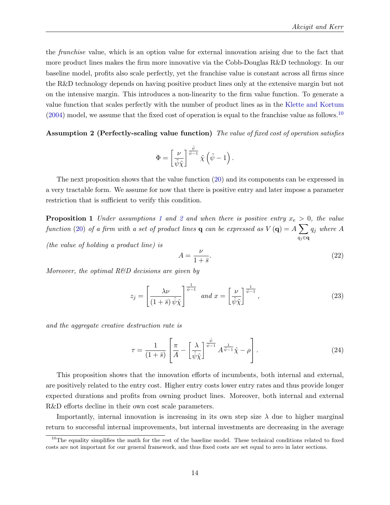the franchise value, which is an option value for external innovation arising due to the fact that more product lines makes the firm more innovative via the Cobb-Douglas R&D technology. In our baseline model, profits also scale perfectly, yet the franchise value is constant across all firms since the R&D technology depends on having positive product lines only at the extensive margin but not on the intensive margin. This introduces a non-linearity to the firm value function. To generate a value function that scales perfectly with the number of product lines as in the [Klette and Kortum](#page-46-0)  $(2004)$  model, we assume that the fixed cost of operation is equal to the franchise value as follows.<sup>[10](#page-15-1)</sup>

<span id="page-15-2"></span>Assumption 2 (Perfectly-scaling value function) The value of fixed cost of operation satisfies

$$
\Phi = \left[\frac{\nu}{\tilde{\psi}\tilde{\chi}}\right]^{\frac{\tilde{\psi}}{\tilde{\psi}-1}}\tilde{\chi}\left(\tilde{\psi}-1\right).
$$

The next proposition shows that the value function [\(20\)](#page-14-1) and its components can be expressed in a very tractable form. We assume for now that there is positive entry and later impose a parameter restriction that is sufficient to verify this condition.

<span id="page-15-0"></span>**Proposition [1](#page-12-1)** Under assumptions 1 and [2](#page-15-2) and when there is positive entry  $x_e > 0$ , the value function [\(20\)](#page-14-1) of a firm with a set of product lines **q** can be expressed as  $V(\mathbf{q}) = A \sum$ qj∈q  $q_j$  where  $A$ 

(the value of holding a product line) is

<span id="page-15-5"></span>
$$
A = \frac{\nu}{1 + \bar{s}}.\tag{22}
$$

Moreover, the optimal  $R\&D$  decisions are given by

<span id="page-15-3"></span>
$$
z_{j} = \left[\frac{\lambda \nu}{\left(1 + \bar{s}\right) \hat{\psi} \hat{\chi}}\right]^{\frac{1}{\hat{\psi}-1}} \text{ and } x = \left[\frac{\nu}{\tilde{\psi} \tilde{\chi}}\right]^{\frac{1}{\tilde{\psi}-1}},\tag{23}
$$

and the aggregate creative destruction rate is

<span id="page-15-4"></span>
$$
\tau = \frac{1}{(1+\bar{s})} \left[ \frac{\pi}{A} - \left[ \frac{\lambda}{\hat{\psi}\hat{\chi}} \right]^{\frac{\hat{\psi}}{\hat{\psi}-1}} A^{\frac{1}{\hat{\psi}-1}} \hat{\chi} - \rho \right]. \tag{24}
$$

This proposition shows that the innovation efforts of incumbents, both internal and external, are positively related to the entry cost. Higher entry costs lower entry rates and thus provide longer expected durations and profits from owning product lines. Moreover, both internal and external R&D efforts decline in their own cost scale parameters.

Importantly, internal innovation is increasing in its own step size  $\lambda$  due to higher marginal return to successful internal improvements, but internal investments are decreasing in the average

<span id="page-15-1"></span> $10$ The equality simplifies the math for the rest of the baseline model. These technical conditions related to fixed costs are not important for our general framework, and thus fixed costs are set equal to zero in later sections.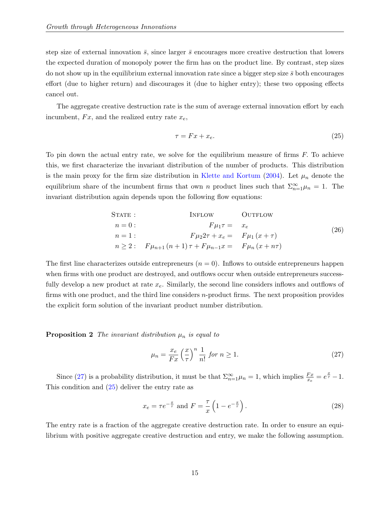step size of external innovation  $\bar{s}$ , since larger  $\bar{s}$  encourages more creative destruction that lowers the expected duration of monopoly power the firm has on the product line. By contrast, step sizes do not show up in the equilibrium external innovation rate since a bigger step size  $\bar{s}$  both encourages effort (due to higher return) and discourages it (due to higher entry); these two opposing effects cancel out.

The aggregate creative destruction rate is the sum of average external innovation effort by each incumbent,  $Fx$ , and the realized entry rate  $x_e$ ,

<span id="page-16-1"></span>
$$
\tau = Fx + x_e. \tag{25}
$$

To pin down the actual entry rate, we solve for the equilibrium measure of firms  $F$ . To achieve this, we first characterize the invariant distribution of the number of products. This distribution is the main proxy for the firm size distribution in [Klette and Kortum](#page-46-0) [\(2004\)](#page-46-0). Let  $\mu_n$  denote the equilibrium share of the incumbent firms that own n product lines such that  $\Sigma_{n=1}^{\infty} \mu_n = 1$ . The invariant distribution again depends upon the following flow equations:

<span id="page-16-4"></span>
$$
S\text{TATE}: \qquad \text{INFLOW} \qquad \text{OUTFLOW} \n n = 0: \qquad F\mu_1 \tau = x_e \n n = 1: \qquad F\mu_2 2\tau + x_e = F\mu_1 (x + \tau) \n n \ge 2: \qquad F\mu_{n+1} (n+1) \tau + F\mu_{n-1} x = F\mu_n (x + n\tau)
$$
\n(26)

The first line characterizes outside entrepreneurs  $(n = 0)$ . Inflows to outside entrepreneurs happen when firms with one product are destroyed, and outflows occur when outside entrepreneurs successfully develop a new product at rate  $x_e$ . Similarly, the second line considers inflows and outflows of firms with one product, and the third line considers n-product firms. The next proposition provides the explicit form solution of the invariant product number distribution.

<span id="page-16-3"></span>**Proposition 2** The invariant distribution  $\mu_n$  is equal to

<span id="page-16-0"></span>
$$
\mu_n = \frac{x_e}{Fx} \left(\frac{x}{\tau}\right)^n \frac{1}{n!} \text{ for } n \ge 1. \tag{27}
$$

Since [\(27\)](#page-16-0) is a probability distribution, it must be that  $\sum_{n=1}^{\infty} \mu_n = 1$ , which implies  $\frac{Fx}{xe} = e^{\frac{x}{\tau}} - 1$ . This condition and [\(25\)](#page-16-1) deliver the entry rate as

<span id="page-16-2"></span>
$$
x_e = \tau e^{-\frac{x}{\tau}}
$$
 and  $F = \frac{\tau}{x} \left( 1 - e^{-\frac{x}{\tau}} \right)$ . (28)

The entry rate is a fraction of the aggregate creative destruction rate. In order to ensure an equilibrium with positive aggregate creative destruction and entry, we make the following assumption.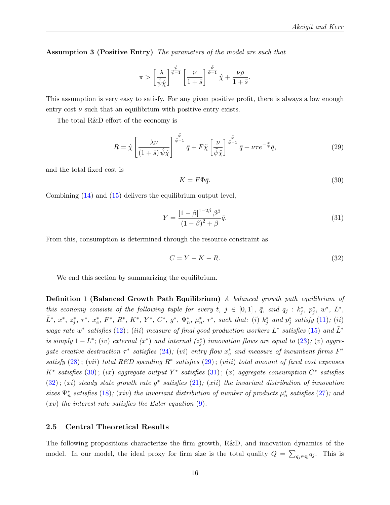Assumption 3 (Positive Entry) The parameters of the model are such that

$$
\pi > \left[\frac{\lambda}{\hat{\psi}\hat{\chi}}\right]^{\frac{\hat{\psi}}{\hat{\psi}-1}} \left[\frac{\nu}{1+\bar{s}}\right]^{\frac{\hat{\psi}}{\hat{\psi}-1}} \hat{\chi} + \frac{\nu\rho}{1+\bar{s}}.
$$

This assumption is very easy to satisfy. For any given positive profit, there is always a low enough entry cost  $\nu$  such that an equilibrium with positive entry exists.

The total R&D effort of the economy is

<span id="page-17-0"></span>
$$
R = \hat{\chi} \left[ \frac{\lambda \nu}{\left(1 + \bar{s}\right) \hat{\psi} \hat{\chi}} \right]^{\frac{\hat{\psi}}{\hat{\psi} - 1}} \bar{q} + F \tilde{\chi} \left[ \frac{\nu}{\tilde{\psi} \tilde{\chi}} \right]^{\frac{\tilde{\psi}}{\hat{\psi} - 1}} \bar{q} + \nu \tau e^{-\frac{x}{\tau}} \bar{q},\tag{29}
$$

and the total fixed cost is

<span id="page-17-1"></span>
$$
K = F\Phi\bar{q}.\tag{30}
$$

Combining [\(14\)](#page-12-4) and [\(15\)](#page-13-1) delivers the equilibrium output level,

<span id="page-17-2"></span>
$$
Y = \frac{\left[1 - \beta\right]^{1 - 2\beta} \beta^{\beta}}{\left(1 - \beta\right)^2 + \beta} \bar{q}.\tag{31}
$$

From this, consumption is determined through the resource constraint as

<span id="page-17-3"></span>
$$
C = Y - K - R.\tag{32}
$$

We end this section by summarizing the equilibrium.

**Definition 1 (Balanced Growth Path Equilibrium)** A balanced growth path equilibrium of this economy consists of the following tuple for every  $t, j \in [0,1], \bar{q}$ , and  $q_j : k_j^*, p_j^*, w^*, L^*,$  $\tilde{L}^*, x^*, z_j^*, \tau^*, x_e^*, F^*, R^*, K^*, Y^*, C^*, g^*, \Psi_n^*, \mu_n^*, r^*, \text{ such that: (i) } k_j^* \text{ and } p_j^* \text{ satisfy (11); (ii)}$  $\tilde{L}^*, x^*, z_j^*, \tau^*, x_e^*, F^*, R^*, K^*, Y^*, C^*, g^*, \Psi_n^*, \mu_n^*, r^*, \text{ such that: (i) } k_j^* \text{ and } p_j^* \text{ satisfy (11); (ii)}$  $\tilde{L}^*, x^*, z_j^*, \tau^*, x_e^*, F^*, R^*, K^*, Y^*, C^*, g^*, \Psi_n^*, \mu_n^*, r^*, \text{ such that: (i) } k_j^* \text{ and } p_j^* \text{ satisfy (11); (ii)}$ wage rate w<sup>\*</sup> satisfies  $(12)$ ;  $(iii)$  measure of final good production workers  $L^*$  satisfies  $(15)$  and  $\tilde{L}^*$ is simply  $1 - L^*$ ; (iv) external  $(x^*)$  and internal  $(z_j^*)$  innovation flows are equal to  $(23)$ ; (v) aggregate creative destruction  $\tau^*$  satisfies [\(24\)](#page-15-4); (vi) entry flow  $x_e^*$  and measure of incumbent firms  $F^*$ satisfy  $(28)$ ; (vii) total R&D spending R<sup>\*</sup> satisfies  $(29)$ ; (viii) total amount of fixed cost expenses  $K^*$  satisfies  $(30)$ ;  $(ix)$  aggregate output  $Y^*$  satisfies  $(31)$ ;  $(x)$  aggregate consumption  $C^*$  satisfies  $(32); (xi)$  $(32); (xi)$  steady state growth rate  $g^*$  satisfies  $(21); (xii)$  $(21); (xii)$  the invariant distribution of innovation sizes  $\Psi_n^*$  satisfies [\(18\)](#page-13-2); (xiv) the invariant distribution of number of products  $\mu_n^*$  satisfies [\(27\)](#page-16-0); and  $(xv)$  the interest rate satisfies the Euler equation  $(9)$ .

#### 2.5 Central Theoretical Results

The following propositions characterize the firm growth, R&D, and innovation dynamics of the model. In our model, the ideal proxy for firm size is the total quality  $Q = \sum_{q_j \in \mathbf{q}} q_j$ . This is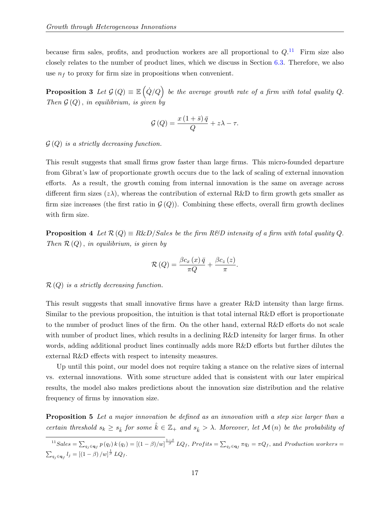because firm sales, profits, and production workers are all proportional to  $Q$ .<sup>[11](#page-18-0)</sup> Firm size also closely relates to the number of product lines, which we discuss in Section [6.3.](#page-33-0) Therefore, we also use  $n_f$  to proxy for firm size in propositions when convenient.

**Proposition 3** Let  $\mathcal{G}(Q) \equiv \mathbb{E}(\dot{Q}/Q)$  be the average growth rate of a firm with total quality Q. Then  $\mathcal{G}(Q)$ , in equilibrium, is given by

$$
\mathcal{G}\left(Q\right) = \frac{x\left(1+\bar{s}\right)\bar{q}}{Q} + z\lambda - \tau.
$$

 $\mathcal{G}(Q)$  is a strictly decreasing function.

This result suggests that small firms grow faster than large firms. This micro-founded departure from Gibrat's law of proportionate growth occurs due to the lack of scaling of external innovation efforts. As a result, the growth coming from internal innovation is the same on average across different firm sizes  $(z\lambda)$ , whereas the contribution of external R&D to firm growth gets smaller as firm size increases (the first ratio in  $\mathcal{G}(Q)$ ). Combining these effects, overall firm growth declines with firm size.

<span id="page-18-2"></span>**Proposition 4** Let  $\mathcal{R}(Q) \equiv R\&D/Sales$  be the firm  $R\&D$  intensity of a firm with total quality Q. Then  $\mathcal{R}(Q)$ , in equilibrium, is given by

$$
\mathcal{R}\left(Q\right) = \frac{\beta c_x\left(x\right)\bar{q}}{\pi Q} + \frac{\beta c_z\left(z\right)}{\pi}.
$$

 $\mathcal{R}(Q)$  is a strictly decreasing function.

This result suggests that small innovative firms have a greater R&D intensity than large firms. Similar to the previous proposition, the intuition is that total internal R&D effort is proportionate to the number of product lines of the firm. On the other hand, external R&D efforts do not scale with number of product lines, which results in a declining R&D intensity for larger firms. In other words, adding additional product lines continually adds more R&D efforts but further dilutes the external R&D effects with respect to intensity measures.

Up until this point, our model does not require taking a stance on the relative sizes of internal vs. external innovations. With some structure added that is consistent with our later empirical results, the model also makes predictions about the innovation size distribution and the relative frequency of firms by innovation size.

<span id="page-18-1"></span>Proposition 5 Let a major innovation be defined as an innovation with a step size larger than a certain threshold  $s_k \geq s_k$  for some  $\hat{k} \in \mathbb{Z}_+$  and  $s_k > \lambda$ . Moreover, let  $\mathcal{M}(n)$  be the probability of

<span id="page-18-0"></span> $11Sales = \sum_{q_j \in \mathbf{q}_f} p(q_j) k(q_j) = [(1-\beta)/w]^{\frac{1-\beta}{\beta}} LQ_f$ ,  $Profits = \sum_{q_j \in \mathbf{q}_f} \pi q_j = \pi Q_f$ , and  $Production \ workers =$  $\sum_{q_j \in \mathbf{q}_f} l_j = [(1 - \beta) / w]^{\frac{1}{\beta}} L Q_f.$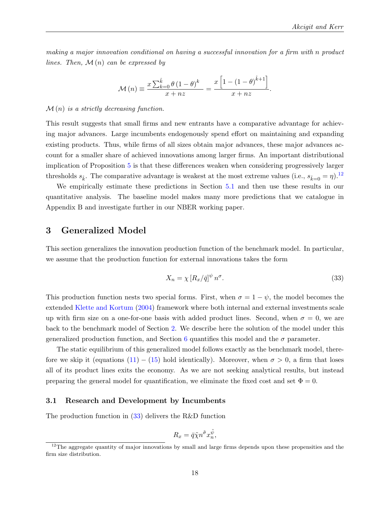making a major innovation conditional on having a successful innovation for a firm with n product lines. Then,  $\mathcal{M}(n)$  can be expressed by

$$
\mathcal{M}(n) \equiv \frac{x \sum_{k=0}^{\hat{k}} \theta (1-\theta)^k}{x+nz} = \frac{x \left[1 - (1-\theta)^{\hat{k}+1}\right]}{x+nz}.
$$

#### $\mathcal{M}(n)$  is a strictly decreasing function.

This result suggests that small firms and new entrants have a comparative advantage for achieving major advances. Large incumbents endogenously spend effort on maintaining and expanding existing products. Thus, while firms of all sizes obtain major advances, these major advances account for a smaller share of achieved innovations among larger firms. An important distributional implication of Proposition [5](#page-18-1) is that these differences weaken when considering progressively larger thresholds  $s_{\hat{k}}$ . The comparative advantage is weakest at the most extreme values (i.e.,  $s_{\hat{k}=0} = \eta$ ).<sup>[12](#page-19-0)</sup>

We empirically estimate these predictions in Section [5.1](#page-23-0) and then use these results in our quantitative analysis. The baseline model makes many more predictions that we catalogue in Appendix B and investigate further in our NBER working paper.

# 3 Generalized Model

This section generalizes the innovation production function of the benchmark model. In particular, we assume that the production function for external innovations takes the form

<span id="page-19-1"></span>
$$
X_n = \chi \left[ R_x / \bar{q} \right]^{\psi} n^{\sigma}.
$$
\n(33)

This production function nests two special forms. First, when  $\sigma = 1 - \psi$ , the model becomes the extended [Klette and Kortum](#page-46-0) [\(2004\)](#page-46-0) framework where both internal and external investments scale up with firm size on a one-for-one basis with added product lines. Second, when  $\sigma = 0$ , we are back to the benchmark model of Section [2.](#page-7-0) We describe here the solution of the model under this generalized production function, and Section [6](#page-28-0) quantifies this model and the  $\sigma$  parameter.

The static equilibrium of this generalized model follows exactly as the benchmark model, therefore we skip it (equations  $(11) - (15)$  $(11) - (15)$  $(11) - (15)$  hold identically). Moreover, when  $\sigma > 0$ , a firm that loses all of its product lines exits the economy. As we are not seeking analytical results, but instead preparing the general model for quantification, we eliminate the fixed cost and set  $\Phi = 0$ .

#### 3.1 Research and Development by Incumbents

The production function in [\(33\)](#page-19-1) delivers the R&D function

$$
R_x = \bar{q}\tilde{\chi}n^{\tilde{\sigma}}x_n^{\tilde{\psi}},
$$

<span id="page-19-0"></span> $12$ The aggregate quantity of major innovations by small and large firms depends upon these propensities and the firm size distribution.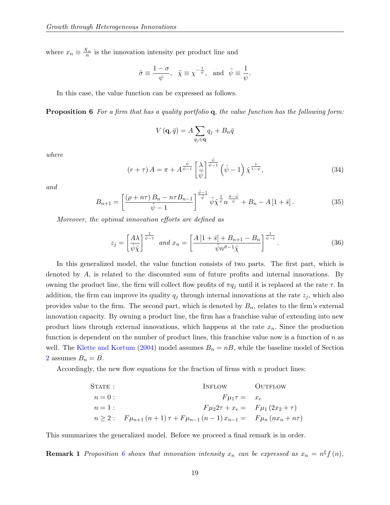where  $x_n \equiv \frac{X_n}{n}$  is the innovation intensity per product line and

$$
\tilde{\sigma} \equiv \frac{1-\sigma}{\psi}, \quad \tilde{\chi} \equiv \chi^{-\frac{1}{\psi}}, \text{ and } \tilde{\psi} \equiv \frac{1}{\psi}.
$$

In this case, the value function can be expressed as follows.

<span id="page-20-0"></span>Proposition 6 For a firm that has a quality portfolio q, the value function has the following form:

$$
V(\mathbf{q},\bar{q}) = A \sum_{q_j \in \mathbf{q}} q_j + B_n \bar{q}
$$

where

<span id="page-20-1"></span>
$$
\left(r+\tau\right)A = \pi + A^{\frac{\hat{\psi}}{\hat{\psi}-1}} \left[\frac{\lambda}{\hat{\psi}}\right]^{\frac{\hat{\psi}}{\hat{\psi}-1}} \left(\hat{\psi}-1\right) \hat{\chi}^{\frac{1}{1-\hat{\psi}}},\tag{34}
$$

and

<span id="page-20-2"></span>
$$
B_{n+1} = \left[ \frac{(\rho + n\tau) B_n - n\tau B_{n-1}}{\tilde{\psi} - 1} \right]^{\frac{\tilde{\psi} - 1}{\tilde{\psi}}} \tilde{\psi} \tilde{\chi}^{\frac{1}{\tilde{\psi}}} n^{\frac{\tilde{\sigma} - \tilde{\psi}}{\tilde{\psi}}} + B_n - A \left[ 1 + \bar{s} \right]. \tag{35}
$$

Moreover, the optimal innovation efforts are defined as

<span id="page-20-3"></span>
$$
z_j = \left[\frac{A\lambda}{\hat{\psi}\hat{\chi}}\right]^{\frac{1}{\hat{\psi}-1}} \text{ and } x_n = \left[\frac{A\left[1+\bar{s}\right]+B_{n+1}-B_n}{\tilde{\psi}n^{\tilde{\sigma}-1}\tilde{\chi}}\right]^{\frac{1}{\tilde{\psi}-1}}.
$$
 (36)

In this generalized model, the value function consists of two parts. The first part, which is denoted by A, is related to the discounted sum of future profits and internal innovations. By owning the product line, the firm will collect flow profits of  $\pi q_j$  until it is replaced at the rate  $\tau$ . In addition, the firm can improve its quality  $q_j$  through internal innovations at the rate  $z_j$ , which also provides value to the firm. The second part, which is denoted by  $B_n$ , relates to the firm's external innovation capacity. By owning a product line, the firm has a franchise value of extending into new product lines through external innovations, which happens at the rate  $x_n$ . Since the production function is dependent on the number of product lines, this franchise value now is a function of  $n$  as well. The [Klette and Kortum](#page-46-0) [\(2004\)](#page-46-0) model assumes  $B_n = nB$ , while the baseline model of Section [2](#page-7-0) assumes  $B_n = B$ .

Accordingly, the new flow equations for the fraction of firms with  $n$  product lines:

STATE :  
\n
$$
n = 0
$$
:  
\n $n = 1$ :  
\n $n \ge 2$ :  
\n $F\mu_1 \tau = x_e$   
\n $F\mu_2 2\tau + x_e = F\mu_1 (2x_2 + \tau)$   
\n $n \ge 2$ :  
\n $F\mu_{n+1} (n+1) \tau + F\mu_{n-1} (n-1) x_{n-1} = F\mu_n (nx_n + n\tau)$ 

This summarizes the generalized model. Before we proceed a final remark is in order.

**Remark 1** Proposition [6](#page-20-0) shows that innovation intensity  $x_n$  can be expressed as  $x_n = n^{\xi} f(n)$ ,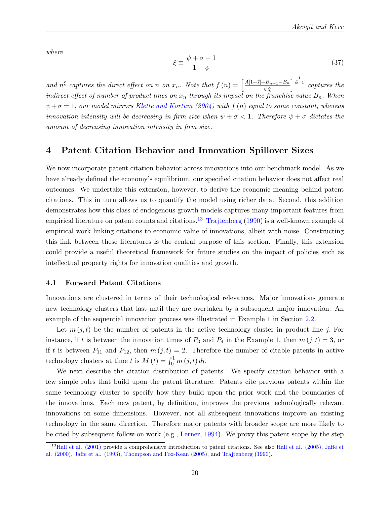where

$$
\xi \equiv \frac{\psi + \sigma - 1}{1 - \psi} \tag{37}
$$

and  $n^{\xi}$  captures the direct effect on n on  $x_n$ . Note that  $f(n) = \left[\frac{A[1+\bar{s}]+B_{n+1}-B_n}{\tilde{m}\tilde{\alpha}}\right]$  $\tilde{\psi}\tilde{\chi}$  $\int_0^{\frac{1}{\tilde{\psi}-1}}$  captures the indirect effect of number of product lines on  $x_n$  through its impact on the franchise value  $B_n$ . When  $\psi + \sigma = 1$ , our model mirrors [Klette and Kortum](#page-46-0) [\(2004\)](#page-46-0) with  $f(n)$  equal to some constant, whereas innovation intensity will be decreasing in firm size when  $\psi + \sigma < 1$ . Therefore  $\psi + \sigma$  dictates the amount of decreasing innovation intensity in firm size.

# 4 Patent Citation Behavior and Innovation Spillover Sizes

We now incorporate patent citation behavior across innovations into our benchmark model. As we have already defined the economy's equilibrium, our specified citation behavior does not affect real outcomes. We undertake this extension, however, to derive the economic meaning behind patent citations. This in turn allows us to quantify the model using richer data. Second, this addition demonstrates how this class of endogenous growth models captures many important features from empirical literature on patent counts and citations.<sup>[13](#page-21-0)</sup> [Trajtenberg](#page-47-12) [\(1990\)](#page-47-12) is a well-known example of empirical work linking citations to economic value of innovations, albeit with noise. Constructing this link between these literatures is the central purpose of this section. Finally, this extension could provide a useful theoretical framework for future studies on the impact of policies such as intellectual property rights for innovation qualities and growth.

#### 4.1 Forward Patent Citations

Innovations are clustered in terms of their technological relevances. Major innovations generate new technology clusters that last until they are overtaken by a subsequent major innovation. An example of the sequential innovation process was illustrated in Example 1 in Section [2.2.](#page-9-2)

Let  $m(j, t)$  be the number of patents in the active technology cluster in product line j. For instance, if t is between the innovation times of  $P_3$  and  $P_4$  in the Example 1, then  $m(j, t) = 3$ , or if t is between  $P_{11}$  and  $P_{12}$ , then  $m(j, t) = 2$ . Therefore the number of citable patents in active technology clusters at time t is  $M(t) = \int_0^1 m(j, t) \, dj$ .

We next describe the citation distribution of patents. We specify citation behavior with a few simple rules that build upon the patent literature. Patents cite previous patents within the same technology cluster to specify how they build upon the prior work and the boundaries of the innovations. Each new patent, by definition, improves the previous technologically relevant innovations on some dimensions. However, not all subsequent innovations improve an existing technology in the same direction. Therefore major patents with broader scope are more likely to be cited by subsequent follow-on work (e.g., [Lerner, 1994\)](#page-46-15). We proxy this patent scope by the step

<span id="page-21-0"></span><sup>&</sup>lt;sup>13</sup>[Hall et al. \(2001\)](#page-44-9) provide a comprehensive introduction to patent citations. See also [Hall et al. \(2005\),](#page-44-10) [Jaffe et](#page-45-13) [al. \(2000\),](#page-45-13) [Jaffe et al. \(1993\),](#page-45-14) [Thompson and Fox-Kean](#page-47-13) [\(2005\)](#page-47-13), and [Trajtenberg](#page-47-12) [\(1990\)](#page-47-12).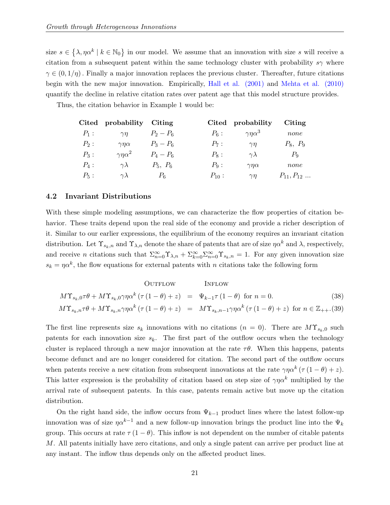size  $s \in \{\lambda, \eta \alpha^k \mid k \in \mathbb{N}_0\}$  in our model. We assume that an innovation with size s will receive a citation from a subsequent patent within the same technology cluster with probability s $\gamma$  where  $\gamma \in (0, 1/\eta)$ . Finally a major innovation replaces the previous cluster. Thereafter, future citations begin with the new major innovation. Empirically, [Hall et al. \(2001\)](#page-44-9) and [Mehta et al. \(2010\)](#page-46-16) quantify the decline in relative citation rates over patent age that this model structure provides.

Thus, the citation behavior in Example 1 would be:

|         | Cited probability    | Citing      |            | Cited probability    | Citing           |
|---------|----------------------|-------------|------------|----------------------|------------------|
| $P_1$ : | $\gamma$ n           | $P_2 - P_6$ | $P_6$ :    | $\gamma\eta\alpha^3$ | none             |
| $P_2$ : | $\gamma\eta\alpha$   | $P_3 - P_6$ | $P_7$ :    | $\gamma\eta$         | $P_8, P_9$       |
| $P_3$ : | $\gamma\eta\alpha^2$ | $P_4 - P_6$ | $P_8$ :    | $\gamma\lambda$      | $P_{9}$          |
| $P_4$ : | $\gamma \lambda$     | $P_5, P_6$  | $P_9$ :    | $\gamma\eta\alpha$   | none             |
| $P_5$ : | $\gamma \lambda$     | $P_6$       | $P_{10}$ : | $\gamma$ n           | $P_{11}, P_{12}$ |

#### 4.2 Invariant Distributions

With these simple modeling assumptions, we can characterize the flow properties of citation behavior. These traits depend upon the real side of the economy and provide a richer description of it. Similar to our earlier expressions, the equilibrium of the economy requires an invariant citation distribution. Let  $\Upsilon_{s_k,n}$  and  $\Upsilon_{\lambda,n}$  denote the share of patents that are of size  $\eta\alpha^k$  and  $\lambda$ , respectively, and receive *n* citations such that  $\sum_{n=0}^{\infty} \Upsilon_{\lambda,n} + \sum_{k=0}^{\infty} \sum_{n=0}^{\infty} \Upsilon_{s_k,n} = 1$ . For any given innovation size  $s_k = \eta \alpha^k$ , the flow equations for external patents with n citations take the following form

<span id="page-22-0"></span>OUTFlow

\n
$$
M\Upsilon_{s_k,0}\tau\theta + M\Upsilon_{s_k,0}\gamma\eta\alpha^k\left(\tau\left(1-\theta\right)+z\right) = \Psi_{k-1}\tau\left(1-\theta\right) \text{ for } n=0.
$$
\n
$$
M\Upsilon_{s_k,n}\tau\theta + M\Upsilon_{s_k,n}\gamma\eta\alpha^k\left(\tau\left(1-\theta\right)+z\right) = M\Upsilon_{s_k,n-1}\gamma\eta\alpha^k\left(\tau\left(1-\theta\right)+z\right) \text{ for } n \in \mathbb{Z}_{++}.
$$
\n(38)

The first line represents size  $s_k$  innovations with no citations  $(n = 0)$ . There are  $M\Upsilon_{s_k,0}$  such patents for each innovation size  $s_k$ . The first part of the outflow occurs when the technology cluster is replaced through a new major innovation at the rate  $\tau\theta$ . When this happens, patents become defunct and are no longer considered for citation. The second part of the outflow occurs when patents receive a new citation from subsequent innovations at the rate  $\gamma \eta \alpha^k (\tau (1 - \theta) + z)$ . This latter expression is the probability of citation based on step size of  $\gamma n \alpha^k$  multiplied by the arrival rate of subsequent patents. In this case, patents remain active but move up the citation distribution.

On the right hand side, the inflow occurs from  $\Psi_{k-1}$  product lines where the latest follow-up innovation was of size  $\eta \alpha^{k-1}$  and a new follow-up innovation brings the product line into the  $\Psi_k$ group. This occurs at rate  $\tau (1 - \theta)$ . This inflow is not dependent on the number of citable patents M. All patents initially have zero citations, and only a single patent can arrive per product line at any instant. The inflow thus depends only on the affected product lines.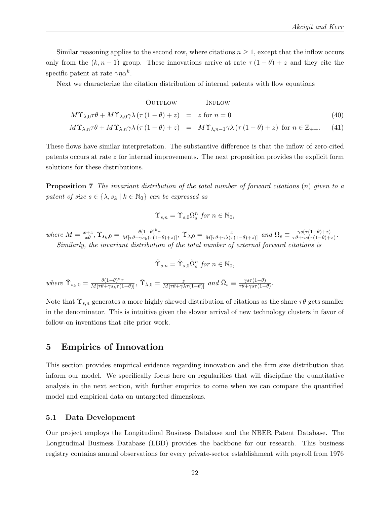Similar reasoning applies to the second row, where citations  $n \geq 1$ , except that the inflow occurs only from the  $(k, n-1)$  group. These innovations arrive at rate  $\tau(1-\theta) + z$  and they cite the specific patent at rate  $\gamma \eta \alpha^k$ .

Next we characterize the citation distribution of internal patents with flow equations

<span id="page-23-2"></span>OUTFlow

\n
$$
M\Upsilon_{\lambda,0}\tau\theta + M\Upsilon_{\lambda,0}\gamma\lambda\left(\tau\left(1-\theta\right)+z\right) = z \text{ for } n=0
$$
\n
$$
M\Upsilon_{\lambda,n}\tau\theta + M\Upsilon_{\lambda,n}\gamma\lambda\left(\tau\left(1-\theta\right)+z\right) = M\Upsilon_{\lambda,n-1}\gamma\lambda\left(\tau\left(1-\theta\right)+z\right) \text{ for } n \in \mathbb{Z}_{++}.
$$
\n(41)

These flows have similar interpretation. The substantive difference is that the inflow of zero-cited patents occurs at rate z for internal improvements. The next proposition provides the explicit form solutions for these distributions.

<span id="page-23-1"></span>**Proposition 7** The invariant distribution of the total number of forward citations (n) given to a patent of size  $s \in \{\lambda, s_k \mid k \in \mathbb{N}_0\}$  can be expressed as

$$
\Upsilon_{s,n} = \Upsilon_{s,0} \Omega_s^n \text{ for } n \in \mathbb{N}_0,
$$

where  $M = \frac{x+z}{x\theta}, \Upsilon_{s_k,0} = \frac{\theta(1-\theta)^k \tau}{M[\tau\theta+\gamma s_k(\tau(1-\theta)+z)]}, \Upsilon_{\lambda,0} = \frac{z}{M[\tau\theta+\gamma\lambda(\tau(1-\theta)+z)]}$  and  $\Omega_s \equiv \frac{\gamma s(\tau(1-\theta)+z)}{\tau\theta+\gamma s(\tau(1-\theta)+z)}$  $\frac{\gamma s(\tau(1-\theta)+z)}{\tau\theta+\gamma s(\tau(1-\theta)+z)}$ . Similarly, the invariant distribution of the total number of external forward citations is

$$
\tilde{\Upsilon}_{s,n} = \tilde{\Upsilon}_{s,0} \tilde{\Omega}_s^n \text{ for } n \in \mathbb{N}_0,
$$

where  $\tilde{\Upsilon}_{s_k,0} = \frac{\theta(1-\theta)^k \tau}{M[\tau \theta + \gamma s_k \tau(1-\theta)]}$ ,  $\tilde{\Upsilon}_{\lambda,0} = \frac{z}{M[\tau \theta + \gamma \lambda \tau(1-\theta)]}$  and  $\tilde{\Omega}_s \equiv \frac{\gamma s \tau(1-\theta)}{\tau \theta + \gamma s \tau(1-\theta)}$  $\frac{\gamma s\tau(1-\theta)}{\tau\theta+\gamma s\tau(1-\theta)}$ .

Note that  $\Upsilon_{s,n}$  generates a more highly skewed distribution of citations as the share  $\tau\theta$  gets smaller in the denominator. This is intuitive given the slower arrival of new technology clusters in favor of follow-on inventions that cite prior work.

## 5 Empirics of Innovation

This section provides empirical evidence regarding innovation and the firm size distribution that inform our model. We specifically focus here on regularities that will discipline the quantitative analysis in the next section, with further empirics to come when we can compare the quantified model and empirical data on untargeted dimensions.

#### <span id="page-23-0"></span>5.1 Data Development

Our project employs the Longitudinal Business Database and the NBER Patent Database. The Longitudinal Business Database (LBD) provides the backbone for our research. This business registry contains annual observations for every private-sector establishment with payroll from 1976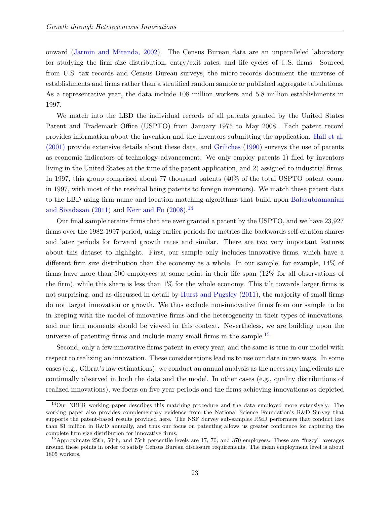onward [\(Jarmin and Miranda, 2002\)](#page-45-15). The Census Bureau data are an unparalleled laboratory for studying the firm size distribution, entry/exit rates, and life cycles of U.S. firms. Sourced from U.S. tax records and Census Bureau surveys, the micro-records document the universe of establishments and firms rather than a stratified random sample or published aggregate tabulations. As a representative year, the data include 108 million workers and 5.8 million establishments in 1997.

We match into the LBD the individual records of all patents granted by the United States Patent and Trademark Office (USPTO) from January 1975 to May 2008. Each patent record provides information about the invention and the inventors submitting the application. [Hall et al.](#page-44-9) [\(2001\)](#page-44-9) provide extensive details about these data, and [Griliches](#page-44-11) [\(1990\)](#page-44-11) surveys the use of patents as economic indicators of technology advancement. We only employ patents 1) filed by inventors living in the United States at the time of the patent application, and 2) assigned to industrial firms. In 1997, this group comprised about 77 thousand patents (40% of the total USPTO patent count in 1997, with most of the residual being patents to foreign inventors). We match these patent data to the LBD using firm name and location matching algorithms that build upon [Balasubramanian](#page-42-17) [and Sivadasan](#page-42-17)  $(2011)$  and [Kerr and Fu](#page-45-16)  $(2008).<sup>14</sup>$  $(2008).<sup>14</sup>$  $(2008).<sup>14</sup>$  $(2008).<sup>14</sup>$ 

Our final sample retains firms that are ever granted a patent by the USPTO, and we have 23,927 firms over the 1982-1997 period, using earlier periods for metrics like backwards self-citation shares and later periods for forward growth rates and similar. There are two very important features about this dataset to highlight. First, our sample only includes innovative firms, which have a different firm size distribution than the economy as a whole. In our sample, for example, 14% of firms have more than 500 employees at some point in their life span (12% for all observations of the firm), while this share is less than 1% for the whole economy. This tilt towards larger firms is not surprising, and as discussed in detail by [Hurst and Pugsley](#page-45-12) [\(2011\)](#page-45-12), the majority of small firms do not target innovation or growth. We thus exclude non-innovative firms from our sample to be in keeping with the model of innovative firms and the heterogeneity in their types of innovations, and our firm moments should be viewed in this context. Nevertheless, we are building upon the universe of patenting firms and include many small firms in the sample.<sup>[15](#page-24-1)</sup>

Second, only a few innovative firms patent in every year, and the same is true in our model with respect to realizing an innovation. These considerations lead us to use our data in two ways. In some cases (e.g., Gibrat's law estimations), we conduct an annual analysis as the necessary ingredients are continually observed in both the data and the model. In other cases (e.g., quality distributions of realized innovations), we focus on five-year periods and the firms achieving innovations as depicted

<span id="page-24-0"></span><sup>14</sup>Our NBER working paper describes this matching procedure and the data employed more extensively. The working paper also provides complementary evidence from the National Science Foundation's R&D Survey that supports the patent-based results provided here. The NSF Survey sub-samples R&D performers that conduct less than \$1 million in R&D annually, and thus our focus on patenting allows us greater confidence for capturing the complete firm size distribution for innovative firms.

<span id="page-24-1"></span><sup>&</sup>lt;sup>15</sup> Approximate 25th, 50th, and 75th percentile levels are 17, 70, and 370 employees. These are "fuzzy" averages around these points in order to satisfy Census Bureau disclosure requirements. The mean employment level is about 1805 workers.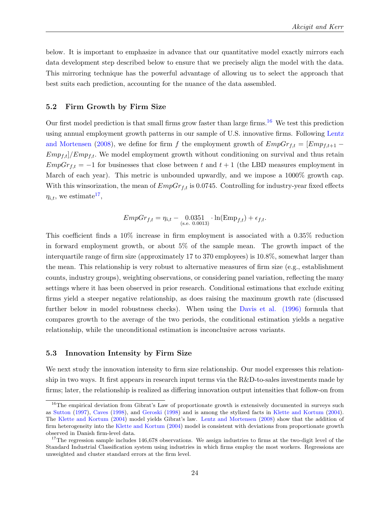below. It is important to emphasize in advance that our quantitative model exactly mirrors each data development step described below to ensure that we precisely align the model with the data. This mirroring technique has the powerful advantage of allowing us to select the approach that best suits each prediction, accounting for the nuance of the data assembled.

#### <span id="page-25-2"></span>5.2 Firm Growth by Firm Size

Our first model prediction is that small firms grow faster than large firms.<sup>[16](#page-25-0)</sup> We test this prediction using annual employment growth patterns in our sample of U.S. innovative firms. Following [Lentz](#page-46-1) [and Mortensen](#page-46-1) [\(2008\)](#page-46-1), we define for firm f the employment growth of  $EmpGr_{f,t} = [Emp_{f,t+1} Emp_{f,t}/Emp_{f,t}$ . We model employment growth without conditioning on survival and thus retain  $EmpGr_{f,t} = -1$  for businesses that close between t and  $t + 1$  (the LBD measures employment in March of each year). This metric is unbounded upwardly, and we impose a 1000% growth cap. With this winsorization, the mean of  $EmpGr_{f,t}$  is 0.0745. Controlling for industry-year fixed effects  $\eta_{i,t}$ , we estimate<sup>[17](#page-25-1)</sup>,

$$
EmpGr_{f,t} = \eta_{i,t} - 0.0351 \cdot \ln(\text{Emp}_{f,t}) + \epsilon_{f,t}.
$$

This coefficient finds a 10% increase in firm employment is associated with a 0.35% reduction in forward employment growth, or about 5% of the sample mean. The growth impact of the interquartile range of firm size (approximately 17 to 370 employees) is 10.8%, somewhat larger than the mean. This relationship is very robust to alternative measures of firm size (e.g., establishment counts, industry groups), weighting observations, or considering panel variation, reflecting the many settings where it has been observed in prior research. Conditional estimations that exclude exiting firms yield a steeper negative relationship, as does raising the maximum growth rate (discussed further below in model robustness checks). When using the [Davis et al. \(1996\)](#page-43-12) formula that compares growth to the average of the two periods, the conditional estimation yields a negative relationship, while the unconditional estimation is inconclusive across variants.

#### <span id="page-25-3"></span>5.3 Innovation Intensity by Firm Size

We next study the innovation intensity to firm size relationship. Our model expresses this relationship in two ways. It first appears in research input terms via the R&D-to-sales investments made by firms; later, the relationship is realized as differing innovation output intensities that follow-on from

<span id="page-25-0"></span><sup>&</sup>lt;sup>16</sup>The empirical deviation from Gibrat's Law of proportionate growth is extensively documented in surveys such as [Sutton](#page-47-14) [\(1997\)](#page-47-14), [Caves](#page-43-13) [\(1998\)](#page-43-13), and [Geroski](#page-44-12) [\(1998\)](#page-44-12) and is among the stylized facts in [Klette and Kortum](#page-46-0) [\(2004\)](#page-46-0). The [Klette and Kortum](#page-46-0) [\(2004\)](#page-46-0) model yields Gibrat's law. [Lentz and Mortensen](#page-46-1) [\(2008\)](#page-46-1) show that the addition of firm heterogeneity into the [Klette and Kortum](#page-46-0) [\(2004\)](#page-46-0) model is consistent with deviations from proportionate growth observed in Danish firm-level data.

<span id="page-25-1"></span> $17$ The regression sample includes  $146,678$  observations. We assign industries to firms at the two-digit level of the Standard Industrial Classification system using industries in which firms employ the most workers. Regressions are unweighted and cluster standard errors at the firm level.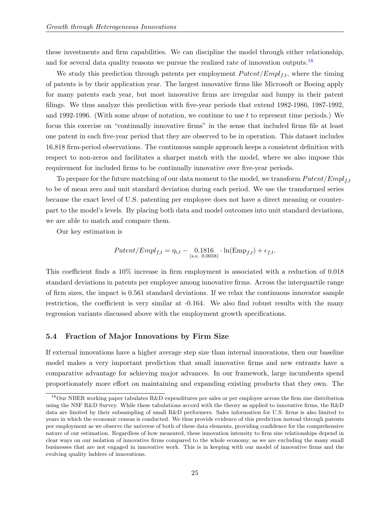these investments and firm capabilities. We can discipline the model through either relationship, and for several data quality reasons we pursue the realized rate of innovation outputs.<sup>[18](#page-26-0)</sup>

We study this prediction through patents per employment  $Patternyl_{f,t}$ , where the timing of patents is by their application year. The largest innovative firms like Microsoft or Boeing apply for many patents each year, but most innovative firms are irregular and lumpy in their patent filings. We thus analyze this prediction with five-year periods that extend 1982-1986, 1987-1992, and 1992-1996. (With some abuse of notation, we continue to use  $t$  to represent time periods.) We focus this exercise on "continually innovative firms" in the sense that included firms file at least one patent in each five-year period that they are observed to be in operation. This dataset includes 16,818 firm-period observations. The continuous sample approach keeps a consistent definition with respect to non-zeros and facilitates a sharper match with the model, where we also impose this requirement for included firms to be continually innovative over five-year periods.

To prepare for the future matching of our data moment to the model, we transform  $Pattern[Empty]$ to be of mean zero and unit standard deviation during each period. We use the transformed series because the exact level of U.S. patenting per employee does not have a direct meaning or counterpart to the model's levels. By placing both data and model outcomes into unit standard deviations, we are able to match and compare them.

Our key estimation is

$$
Patent / Empl_{f,t} = \eta_{i,t} - 0.1816 \cdot \ln(\text{Emp}_{f,t}) + \epsilon_{f,t}.
$$

This coefficient finds a 10% increase in firm employment is associated with a reduction of 0.018 standard deviations in patents per employee among innovative firms. Across the interquartile range of firm sizes, the impact is 0.561 standard deviations. If we relax the continuous innovator sample restriction, the coefficient is very similar at -0.164. We also find robust results with the many regression variants discussed above with the employment growth specifications.

#### <span id="page-26-1"></span>5.4 Fraction of Major Innovations by Firm Size

If external innovations have a higher average step size than internal innovations, then our baseline model makes a very important prediction that small innovative firms and new entrants have a comparative advantage for achieving major advances. In our framework, large incumbents spend proportionately more effort on maintaining and expanding existing products that they own. The

<span id="page-26-0"></span><sup>&</sup>lt;sup>18</sup>Our NBER working paper tabulates R&D expenditures per sales or per employee across the firm size distribution using the NSF R&D Survey. While these tabulations accord with the theory as applied to innovative firms, the R&D data are limited by their subsampling of small R&D performers. Sales information for U.S. firms is also limited to years in which the economic census is conducted. We thus provide evidence of this prediction instead through patents per employment as we observe the universe of both of these data elements, providing confidence for the comprehensive nature of our estimation. Regardless of how measured, these innovation intensity to firm size relationships depend in clear ways on our isolation of innovative firms compared to the whole economy, as we are excluding the many small businesses that are not engaged in innovative work. This is in keeping with our model of innovative firms and the evolving quality ladders of innovations.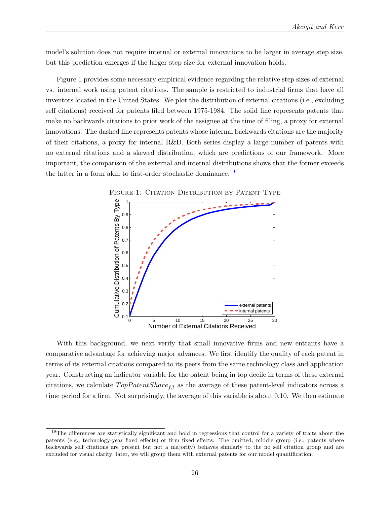model's solution does not require internal or external innovations to be larger in average step size, but this prediction emerges if the larger step size for external innovation holds.

Figure [1](#page-27-0) provides some necessary empirical evidence regarding the relative step sizes of external vs. internal work using patent citations. The sample is restricted to industrial firms that have all inventors located in the United States. We plot the distribution of external citations (i.e., excluding self citations) received for patents filed between 1975-1984. The solid line represents patents that make no backwards citations to prior work of the assignee at the time of filing, a proxy for external innovations. The dashed line represents patents whose internal backwards citations are the majority of their citations, a proxy for internal R&D. Both series display a large number of patents with no external citations and a skewed distribution, which are predictions of our framework. More important, the comparison of the external and internal distributions shows that the former exceeds the latter in a form akin to first-order stochastic dominance.[19](#page-27-1)



<span id="page-27-0"></span>FIGURE 1: CITATION DISTRIBUTION BY PATENT TYPE

With this background, we next verify that small innovative firms and new entrants have a comparative advantage for achieving major advances. We first identify the quality of each patent in terms of its external citations compared to its peers from the same technology class and application year. Constructing an indicator variable for the patent being in top decile in terms of these external citations, we calculate  $TopPatentShare_{f,t}$  as the average of these patent-level indicators across a time period for a firm. Not surprisingly, the average of this variable is about 0.10. We then estimate

<span id="page-27-1"></span><sup>&</sup>lt;sup>19</sup>The differences are statistically significant and hold in regressions that control for a variety of traits about the patents (e.g., technology-year fixed effects) or firm fixed effects. The omitted, middle group (i.e., patents where backwards self citations are present but not a majority) behaves similarly to the no self citation group and are excluded for visual clarity; later, we will group them with external patents for our model quantification.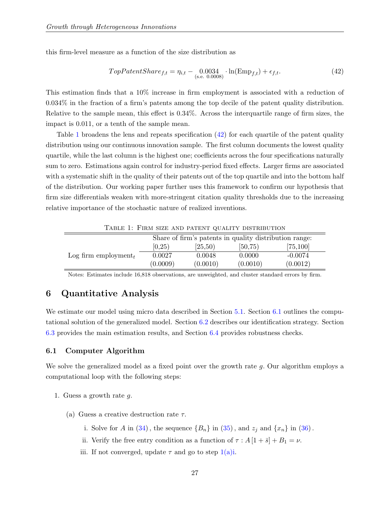this firm-level measure as a function of the size distribution as

<span id="page-28-2"></span>
$$
TopPatentshare_{f,t} = \eta_{i,t} - 0.0034 \cdot \ln(\text{Emp}_{f,t}) + \epsilon_{f,t}.
$$
\n
$$
(42)
$$

This estimation finds that a 10% increase in firm employment is associated with a reduction of 0.034% in the fraction of a firm's patents among the top decile of the patent quality distribution. Relative to the sample mean, this effect is 0.34%. Across the interquartile range of firm sizes, the impact is 0.011, or a tenth of the sample mean.

Table [1](#page-28-1) broadens the lens and repeats specification [\(42\)](#page-28-2) for each quartile of the patent quality distribution using our continuous innovation sample. The first column documents the lowest quality quartile, while the last column is the highest one; coefficients across the four specifications naturally sum to zero. Estimations again control for industry-period fixed effects. Larger firms are associated with a systematic shift in the quality of their patents out of the top quartile and into the bottom half of the distribution. Our working paper further uses this framework to confirm our hypothesis that firm size differentials weaken with more-stringent citation quality thresholds due to the increasing relative importance of the stochastic nature of realized inventions.

<span id="page-28-1"></span>

|                                                        |          |          | TABLE 1. FIRM SIZE AND PATENT QUALITY DISTRIBUTION |           |  |
|--------------------------------------------------------|----------|----------|----------------------------------------------------|-----------|--|
| Share of firm's patents in quality distribution range: |          |          |                                                    |           |  |
|                                                        | [0,25)   | [25,50)  | [50, 75)                                           | [75, 100] |  |
| Log firm employment,                                   | 0.0027   | 0.0048   | 0.0000                                             | $-0.0074$ |  |
|                                                        | (0.0009) | (0.0010) | (0.0010)                                           | (0.0012)  |  |

Table 1: Firm size and patent quality distribution

Notes: Estimates include 16,818 observations, are unweighted, and cluster standard errors by firm.

# <span id="page-28-0"></span>6 Quantitative Analysis

We estimate our model using micro data described in Section [5.1.](#page-23-0) Section [6.1](#page-28-3) outlines the computational solution of the generalized model. Section [6.2](#page-29-0) describes our identification strategy. Section [6.3](#page-33-0) provides the main estimation results, and Section [6.4](#page-39-0) provides robustness checks.

#### <span id="page-28-3"></span>6.1 Computer Algorithm

We solve the generalized model as a fixed point over the growth rate q. Our algorithm employs a computational loop with the following steps:

- <span id="page-28-5"></span><span id="page-28-4"></span>1. Guess a growth rate g.
	- (a) Guess a creative destruction rate  $\tau$ .
		- i. Solve for A in  $(34)$ , the sequence  ${B_n}$  in  $(35)$ , and  $z_j$  and  ${x_n}$  in  $(36)$ .
		- ii. Verify the free entry condition as a function of  $\tau : A[1 + \bar{s}] + B_1 = \nu$ .
		- iii. If not converged, update  $\tau$  and go to step  $1(a)i$ .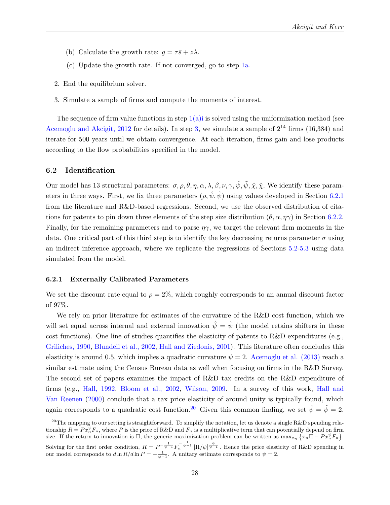- (b) Calculate the growth rate:  $g = \tau \bar{s} + z\lambda$ .
- (c) Update the growth rate. If not converged, go to step [1a.](#page-28-5)
- 2. End the equilibrium solver.
- <span id="page-29-1"></span>3. Simulate a sample of firms and compute the moments of interest.

The sequence of firm value functions in step  $1(a)$  is solved using the uniformization method (see [Acemoglu and Akcigit, 2012](#page-42-10) for details). In step [3,](#page-29-1) we simulate a sample of  $2^{14}$  firms (16,384) and iterate for 500 years until we obtain convergence. At each iteration, firms gain and lose products according to the flow probabilities specified in the model.

#### <span id="page-29-0"></span>6.2 Identification

Our model has 13 structural parameters:  $\sigma, \rho, \theta, \eta, \alpha, \lambda, \beta, \nu, \gamma, \hat{\psi}, \tilde{\psi}, \tilde{\chi}, \tilde{\chi}$ . We identify these parameters in three ways. First, we fix three parameters  $(\rho, \hat{\psi}, \tilde{\psi})$  using values developed in Section [6.2.1](#page-29-2) from the literature and R&D-based regressions. Second, we use the observed distribution of citations for patents to pin down three elements of the step size distribution  $(\theta, \alpha, \eta\gamma)$  in Section [6.2.2.](#page-30-0) Finally, for the remaining parameters and to parse  $\eta\gamma$ , we target the relevant firm moments in the data. One critical part of this third step is to identify the key decreasing returns parameter  $\sigma$  using an indirect inference approach, where we replicate the regressions of Sections [5.2-](#page-25-2)[5.3](#page-25-3) using data simulated from the model.

#### <span id="page-29-2"></span>6.2.1 Externally Calibrated Parameters

We set the discount rate equal to  $\rho = 2\%$ , which roughly corresponds to an annual discount factor of 97%.

We rely on prior literature for estimates of the curvature of the R&D cost function, which we will set equal across internal and external innovation  $\hat{\psi} = \tilde{\psi}$  (the model retains shifters in these cost functions). One line of studies quantifies the elasticity of patents to R&D expenditures (e.g., [Griliches, 1990,](#page-44-11) [Blundell et al., 2002,](#page-43-14) [Hall and Ziedonis, 2001\)](#page-44-13). This literature often concludes this elasticity is around 0.5, which implies a quadratic curvature  $\psi = 2$ . [Acemoglu et al. \(2013\)](#page-42-0) reach a similar estimate using the Census Bureau data as well when focusing on firms in the R&D Survey. The second set of papers examines the impact of R&D tax credits on the R&D expenditure of firms (e.g., [Hall, 1992,](#page-44-14) [Bloom et al., 2002,](#page-43-15) [Wilson, 2009.](#page-47-15) In a survey of this work, [Hall and](#page-44-15) [Van Reenen](#page-44-15) [\(2000\)](#page-44-15) conclude that a tax price elasticity of around unity is typically found, which again corresponds to a quadratic cost function.<sup>[20](#page-29-3)</sup> Given this common finding, we set  $\hat{\psi} = \tilde{\psi} = 2$ .

<span id="page-29-3"></span><sup>&</sup>lt;sup>20</sup>The mapping to our setting is straightforward. To simplify the notation, let us denote a single R&D spending relationship  $R = Px_n^{\psi}F_n$ , where P is the price of R&D and  $F_n$  is a multiplicative term that can potentially depend on firm size. If the return to innovation is  $\Pi$ , the generic maximization problem can be written as  $\max_{x_n} \{x_n \Pi - Px_n^{\psi} F_n\}$ . Solving for the first order condition,  $R = P^{-\frac{1}{\psi-1}} F_n^{-\frac{1}{\psi-1}} [\Pi/\psi]^{\frac{\psi}{\psi-1}}$ . Hence the price elasticity of R&D spending in our model corresponds to  $d \ln R/d \ln P = -\frac{1}{\psi - 1}$ . A unitary estimate corresponds to  $\psi = 2$ .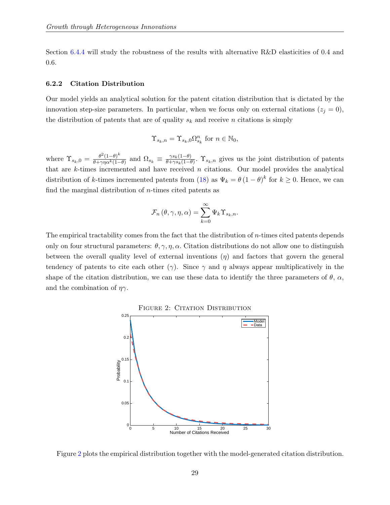Section [6.4.4](#page-40-0) will study the robustness of the results with alternative R&D elasticities of 0.4 and 0.6.

#### <span id="page-30-0"></span>6.2.2 Citation Distribution

Our model yields an analytical solution for the patent citation distribution that is dictated by the innovation step-size parameters. In particular, when we focus only on external citations ( $z_i = 0$ ), the distribution of patents that are of quality  $s_k$  and receive n citations is simply

$$
\Upsilon_{s_k,n}=\Upsilon_{s_k,0}\Omega_{s_k}^n \text{ for } n\in\mathbb{N}_0,
$$

where  $\Upsilon_{s_k,0} = \frac{\theta^2 (1-\theta)^k}{\theta + \gamma n \alpha^k (1-\theta)^k}$  $\frac{\theta^2(1-\theta)^k}{\theta+\gamma\eta\alpha^k(1-\theta)}$  and  $\Omega_{s_k} \equiv \frac{\gamma s_k(1-\theta)}{\theta+\gamma s_k(1-\theta)}$  $\frac{\gamma s_k(1-\theta)}{\theta+\gamma s_k(1-\theta)}$ .  $\Upsilon_{s_k,n}$  gives us the joint distribution of patents that are  $k$ -times incremented and have received  $n$  citations. Our model provides the analytical distribution of k-times incremented patents from [\(18\)](#page-13-2) as  $\Psi_k = \theta (1 - \theta)^k$  for  $k \geq 0$ . Hence, we can find the marginal distribution of  $n$ -times cited patents as

$$
\mathcal{F}_n(\theta, \gamma, \eta, \alpha) = \sum_{k=0}^{\infty} \Psi_k \Upsilon_{s_k, n}.
$$

<span id="page-30-1"></span>The empirical tractability comes from the fact that the distribution of n-times cited patents depends only on four structural parameters:  $\theta$ ,  $\gamma$ ,  $\eta$ ,  $\alpha$ . Citation distributions do not allow one to distinguish between the overall quality level of external inventions  $(\eta)$  and factors that govern the general tendency of patents to cite each other ( $\gamma$ ). Since  $\gamma$  and  $\eta$  always appear multiplicatively in the shape of the citation distribution, we can use these data to identify the three parameters of  $\theta$ ,  $\alpha$ , and the combination of  $\eta\gamma$ .



FIGURE 2: CITATION DISTRIBUTION

Figure [2](#page-30-1) plots the empirical distribution together with the model-generated citation distribution.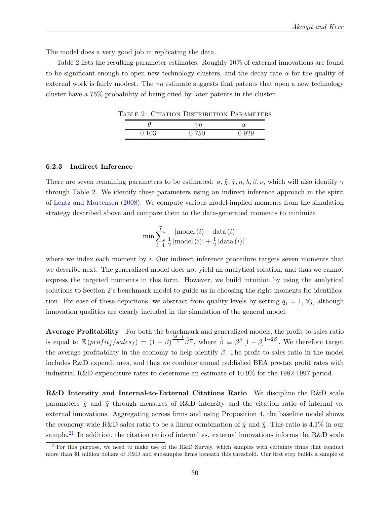The model does a very good job in replicating the data.

<span id="page-31-0"></span>Table [2](#page-31-0) lists the resulting parameter estimates. Roughly 10% of external innovations are found to be significant enough to open new technology clusters, and the decay rate  $\alpha$  for the quality of external work is fairly modest. The  $\gamma\eta$  estimate suggests that patents that open a new technology cluster have a 75% probability of being cited by later patents in the cluster.

Table 2: Citation Distribution Parameters

|       | $\sim$ n                        |       |
|-------|---------------------------------|-------|
| 0.100 | v.<br>$\cdot$ , $\circ$ $\circ$ | 1.929 |

#### 6.2.3 Indirect Inference

There are seven remaining parameters to be estimated:  $\sigma, \tilde{\chi}, \hat{\chi}, \eta, \lambda, \beta, \nu$ , which will also identify  $\gamma$ through Table [2.](#page-31-0) We identify these parameters using an indirect inference approach in the spirit of [Lentz and Mortensen](#page-46-1) [\(2008\)](#page-46-1). We compute various model-implied moments from the simulation strategy described above and compare them to the data-generated moments to minimize

$$
\min \sum_{i=1}^{7} \frac{|\text{model}(i) - \text{data}(i)|}{\frac{1}{2}|\text{model}(i)| + \frac{1}{2}|\text{data}(i)|},
$$

where we index each moment by *i*. Our indirect inference procedure targets seven moments that we describe next. The generalized model does not yield an analytical solution, and thus we cannot express the targeted moments in this form. However, we build intuition by using the analytical solutions to Section 2's benchmark model to guide us in choosing the right moments for identification. For ease of these depictions, we abstract from quality levels by setting  $q_i = 1, \forall j$ , although innovation qualities are clearly included in the simulation of the general model.

Average Profitability For both the benchmark and generalized models, the profit-to-sales ratio is equal to  $\mathbb{E} (profit_f/sales_f) = (1 - \beta)^{\frac{2\beta - 1}{\beta}} \tilde{\beta}^{\frac{1}{\beta}},$  where  $\tilde{\beta} \equiv \beta^{\beta} [1 - \beta]^{1 - 2\beta}$ . We therefore target the average profitability in the economy to help identify  $\beta$ . The profit-to-sales ratio in the model includes R&D expenditures, and thus we combine annual published BEA pre-tax profit rates with industrial R&D expenditure rates to determine an estimate of 10.9% for the 1982-1997 period.

R&D Intensity and Internal-to-External Citations Ratio We discipline the R&D scale parameters  $\hat{\chi}$  and  $\tilde{\chi}$  through measures of R&D intensity and the citation ratio of internal vs. external innovations. Aggregating across firms and using Proposition [4,](#page-18-2) the baseline model shows the economy-wide R&D-sales ratio to be a linear combination of  $\hat{\chi}$  and  $\tilde{\chi}$ . This ratio is 4.1% in our sample.<sup>[21](#page-31-1)</sup> In addition, the citation ratio of internal vs. external innovations informs the R&D scale

<span id="page-31-1"></span><sup>&</sup>lt;sup>21</sup>For this purpose, we need to make use of the R&D Survey, which samples with certainty firms that conduct more than \$1 million dollars of R&D and subsamples firms beneath this threshold. Our first step builds a sample of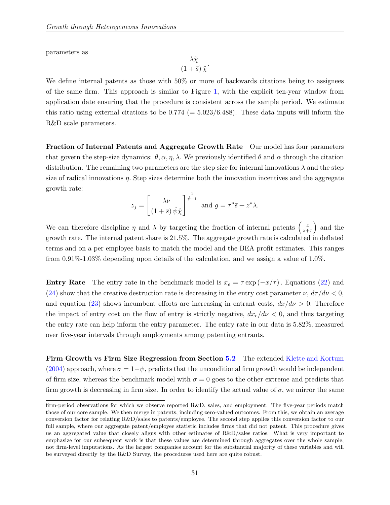parameters as

$$
\frac{\lambda \tilde{\chi}}{\left(1+\bar{s}\right)\hat{\chi}}
$$

.

We define internal patents as those with  $50\%$  or more of backwards citations being to assignees of the same firm. This approach is similar to Figure [1,](#page-27-0) with the explicit ten-year window from application date ensuring that the procedure is consistent across the sample period. We estimate this ratio using external citations to be  $0.774 (= 5.023/6.488)$ . These data inputs will inform the R&D scale parameters.

Fraction of Internal Patents and Aggregate Growth Rate Our model has four parameters that govern the step-size dynamics:  $\theta$ ,  $\alpha$ ,  $\eta$ ,  $\lambda$ . We previously identified  $\theta$  and  $\alpha$  through the citation distribution. The remaining two parameters are the step size for internal innovations  $\lambda$  and the step size of radical innovations  $\eta$ . Step sizes determine both the innovation incentives and the aggregate growth rate:

$$
z_j = \left[\frac{\lambda \nu}{(1+\bar{s})\,\hat{\psi}\hat{\chi}}\right]^{\frac{1}{\hat{\psi}-1}} \text{ and } g = \tau^* \bar{s} + z^* \lambda.
$$

We can therefore discipline  $\eta$  and  $\lambda$  by targeting the fraction of internal patents  $\left(\frac{z}{z+1}\right)$  $\frac{z}{z+\tau}$  and the growth rate. The internal patent share is 21.5%. The aggregate growth rate is calculated in deflated terms and on a per employee basis to match the model and the BEA profit estimates. This ranges from 0.91%-1.03% depending upon details of the calculation, and we assign a value of 1.0%.

**Entry Rate** The entry rate in the benchmark model is  $x_e = \tau \exp(-x/\tau)$ . Equations [\(22\)](#page-15-5) and [\(24\)](#page-15-4) show that the creative destruction rate is decreasing in the entry cost parameter  $\nu$ ,  $d\tau/d\nu < 0$ , and equation [\(23\)](#page-15-3) shows incumbent efforts are increasing in entrant costs,  $dx/d\nu > 0$ . Therefore the impact of entry cost on the flow of entry is strictly negative,  $dx_e/d\nu < 0$ , and thus targeting the entry rate can help inform the entry parameter. The entry rate in our data is 5.82%, measured over five-year intervals through employments among patenting entrants.

Firm Growth vs Firm Size Regression from Section [5.2](#page-25-2) The extended [Klette and Kortum](#page-46-0) [\(2004\)](#page-46-0) approach, where  $\sigma = 1-\psi$ , predicts that the unconditional firm growth would be independent of firm size, whereas the benchmark model with  $\sigma = 0$  goes to the other extreme and predicts that firm growth is decreasing in firm size. In order to identify the actual value of  $\sigma$ , we mirror the same

firm-period observations for which we observe reported R&D, sales, and employment. The five-year periods match those of our core sample. We then merge in patents, including zero-valued outcomes. From this, we obtain an average conversion factor for relating R&D/sales to patents/employee. The second step applies this conversion factor to our full sample, where our aggregate patent/employee statistic includes firms that did not patent. This procedure gives us an aggregated value that closely aligns with other estimates of R&D/sales ratios. What is very important to emphasize for our subsequent work is that these values are determined through aggregates over the whole sample, not firm-level imputations. As the largest companies account for the substantial majority of these variables and will be surveyed directly by the R&D Survey, the procedures used here are quite robust.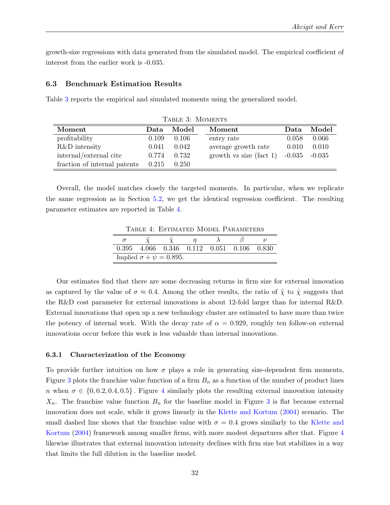growth-size regressions with data generated from the simulated model. The empirical coefficient of interest from the earlier work is -0.035.

#### <span id="page-33-0"></span>6.3 Benchmark Estimation Results

Ë

þ

<span id="page-33-1"></span>Table [3](#page-33-1) reports the empirical and simulated moments using the generalized model.

| TABLE 3: MOMENTS             |       |       |                            |          |          |  |
|------------------------------|-------|-------|----------------------------|----------|----------|--|
| Moment                       | Data  | Model | Moment                     | Data     | Model    |  |
| profitability                | 0.109 | 0.106 | entry rate                 | 0.058    | 0.066    |  |
| R&D intensity                | 0.041 | 0.042 | average growth rate        | 0.010    | 0.010    |  |
| internal/external cite       | 0.774 | 0.732 | growth vs size (fact $1$ ) | $-0.035$ | $-0.035$ |  |
| fraction of internal patents | 0.215 | 0.250 |                            |          |          |  |

<span id="page-33-2"></span>Overall, the model matches closely the targeted moments. In particular, when we replicate the same regression as in Section [5.2,](#page-25-2) we get the identical regression coefficient. The resulting parameter estimates are reported in Table [4.](#page-33-2)

Table 4: Estimated Model Parameters

| $0.395$ $4.066$ $0.346$ $0.112$ $0.051$ $0.106$ |  |  | 0.830 |
|-------------------------------------------------|--|--|-------|
| Implied $\sigma + \psi = 0.895$ .               |  |  |       |

Our estimates find that there are some decreasing returns in firm size for external innovation as captured by the value of  $\sigma \approx 0.4$ . Among the other results, the ratio of  $\tilde{\chi}$  to  $\hat{\chi}$  suggests that the R&D cost parameter for external innovations is about 12-fold larger than for internal R&D. External innovations that open up a new technology cluster are estimated to have more than twice the potency of internal work. With the decay rate of  $\alpha = 0.929$ , roughly ten follow-on external innovations occur before this work is less valuable than internal innovations.

#### 6.3.1 Characterization of the Economy

To provide further intuition on how  $\sigma$  plays a role in generating size-dependent firm moments, Figure [3](#page-34-0) plots the franchise value function of a firm  $B_n$  as a function of the number of product lines n when  $\sigma \in \{0, 0.2, 0.4, 0.5\}$  $\sigma \in \{0, 0.2, 0.4, 0.5\}$  $\sigma \in \{0, 0.2, 0.4, 0.5\}$ . Figure 4 similarly plots the resulting external innovation intensity  $X_n$ . The franchise value function  $B_n$  for the baseline model in Figure [3](#page-34-0) is flat because external innovation does not scale, while it grows linearly in the [Klette and Kortum](#page-46-0) [\(2004\)](#page-46-0) scenario. The small dashed line shows that the franchise value with  $\sigma = 0.4$  grows similarly to the [Klette and](#page-46-0) [Kortum](#page-46-0) [\(2004\)](#page-46-0) framework among smaller firms, with more modest departures after that. Figure [4](#page-34-0) likewise illustrates that external innovation intensity declines with firm size but stabilizes in a way that limits the full dilution in the baseline model.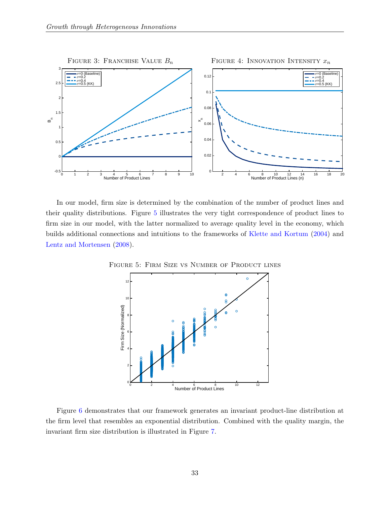<span id="page-34-0"></span>

<span id="page-34-1"></span>In our model, firm size is determined by the combination of the number of product lines and their quality distributions. Figure [5](#page-34-1) illustrates the very tight correspondence of product lines to firm size in our model, with the latter normalized to average quality level in the economy, which builds additional connections and intuitions to the frameworks of [Klette and Kortum](#page-46-0) [\(2004\)](#page-46-0) and [Lentz and Mortensen](#page-46-1) [\(2008\)](#page-46-1).



Figure [6](#page-35-0) demonstrates that our framework generates an invariant product-line distribution at the firm level that resembles an exponential distribution. Combined with the quality margin, the invariant firm size distribution is illustrated in Figure [7.](#page-35-0)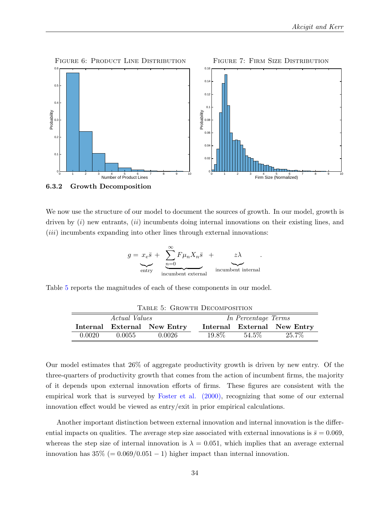<span id="page-35-0"></span>

We now use the structure of our model to document the sources of growth. In our model, growth is driven by  $(i)$  new entrants,  $(ii)$  incumbents doing internal innovations on their existing lines, and (*iii*) incumbents expanding into other lines through external innovations:

$$
g = x_e \overline{s} + \underbrace{\sum_{n=0}^{\infty} F \mu_n X_n \overline{s}}_{\text{incumbent external}} + \underbrace{z \lambda}_{\text{incumbent internal}}.
$$

<span id="page-35-1"></span>Table [5](#page-35-1) reports the magnitudes of each of these components in our model.

| TABLE 5: GROWTH DECOMPOSITION |                      |                             |       |                     |                             |
|-------------------------------|----------------------|-----------------------------|-------|---------------------|-----------------------------|
|                               | <i>Actual Values</i> |                             |       | In Percentage Terms |                             |
|                               |                      | Internal External New Entry |       |                     | Internal External New Entry |
| 0.0020                        | 0.0055               | 0.0026                      | 19.8% | $54.5\%$            | 25.7%                       |

Our model estimates that 26% of aggregate productivity growth is driven by new entry. Of the three-quarters of productivity growth that comes from the action of incumbent firms, the majority of it depends upon external innovation efforts of firms. These figures are consistent with the empirical work that is surveyed by [Foster et al. \(2000\),](#page-44-16) recognizing that some of our external innovation effect would be viewed as entry/exit in prior empirical calculations.

Another important distinction between external innovation and internal innovation is the differential impacts on qualities. The average step size associated with external innovations is  $\bar{s} = 0.069$ , whereas the step size of internal innovation is  $\lambda = 0.051$ , which implies that an average external innovation has  $35\% (= 0.069/0.051 - 1)$  higher impact than internal innovation.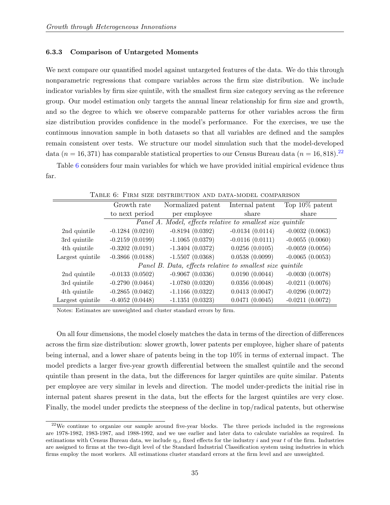#### 6.3.3 Comparison of Untargeted Moments

We next compare our quantified model against untargeted features of the data. We do this through nonparametric regressions that compare variables across the firm size distribution. We include indicator variables by firm size quintile, with the smallest firm size category serving as the reference group. Our model estimation only targets the annual linear relationship for firm size and growth, and so the degree to which we observe comparable patterns for other variables across the firm size distribution provides confidence in the model's performance. For the exercises, we use the continuous innovation sample in both datasets so that all variables are defined and the samples remain consistent over tests. We structure our model simulation such that the model-developed data ( $n = 16, 371$ ) has comparable statistical properties to our Census Bureau data ( $n = 16, 818$ ).<sup>[22](#page-36-0)</sup>

<span id="page-36-1"></span>Table [6](#page-36-1) considers four main variables for which we have provided initial empirical evidence thus far.

|                  | Growth rate       | Normalized patent                                          | Internal patent   | Top $10\%$ patent |
|------------------|-------------------|------------------------------------------------------------|-------------------|-------------------|
|                  | to next period    | per employee                                               | share             | share             |
|                  |                   | Panel A. Model, effects relative to smallest size quintile |                   |                   |
| 2nd quintile     | $-0.1284(0.0210)$ | $-0.8194(0.0392)$                                          | $-0.0134(0.0114)$ | $-0.0032(0.0063)$ |
| 3rd quintile     | $-0.2159(0.0199)$ | $-1.1065(0.0379)$                                          | $-0.0116(0.0111)$ | $-0.0055(0.0060)$ |
| 4th quintile     | $-0.3202(0.0191)$ | $-1.3404(0.0372)$                                          | 0.0256(0.0105)    | $-0.0059(0.0056)$ |
| Largest quintile | $-0.3866(0.0188)$ | $-1.5507(0.0368)$                                          | 0.0538(0.0099)    | $-0.0065(0.0053)$ |
|                  |                   | Panel B. Data, effects relative to smallest size quintile  |                   |                   |
| 2nd quintile     | $-0.0133(0.0502)$ | $-0.9067(0.0336)$                                          | 0.0190(0.0044)    | $-0.0030(0.0078)$ |
| 3rd quintile     | $-0.2790(0.0464)$ | $-1.0780(0.0320)$                                          | 0.0356(0.0048)    | $-0.0211(0.0076)$ |
| 4th quintile     | $-0.2865(0.0462)$ | $-1.1166(0.0322)$                                          | 0.0413(0.0047)    | $-0.0296(0.0072)$ |
| Largest quintile | $-0.4052(0.0448)$ | $-1.1351(0.0323)$                                          | 0.0471(0.0045)    | $-0.0211(0.0072)$ |

Table 6: Firm size distribution and data-model comparison

Notes: Estimates are unweighted and cluster standard errors by firm.

On all four dimensions, the model closely matches the data in terms of the direction of differences across the firm size distribution: slower growth, lower patents per employee, higher share of patents being internal, and a lower share of patents being in the top 10% in terms of external impact. The model predicts a larger five-year growth differential between the smallest quintile and the second quintile than present in the data, but the differences for larger quintiles are quite similar. Patents per employee are very similar in levels and direction. The model under-predicts the initial rise in internal patent shares present in the data, but the effects for the largest quintiles are very close. Finally, the model under predicts the steepness of the decline in top/radical patents, but otherwise

<span id="page-36-0"></span> $22$ We continue to organize our sample around five-year blocks. The three periods included in the regressions are 1978-1982, 1983-1987, and 1988-1992, and we use earlier and later data to calculate variables as required. In estimations with Census Bureau data, we include  $\eta_{i,t}$  fixed effects for the industry i and year t of the firm. Industries are assigned to firms at the two-digit level of the Standard Industrial Classification system using industries in which firms employ the most workers. All estimations cluster standard errors at the firm level and are unweighted.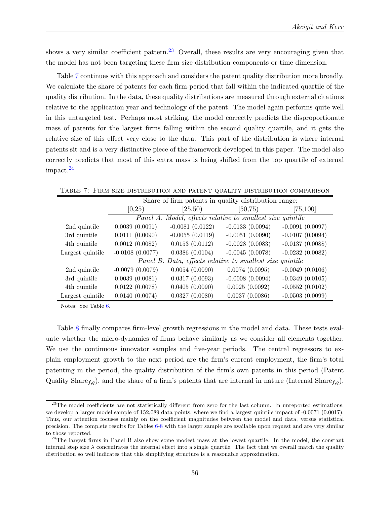shows a very similar coefficient pattern.<sup>[23](#page-37-0)</sup> Overall, these results are very encouraging given that the model has not been targeting these firm size distribution components or time dimension.

Table [7](#page-37-1) continues with this approach and considers the patent quality distribution more broadly. We calculate the share of patents for each firm-period that fall within the indicated quartile of the quality distribution. In the data, these quality distributions are measured through external citations relative to the application year and technology of the patent. The model again performs quite well in this untargeted test. Perhaps most striking, the model correctly predicts the disproportionate mass of patents for the largest firms falling within the second quality quartile, and it gets the relative size of this effect very close to the data. This part of the distribution is where internal patents sit and is a very distinctive piece of the framework developed in this paper. The model also correctly predicts that most of this extra mass is being shifted from the top quartile of external impact.[24](#page-37-2)

|                  | Share of firm patents in quality distribution range: |                     |                                                            |                   |  |
|------------------|------------------------------------------------------|---------------------|------------------------------------------------------------|-------------------|--|
|                  | [0,25)                                               | [50, 75)<br>(25,50) |                                                            | [75, 100]         |  |
|                  |                                                      |                     | Panel A. Model, effects relative to smallest size quintile |                   |  |
| 2nd quintile     | 0.0039(0.0091)                                       | $-0.0081(0.0122)$   | $-0.0133(0.0094)$                                          | $-0.0091(0.0097)$ |  |
| 3rd quintile     | 0.0111(0.0090)                                       | $-0.0055(0.0119)$   | $-0.0051(0.0090)$                                          | $-0.0107(0.0094)$ |  |
| 4th quintile     | 0.0012(0.0082)                                       | 0.0153(0.0112)      | $-0.0028(0.0083)$                                          | $-0.0137(0.0088)$ |  |
| Largest quintile | $-0.0108(0.0077)$                                    | 0.0386(0.0104)      | $-0.0045(0.0078)$                                          | $-0.0232(0.0082)$ |  |
|                  |                                                      |                     | Panel B. Data, effects relative to smallest size quintile  |                   |  |
| 2nd quintile     | $-0.0079(0.0079)$                                    | 0.0054(0.0090)      | 0.0074(0.0095)                                             | $-0.0049(0.0106)$ |  |
| 3rd quintile     | 0.0039(0.0081)                                       | 0.0317(0.0093)      | $-0.0008(0.0094)$                                          | $-0.0349(0.0105)$ |  |
| 4th quintile     | 0.0122(0.0078)                                       | 0.0405(0.0090)      | 0.0025(0.0092)                                             | $-0.0552(0.0102)$ |  |
| Largest quintile | 0.0140(0.0074)                                       | 0.0327(0.0080)      | 0.0037(0.0086)                                             | $-0.0503(0.0099)$ |  |

<span id="page-37-1"></span>Table 7: Firm size distribution and patent quality distribution comparison

Notes: See Table [6.](#page-36-1)

Table [8](#page-38-0) finally compares firm-level growth regressions in the model and data. These tests evaluate whether the micro-dynamics of firms behave similarly as we consider all elements together. We use the continuous innovator samples and five-year periods. The central regressors to explain employment growth to the next period are the firm's current employment, the firm's total patenting in the period, the quality distribution of the firm's own patents in this period (Patent Quality Share<sub>f,q</sub>), and the share of a firm's patents that are internal in nature (Internal Share<sub>f,q</sub>).

<span id="page-37-0"></span><sup>&</sup>lt;sup>23</sup>The model coefficients are not statistically different from zero for the last column. In unreported estimations, we develop a larger model sample of 152,089 data points, where we find a largest quintile impact of -0.0071 (0.0017). Thus, our attention focuses mainly on the coefficient magnitudes between the model and data, versus statistical precision. The complete results for Tables [6-](#page-36-1)[8](#page-38-0) with the larger sample are available upon request and are very similar to those reported.

<span id="page-37-2"></span><sup>&</sup>lt;sup>24</sup>The largest firms in Panel B also show some modest mass at the lowest quartile. In the model, the constant internal step size  $\lambda$  concentrates the internal effect into a single quartile. The fact that we overall match the quality distribution so well indicates that this simplifying structure is a reasonable approximation.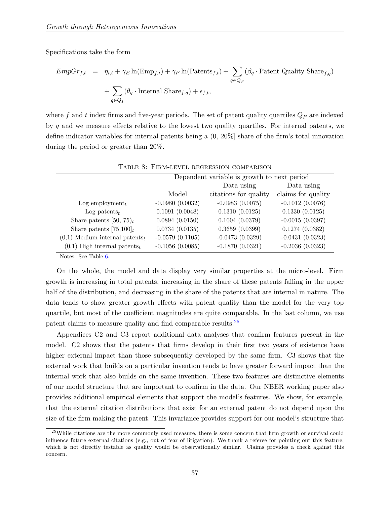Specifications take the form

$$
EmpGr_{f,t} = \eta_{i,t} + \gamma_E \ln(\text{Emp}_{f,t}) + \gamma_P \ln(\text{Patents}_{f,t}) + \sum_{q \in Q_P} (\beta_q \cdot \text{Patent Quality Shar}_{f,q}) + \sum_{q \in Q_I} (\theta_q \cdot \text{Internal Shar}_{f,q}) + \epsilon_{f,t},
$$

where f and t index firms and five-year periods. The set of patent quality quartiles  $Q_P$  are indexed by q and we measure effects relative to the lowest two quality quartiles. For internal patents, we define indicator variables for internal patents being a (0, 20%] share of the firm's total innovation during the period or greater than 20%.

<span id="page-38-0"></span>

|                                              |                   | Dependent variable is growth to next period |                    |
|----------------------------------------------|-------------------|---------------------------------------------|--------------------|
|                                              |                   | Data using                                  | Data using         |
|                                              | Model             | citations for quality                       | claims for quality |
| Log employment $_t$                          | $-0.0980(0.0032)$ | $-0.0983(0.0075)$                           | $-0.1012(0.0076)$  |
| Log patents $_t$                             | 0.1091(0.0048)    | 0.1310(0.0125)                              | 0.1330(0.0125)     |
| Share patents [50, 75) $_t$                  | 0.0894(0.0150)    | 0.1004(0.0379)                              | $-0.0015(0.0397)$  |
| Share patents $[75,100]_t$                   | 0.0734(0.0135)    | 0.3659(0.0399)                              | 0.1274(0.0382)     |
| $(0,1)$ Medium internal patents <sub>t</sub> | $-0.0579(0.1105)$ | $-0.0473(0.0329)$                           | $-0.0431(0.0323)$  |
| $(0,1)$ High internal patents <sub>t</sub>   | $-0.1056(0.0085)$ | $-0.1870(0.0321)$                           | $-0.2036(0.0323)$  |

Notes: See Table [6.](#page-36-1)

On the whole, the model and data display very similar properties at the micro-level. Firm growth is increasing in total patents, increasing in the share of these patents falling in the upper half of the distribution, and decreasing in the share of the patents that are internal in nature. The data tends to show greater growth effects with patent quality than the model for the very top quartile, but most of the coefficient magnitudes are quite comparable. In the last column, we use patent claims to measure quality and find comparable results.[25](#page-38-1)

Appendices C2 and C3 report additional data analyses that confirm features present in the model. C2 shows that the patents that firms develop in their first two years of existence have higher external impact than those subsequently developed by the same firm. C3 shows that the external work that builds on a particular invention tends to have greater forward impact than the internal work that also builds on the same invention. These two features are distinctive elements of our model structure that are important to confirm in the data. Our NBER working paper also provides additional empirical elements that support the model's features. We show, for example, that the external citation distributions that exist for an external patent do not depend upon the size of the firm making the patent. This invariance provides support for our model's structure that

<span id="page-38-1"></span><sup>&</sup>lt;sup>25</sup>While citations are the more commonly used measure, there is some concern that firm growth or survival could influence future external citations (e.g., out of fear of litigation). We thank a referee for pointing out this feature, which is not directly testable as quality would be observationally similar. Claims provides a check against this concern.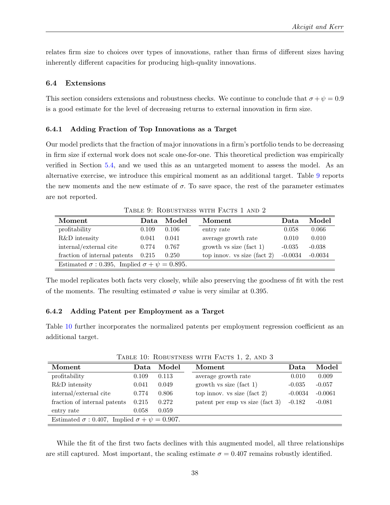relates firm size to choices over types of innovations, rather than firms of different sizes having inherently different capacities for producing high-quality innovations.

#### <span id="page-39-0"></span>6.4 Extensions

This section considers extensions and robustness checks. We continue to conclude that  $\sigma + \psi = 0.9$ is a good estimate for the level of decreasing returns to external innovation in firm size.

#### 6.4.1 Adding Fraction of Top Innovations as a Target

Our model predicts that the fraction of major innovations in a firm's portfolio tends to be decreasing in firm size if external work does not scale one-for-one. This theoretical prediction was empirically verified in Section [5.4,](#page-26-1) and we used this as an untargeted moment to assess the model. As an alternative exercise, we introduce this empirical moment as an additional target. Table [9](#page-39-1) reports the new moments and the new estimate of  $\sigma$ . To save space, the rest of the parameter estimates are not reported.

<span id="page-39-1"></span>

| TABLE 9. INJBUSTNESS WITH TAUTS I AND $\Delta$                |       |       |                               |           |           |
|---------------------------------------------------------------|-------|-------|-------------------------------|-----------|-----------|
| Moment                                                        | Data  | Model | Moment                        | Data      | Model     |
| profitability                                                 | 0.109 | 0.106 | entry rate                    | 0.058     | 0.066     |
| R&D intensity                                                 | 0.041 | 0.041 | average growth rate           | 0.010     | 0.010     |
| internal/external cite                                        | 0.774 | 0.767 | growth vs size (fact $1$ )    | $-0.035$  | $-0.038$  |
| fraction of internal patents $0.215$                          |       | 0.250 | top innov. $vs$ size (fact 2) | $-0.0034$ | $-0.0034$ |
| Estimated $\sigma$ : 0.395, Implied $\sigma + \psi = 0.895$ . |       |       |                               |           |           |

Table 0: Robustness with Facts 1 and 2

The model replicates both facts very closely, while also preserving the goodness of fit with the rest of the moments. The resulting estimated  $\sigma$  value is very similar at 0.395.

#### 6.4.2 Adding Patent per Employment as a Target

<span id="page-39-2"></span>Table [10](#page-39-2) further incorporates the normalized patents per employment regression coefficient as an additional target.

| Moment                                                        | Data  | Model | Moment                          | Data      | Model     |
|---------------------------------------------------------------|-------|-------|---------------------------------|-----------|-----------|
| profitability                                                 | 0.109 | 0.113 | average growth rate             | 0.010     | 0.009     |
| R&D intensity                                                 | 0.041 | 0.049 | growth vs size (fact $1$ )      | $-0.035$  | $-0.057$  |
| internal/external cite                                        | 0.774 | 0.806 | top innov. vs size (fact 2)     | $-0.0034$ | $-0.0061$ |
| fraction of internal patents                                  | 0.215 | 0.272 | patent per emp vs size (fact 3) | $-0.182$  | $-0.081$  |
| entry rate                                                    | 0.058 | 0.059 |                                 |           |           |
| Estimated $\sigma$ : 0.407, Implied $\sigma + \psi = 0.907$ . |       |       |                                 |           |           |

TABLE 10: ROBUSTNESS WITH FACTS 1, 2, AND 3

While the fit of the first two facts declines with this augmented model, all three relationships are still captured. Most important, the scaling estimate  $\sigma = 0.407$  remains robustly identified.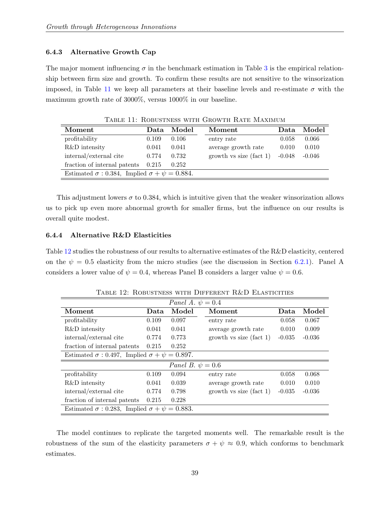#### 6.4.3 Alternative Growth Cap

The major moment influencing  $\sigma$  in the benchmark estimation in Table [3](#page-33-1) is the empirical relationship between firm size and growth. To confirm these results are not sensitive to the winsorization imposed, in Table [11](#page-40-1) we keep all parameters at their baseline levels and re-estimate  $\sigma$  with the maximum growth rate of 3000%, versus 1000% in our baseline.

<span id="page-40-1"></span>

| Moment                                                        | Data  | Model | Moment                    | Data     | Model    |  |
|---------------------------------------------------------------|-------|-------|---------------------------|----------|----------|--|
| profitability                                                 | 0.109 | 0.106 | entry rate                | 0.058    | 0.066    |  |
| R&D intensity                                                 | 0.041 | 0.041 | average growth rate       | 0.010    | 0.010    |  |
| internal/external cite                                        | 0.774 | 0.732 | growth vs size $(fact 1)$ | $-0.048$ | $-0.046$ |  |
| fraction of internal patents                                  | 0.215 | 0.252 |                           |          |          |  |
| Estimated $\sigma$ : 0.384, Implied $\sigma + \psi = 0.884$ . |       |       |                           |          |          |  |

TABLE 11: ROBUSTNESS WITH GROWTH RATE MAXIMUM

This adjustment lowers  $\sigma$  to 0.384, which is intuitive given that the weaker winsorization allows us to pick up even more abnormal growth for smaller firms, but the influence on our results is overall quite modest.

#### <span id="page-40-0"></span>6.4.4 Alternative R&D Elasticities

Table [12](#page-40-2) studies the robustness of our results to alternative estimates of the R&D elasticity, centered on the  $\psi = 0.5$  elasticity from the micro studies (see the discussion in Section [6.2.1\)](#page-29-2). Panel A considers a lower value of  $\psi = 0.4$ , whereas Panel B considers a larger value  $\psi = 0.6$ .

<span id="page-40-2"></span>

| Panel A. $\psi = 0.4$                                         |       |       |                            |          |          |  |  |
|---------------------------------------------------------------|-------|-------|----------------------------|----------|----------|--|--|
| Moment                                                        | Data  | Model | Moment                     | Data     | Model    |  |  |
| profitability                                                 | 0.109 | 0.097 | entry rate                 | 0.058    | 0.067    |  |  |
| R&D intensity                                                 | 0.041 | 0.041 | average growth rate        | 0.010    | 0.009    |  |  |
| internal/external cite                                        | 0.774 | 0.773 | growth vs size $(fact 1)$  | $-0.035$ | $-0.036$ |  |  |
| fraction of internal patents                                  | 0.215 | 0.252 |                            |          |          |  |  |
| Estimated $\sigma$ : 0.497, Implied $\sigma + \psi = 0.897$ . |       |       |                            |          |          |  |  |
| Panel B. $\psi = 0.6$                                         |       |       |                            |          |          |  |  |
| profitability                                                 | 0.109 | 0.094 | entry rate                 | 0.058    | 0.068    |  |  |
| R&D intensity                                                 | 0.041 | 0.039 | average growth rate        | 0.010    | 0.010    |  |  |
| internal/external cite                                        | 0.774 | 0.798 | growth vs size (fact $1$ ) | $-0.035$ | $-0.036$ |  |  |
| fraction of internal patents                                  | 0.215 | 0.228 |                            |          |          |  |  |
| Estimated $\sigma$ : 0.283, Implied $\sigma + \psi = 0.883$ . |       |       |                            |          |          |  |  |

Table 12: Robustness with Different R&D Elasticities

The model continues to replicate the targeted moments well. The remarkable result is the robustness of the sum of the elasticity parameters  $\sigma + \psi \approx 0.9$ , which conforms to benchmark estimates.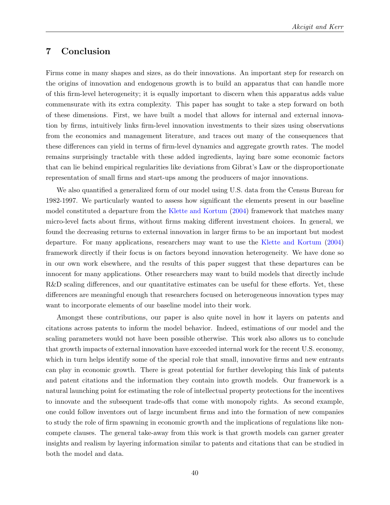# 7 Conclusion

Firms come in many shapes and sizes, as do their innovations. An important step for research on the origins of innovation and endogenous growth is to build an apparatus that can handle more of this firm-level heterogeneity; it is equally important to discern when this apparatus adds value commensurate with its extra complexity. This paper has sought to take a step forward on both of these dimensions. First, we have built a model that allows for internal and external innovation by firms, intuitively links firm-level innovation investments to their sizes using observations from the economics and management literature, and traces out many of the consequences that these differences can yield in terms of firm-level dynamics and aggregate growth rates. The model remains surprisingly tractable with these added ingredients, laying bare some economic factors that can lie behind empirical regularities like deviations from Gibrat's Law or the disproportionate representation of small firms and start-ups among the producers of major innovations.

We also quantified a generalized form of our model using U.S. data from the Census Bureau for 1982-1997. We particularly wanted to assess how significant the elements present in our baseline model constituted a departure from the [Klette and Kortum](#page-46-0) [\(2004\)](#page-46-0) framework that matches many micro-level facts about firms, without firms making different investment choices. In general, we found the decreasing returns to external innovation in larger firms to be an important but modest departure. For many applications, researchers may want to use the [Klette and Kortum](#page-46-0) [\(2004\)](#page-46-0) framework directly if their focus is on factors beyond innovation heterogeneity. We have done so in our own work elsewhere, and the results of this paper suggest that these departures can be innocent for many applications. Other researchers may want to build models that directly include R&D scaling differences, and our quantitative estimates can be useful for these efforts. Yet, these differences are meaningful enough that researchers focused on heterogeneous innovation types may want to incorporate elements of our baseline model into their work.

Amongst these contributions, our paper is also quite novel in how it layers on patents and citations across patents to inform the model behavior. Indeed, estimations of our model and the scaling parameters would not have been possible otherwise. This work also allows us to conclude that growth impacts of external innovation have exceeded internal work for the recent U.S. economy, which in turn helps identify some of the special role that small, innovative firms and new entrants can play in economic growth. There is great potential for further developing this link of patents and patent citations and the information they contain into growth models. Our framework is a natural launching point for estimating the role of intellectual property protections for the incentives to innovate and the subsequent trade-offs that come with monopoly rights. As second example, one could follow inventors out of large incumbent firms and into the formation of new companies to study the role of firm spawning in economic growth and the implications of regulations like noncompete clauses. The general take-away from this work is that growth models can garner greater insights and realism by layering information similar to patents and citations that can be studied in both the model and data.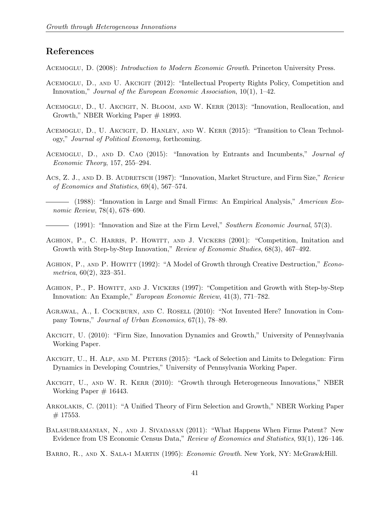# References

<span id="page-42-8"></span>ACEMOGLU, D. (2008): *Introduction to Modern Economic Growth*. Princeton University Press.

- <span id="page-42-10"></span>Acemoglu, D., and U. Akcigit (2012): "Intellectual Property Rights Policy, Competition and Innovation," Journal of the European Economic Association, 10(1), 1–42.
- <span id="page-42-0"></span>Acemoglu, D., U. Akcigit, N. Bloom, and W. Kerr (2013): "Innovation, Reallocation, and Growth," NBER Working Paper # 18993.
- <span id="page-42-1"></span>ACEMOGLU, D., U. AKCIGIT, D. HANLEY, AND W. KERR (2015): "Transition to Clean Technology," Journal of Political Economy, forthcoming.
- <span id="page-42-9"></span>ACEMOGLU, D., AND D. CAO (2015): "Innovation by Entrants and Incumbents," Journal of Economic Theory, 157, 255–294.
- <span id="page-42-12"></span>Acs, Z. J., AND D. B. AUDRETSCH (1987): "Innovation, Market Structure, and Firm Size," Review of Economics and Statistics, 69(4), 567–574.
- <span id="page-42-13"></span>(1988): "Innovation in Large and Small Firms: An Empirical Analysis," American Economic Review, 78(4), 678–690.

 $-$  (1991): "Innovation and Size at the Firm Level," Southern Economic Journal, 57(3).

- <span id="page-42-14"></span><span id="page-42-6"></span>AGHION, P., C. HARRIS, P. HOWITT, AND J. VICKERS (2001): "Competition, Imitation and Growth with Step-by-Step Innovation," Review of Economic Studies, 68(3), 467–492.
- <span id="page-42-4"></span>AGHION, P., AND P. HOWITT (1992): "A Model of Growth through Creative Destruction," *Econo*metrica, 60(2), 323–351.
- <span id="page-42-5"></span>Aghion, P., P. Howitt, and J. Vickers (1997): "Competition and Growth with Step-by-Step Innovation: An Example," European Economic Review, 41(3), 771–782.
- <span id="page-42-16"></span>Agrawal, A., I. Cockburn, and C. Rosell (2010): "Not Invented Here? Innovation in Company Towns," Journal of Urban Economics, 67(1), 78–89.
- <span id="page-42-3"></span>AKCIGIT, U. (2010): "Firm Size, Innovation Dynamics and Growth," University of Pennsylvania Working Paper.
- <span id="page-42-15"></span>AKCIGIT, U., H. ALP, AND M. PETERS (2015): "Lack of Selection and Limits to Delegation: Firm Dynamics in Developing Countries," University of Pennsylvania Working Paper.
- <span id="page-42-2"></span>AKCIGIT, U., AND W. R. KERR (2010): "Growth through Heterogeneous Innovations," NBER Working Paper  $# 16443$ .
- <span id="page-42-11"></span>Arkolakis, C. (2011): "A Unified Theory of Firm Selection and Growth," NBER Working Paper  $# 17553.$
- <span id="page-42-17"></span>Balasubramanian, N., and J. Sivadasan (2011): "What Happens When Firms Patent? New Evidence from US Economic Census Data," Review of Economics and Statistics, 93(1), 126–146.
- <span id="page-42-7"></span>Barro, R., and X. Sala-i Martin (1995): Economic Growth. New York, NY: McGraw&Hill.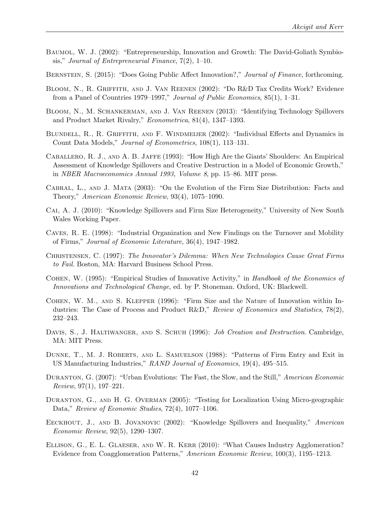- <span id="page-43-8"></span>Baumol, W. J. (2002): "Entrepreneurship, Innovation and Growth: The David-Goliath Symbiosis," Journal of Entrepreneurial Finance,  $7(2)$ , 1–10.
- <span id="page-43-11"></span>BERNSTEIN, S. (2015): "Does Going Public Affect Innovation?," Journal of Finance, forthcoming.
- <span id="page-43-15"></span>Bloom, N., R. Griffith, and J. Van Reenen (2002): "Do R&D Tax Credits Work? Evidence from a Panel of Countries 1979–1997," Journal of Public Economics, 85(1), 1–31.
- <span id="page-43-2"></span>Bloom, N., M. Schankerman, and J. Van Reenen (2013): "Identifying Technology Spillovers and Product Market Rivalry," Econometrica, 81(4), 1347–1393.
- <span id="page-43-14"></span>Blundell, R., R. Griffith, and F. Windmeijer (2002): "Individual Effects and Dynamics in Count Data Models," Journal of Econometrics, 108(1), 113–131.
- <span id="page-43-0"></span>Caballero, R. J., and A. B. Jaffe (1993): "How High Are the Giants' Shoulders: An Empirical Assessment of Knowledge Spillovers and Creative Destruction in a Model of Economic Growth," in NBER Macroeconomics Annual 1993, Volume 8, pp. 15–86. MIT press.
- <span id="page-43-3"></span>Cabral, L., and J. Mata (2003): "On the Evolution of the Firm Size Distribution: Facts and Theory," American Economic Review, 93(4), 1075–1090.
- <span id="page-43-4"></span>Cai, A. J. (2010): "Knowledge Spillovers and Firm Size Heterogeneity," University of New South Wales Working Paper.
- <span id="page-43-13"></span>Caves, R. E. (1998): "Industrial Organization and New Findings on the Turnover and Mobility of Firms," Journal of Economic Literature, 36(4), 1947–1982.
- <span id="page-43-10"></span>Christensen, C. (1997): The Innovator's Dilemma: When New Technologies Cause Great Firms to Fail. Boston, MA: Harvard Business School Press.
- <span id="page-43-5"></span>Cohen, W. (1995): "Empirical Studies of Innovative Activity," in Handbook of the Economics of Innovations and Technological Change, ed. by P. Stoneman. Oxford, UK: Blackwell.
- <span id="page-43-9"></span>Cohen, W. M., and S. Klepper (1996): "Firm Size and the Nature of Innovation within Industries: The Case of Process and Product R&D," Review of Economics and Statistics, 78(2), 232–243.
- <span id="page-43-12"></span>DAVIS, S., J. HALTIWANGER, AND S. SCHUH (1996): *Job Creation and Destruction*. Cambridge, MA: MIT Press.
- <span id="page-43-6"></span>DUNNE, T., M. J. ROBERTS, AND L. SAMUELSON (1988): "Patterns of Firm Entry and Exit in US Manufacturing Industries," RAND Journal of Economics, 19(4), 495–515.
- <span id="page-43-7"></span>Duranton, G. (2007): "Urban Evolutions: The Fast, the Slow, and the Still," American Economic  $Review, 97(1), 197-221.$
- <span id="page-43-16"></span>DURANTON, G., AND H. G. OVERMAN (2005): "Testing for Localization Using Micro-geographic Data," Review of Economic Studies, 72(4), 1077–1106.
- <span id="page-43-1"></span>EECKHOUT, J., AND B. JOVANOVIC (2002): "Knowledge Spillovers and Inequality," American Economic Review, 92(5), 1290–1307.
- <span id="page-43-17"></span>Ellison, G., E. L. Glaeser, and W. R. Kerr (2010): "What Causes Industry Agglomeration? Evidence from Coagglomeration Patterns," American Economic Review, 100(3), 1195–1213.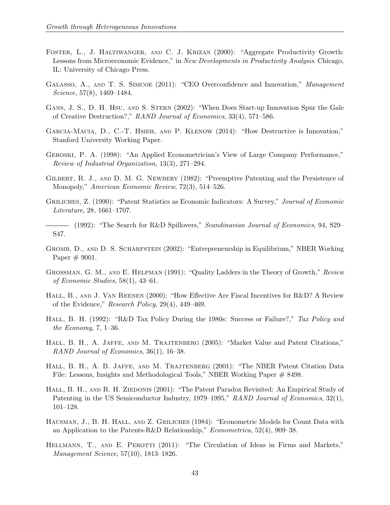- <span id="page-44-16"></span>Foster, L., J. Haltiwanger, and C. J. Krizan (2000): "Aggregate Productivity Growth: Lessons from Microeconomic Evidence," in New Developments in Productivity Analysis. Chicago, IL: University of Chicago Press.
- <span id="page-44-8"></span>GALASSO, A., AND T. S. SIMCOE (2011): "CEO Overconfidence and Innovation," Management Science, 57(8), 1469–1484.
- <span id="page-44-3"></span>GANS, J. S., D. H. HSU, AND S. STERN (2002): "When Does Start-up Innovation Spur the Gale of Creative Destruction?," RAND Journal of Economics, 33(4), 571–586.
- <span id="page-44-0"></span>Garcia-Macia, D., C.-T. Hsieh, and P. Klenow (2014): "How Destructive is Innovation," Stanford University Working Paper.
- <span id="page-44-12"></span>Geroski, P. A. (1998): "An Applied Econometrician's View of Large Company Performance," Review of Industrial Organization, 13(3), 271–294.
- <span id="page-44-4"></span>GILBERT, R. J., AND D. M. G. NEWBERY (1982): "Preemptive Patenting and the Persistence of Monopoly," American Economic Review, 72(3), 514–526.
- <span id="page-44-11"></span>GRILICHES, Z. (1990): "Patent Statistics as Economic Indicators: A Survey," Journal of Economic Literature, 28, 1661–1707.
- <span id="page-44-1"></span>(1992): "The Search for R&D Spillovers," Scandinavian Journal of Economics, 94, S29– S47.
- <span id="page-44-7"></span>Gromb, D., and D. S. Scharfstein (2002): "Entrepreneurship in Equilibrium," NBER Working Paper  $# 9001$ .
- <span id="page-44-2"></span>GROSSMAN, G. M., AND E. HELPMAN (1991): "Quality Ladders in the Theory of Growth," Review of Economic Studies, 58(1), 43–61.
- <span id="page-44-15"></span>HALL, B., AND J. VAN REENEN (2000): "How Effective Are Fiscal Incentives for R&D? A Review of the Evidence," Research Policy, 29(4), 449–469.
- <span id="page-44-14"></span>HALL, B. H. (1992): "R&D Tax Policy During the 1980s: Success or Failure?," Tax Policy and the Economy,  $7, 1-36$ .
- <span id="page-44-10"></span>HALL, B. H., A. JAFFE, AND M. TRAJTENBERG (2005): "Market Value and Patent Citations," RAND Journal of Economics, 36(1), 16–38.
- <span id="page-44-9"></span>Hall, B. H., A. B. Jaffe, and M. Trajtenberg (2001): "The NBER Patent Citation Data File: Lessons, Insights and Methodological Tools," NBER Working Paper # 8498.
- <span id="page-44-13"></span>HALL, B. H., AND R. H. ZIEDONIS (2001): "The Patent Paradox Revisited: An Empirical Study of Patenting in the US Semiconductor Industry, 1979–1995," RAND Journal of Economics, 32(1), 101–128.
- <span id="page-44-5"></span>Hausman, J., B. H. Hall, and Z. Griliches (1984): "Econometric Models for Count Data with an Application to the Patents-R&D Relationship," *Econometrica*,  $52(4)$ ,  $909-38$ .
- <span id="page-44-6"></span>HELLMANN, T., AND E. PEROTTI (2011): "The Circulation of Ideas in Firms and Markets," Management Science, 57(10), 1813–1826.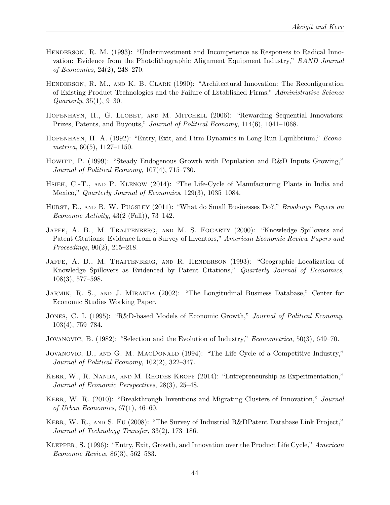- <span id="page-45-10"></span>HENDERSON, R. M. (1993): "Underinvestment and Incompetence as Responses to Radical Innovation: Evidence from the Photolithographic Alignment Equipment Industry," RAND Journal of Economics, 24(2), 248–270.
- <span id="page-45-11"></span>Henderson, R. M., and K. B. Clark (1990): "Architectural Innovation: The Reconfiguration of Existing Product Technologies and the Failure of Established Firms," Administrative Science Quarterly, 35(1), 9–30.
- <span id="page-45-3"></span>HOPENHAYN, H., G. LLOBET, AND M. MITCHELL (2006): "Rewarding Sequential Innovators: Prizes, Patents, and Buyouts," Journal of Political Economy, 114(6), 1041–1068.
- <span id="page-45-2"></span>Hopenhayn, H. A. (1992): "Entry, Exit, and Firm Dynamics in Long Run Equilibrium," Econo $metrica, 60(5), 1127-1150.$
- <span id="page-45-0"></span>HOWITT, P. (1999): "Steady Endogenous Growth with Population and R&D Inputs Growing," Journal of Political Economy, 107(4), 715–730.
- <span id="page-45-9"></span>HSIEH, C.-T., AND P. KLENOW (2014): "The Life-Cycle of Manufacturing Plants in India and Mexico," Quarterly Journal of Economics, 129(3), 1035–1084.
- <span id="page-45-12"></span>HURST, E., AND B. W. PUGSLEY (2011): "What do Small Businesses Do?," Brookings Papers on Economic Activity,  $43(2 \text{ (Fall)}), 73-142.$
- <span id="page-45-13"></span>JAFFE, A. B., M. TRAJTENBERG, AND M. S. FOGARTY (2000): "Knowledge Spillovers and Patent Citations: Evidence from a Survey of Inventors," American Economic Review Papers and Proceedings, 90(2), 215–218.
- <span id="page-45-14"></span>JAFFE, A. B., M. TRAJTENBERG, AND R. HENDERSON (1993): "Geographic Localization of Knowledge Spillovers as Evidenced by Patent Citations," Quarterly Journal of Economics, 108(3), 577–598.
- <span id="page-45-15"></span>JARMIN, R. S., AND J. MIRANDA (2002): "The Longitudinal Business Database," Center for Economic Studies Working Paper.
- <span id="page-45-1"></span>JONES, C. I. (1995): "R&D-based Models of Economic Growth," Journal of Political Economy, 103(4), 759–784.
- <span id="page-45-4"></span>JOVANOVIC, B. (1982): "Selection and the Evolution of Industry," *Econometrica*, 50(3), 649–70.
- <span id="page-45-5"></span>JOVANOVIC, B., AND G. M. MACDONALD (1994): "The Life Cycle of a Competitive Industry," Journal of Political Economy, 102(2), 322–347.
- <span id="page-45-7"></span>KERR, W., R. NANDA, AND M. RHODES-KROPF (2014): "Entrepreneurship as Experimentation," Journal of Economic Perspectives, 28(3), 25–48.
- <span id="page-45-6"></span>KERR, W. R. (2010): "Breakthrough Inventions and Migrating Clusters of Innovation," Journal of Urban Economics, 67(1), 46–60.
- <span id="page-45-16"></span>KERR, W. R., AND S. FU (2008): "The Survey of Industrial R&DPatent Database Link Project," Journal of Technology Transfer, 33(2), 173–186.
- <span id="page-45-8"></span>Klepper, S. (1996): "Entry, Exit, Growth, and Innovation over the Product Life Cycle," American Economic Review, 86(3), 562–583.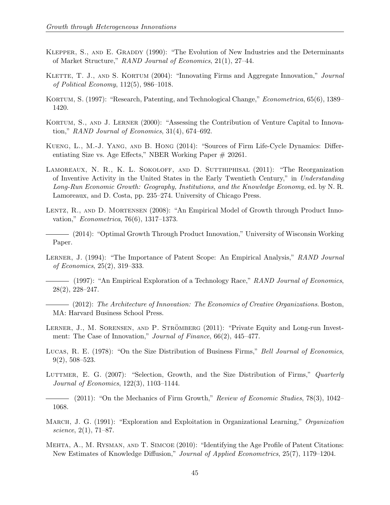- <span id="page-46-5"></span>Klepper, S., and E. Graddy (1990): "The Evolution of New Industries and the Determinants of Market Structure," RAND Journal of Economics, 21(1), 27–44.
- <span id="page-46-0"></span>KLETTE, T. J., AND S. KORTUM (2004): "Innovating Firms and Aggregate Innovation," Journal of Political Economy, 112(5), 986–1018.
- <span id="page-46-4"></span>KORTUM, S. (1997): "Research, Patenting, and Technological Change," *Econometrica*, 65(6), 1389– 1420.
- <span id="page-46-10"></span>Kortum, S., and J. Lerner (2000): "Assessing the Contribution of Venture Capital to Innovation," RAND Journal of Economics, 31(4), 674–692.
- <span id="page-46-9"></span>Kueng, L., M.-J. Yang, and B. Hong (2014): "Sources of Firm Life-Cycle Dynamics: Differentiating Size vs. Age Effects," NBER Working Paper # 20261.
- <span id="page-46-2"></span>LAMOREAUX, N. R., K. L. SOKOLOFF, AND D. SUTTHIPHISAL (2011): "The Reorganization of Inventive Activity in the United States in the Early Twentieth Century," in Understanding Long-Run Economic Growth: Geography, Institutions, and the Knowledge Economy, ed. by N. R. Lamoreaux, and D. Costa, pp. 235–274. University of Chicago Press.
- <span id="page-46-1"></span>LENTZ, R., AND D. MORTENSEN (2008): "An Empirical Model of Growth through Product Innovation," Econometrica, 76(6), 1317–1373.
- <span id="page-46-3"></span>(2014): "Optimal Growth Through Product Innovation," University of Wisconsin Working Paper.
- <span id="page-46-15"></span>LERNER, J. (1994): "The Importance of Patent Scope: An Empirical Analysis," RAND Journal of Economics, 25(2), 319–333.
- <span id="page-46-6"></span>(1997): "An Empirical Exploration of a Technology Race," RAND Journal of Economics, 28(2), 228–247.
- <span id="page-46-13"></span> $-$  (2012): The Architecture of Innovation: The Economics of Creative Organizations. Boston, MA: Harvard Business School Press.
- <span id="page-46-14"></span>LERNER, J., M. SORENSEN, AND P. STRÖMBERG (2011): "Private Equity and Long-run Investment: The Case of Innovation," Journal of Finance, 66(2), 445–477.
- <span id="page-46-11"></span>Lucas, R. E. (1978): "On the Size Distribution of Business Firms," Bell Journal of Economics, 9(2), 508–523.
- <span id="page-46-7"></span>LUTTMER, E. G. (2007): "Selection, Growth, and the Size Distribution of Firms," Quarterly Journal of Economics, 122(3), 1103–1144.
- <span id="page-46-8"></span> $-$  (2011): "On the Mechanics of Firm Growth," Review of Economic Studies, 78(3), 1042– 1068.
- <span id="page-46-12"></span>MARCH, J. G. (1991): "Exploration and Exploitation in Organizational Learning," *Organization* science, 2(1), 71–87.
- <span id="page-46-16"></span>Mehta, A., M. Rysman, and T. Simcoe (2010): "Identifying the Age Profile of Patent Citations: New Estimates of Knowledge Diffusion," Journal of Applied Econometrics, 25(7), 1179–1204.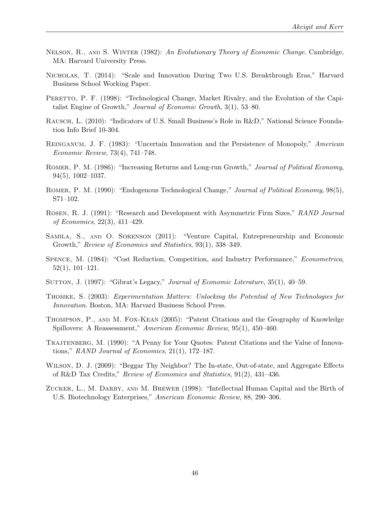- <span id="page-47-6"></span>NELSON, R., AND S. WINTER (1982): An Evolutionary Theory of Economic Change. Cambridge, MA: Harvard University Press.
- <span id="page-47-0"></span>Nicholas, T. (2014): "Scale and Innovation During Two U.S. Breakthrough Eras," Harvard Business School Working Paper.
- <span id="page-47-7"></span>PERETTO, P. F. (1998): "Technological Change, Market Rivalry, and the Evolution of the Capitalist Engine of Growth," Journal of Economic Growth, 3(1), 53–80.
- <span id="page-47-8"></span>Rausch, L. (2010): "Indicators of U.S. Small Business's Role in R&D," National Science Foundation Info Brief 10-304.
- <span id="page-47-4"></span>Reinganum, J. F. (1983): "Uncertain Innovation and the Persistence of Monopoly," American Economic Review, 73(4), 741–748.
- <span id="page-47-2"></span>ROMER, P. M. (1986): "Increasing Returns and Long-run Growth," Journal of Political Economy, 94(5), 1002–1037.
- <span id="page-47-3"></span>ROMER, P. M. (1990): "Endogenous Technological Change," Journal of Political Economy, 98(5), S71–102.
- <span id="page-47-5"></span>Rosen, R. J. (1991): "Research and Development with Asymmetric Firm Sizes," RAND Journal of Economics, 22(3), 411–429.
- <span id="page-47-9"></span>Samila, S., and O. Sorenson (2011): "Venture Capital, Entrepreneurship and Economic Growth," Review of Economics and Statistics, 93(1), 338–349.
- <span id="page-47-1"></span>Spence, M. (1984): "Cost Reduction, Competition, and Industry Performance," Econometrica, 52(1), 101–121.
- <span id="page-47-14"></span>SUTTON, J. (1997): "Gibrat's Legacy," Journal of Economic Literature, 35(1), 40–59.
- <span id="page-47-10"></span>Thomke, S. (2003): Experimentation Matters: Unlocking the Potential of New Technologies for Innovation. Boston, MA: Harvard Business School Press.
- <span id="page-47-13"></span>Thompson, P., and M. Fox-Kean (2005): "Patent Citations and the Geography of Knowledge Spillovers: A Reassessment," American Economic Review, 95(1), 450–460.
- <span id="page-47-12"></span>TRAJTENBERG, M. (1990): "A Penny for Your Quotes: Patent Citations and the Value of Innovations," RAND Journal of Economics, 21(1), 172–187.
- <span id="page-47-15"></span>Wilson, D. J. (2009): "Beggar Thy Neighbor? The In-state, Out-of-state, and Aggregate Effects of R&D Tax Credits," Review of Economics and Statistics, 91(2), 431–436.
- <span id="page-47-11"></span>Zucker, L., M. Darby, and M. Brewer (1998): "Intellectual Human Capital and the Birth of U.S. Biotechnology Enterprises," American Economic Review, 88, 290–306.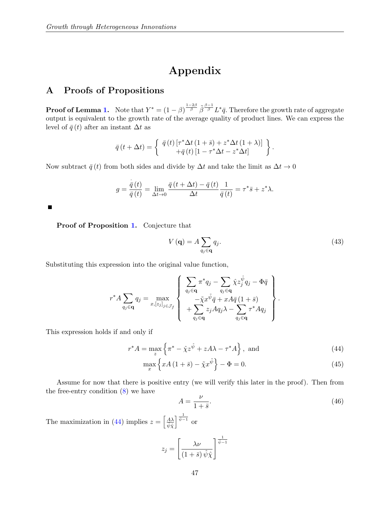# Appendix

# A Proofs of Propositions

**Proof of Lemma [1.](#page-14-3)** Note that  $Y^* = (1 - \beta)^{\frac{1-2\beta}{\beta}} \tilde{\beta}^{\frac{\beta-1}{\beta}} L^* \bar{q}$ . Therefore the growth rate of aggregate output is equivalent to the growth rate of the average quality of product lines. We can express the level of  $\bar{q}(t)$  after an instant  $\Delta t$  as

$$
\bar{q}(t+\Delta t) = \begin{cases} \bar{q}(t) \left[ \tau^* \Delta t (1+\bar{s}) + z^* \Delta t (1+\lambda) \right] \\ + \bar{q}(t) \left[ 1 - \tau^* \Delta t - z^* \Delta t \right] \end{cases}.
$$

Now subtract  $\bar{q}(t)$  from both sides and divide by  $\Delta t$  and take the limit as  $\Delta t \rightarrow 0$ 

$$
g = \frac{\overline{\dot{q}}(t)}{\overline{\dot{q}}(t)} = \lim_{\Delta t \to 0} \frac{\overline{q}(t + \Delta t) - \overline{q}(t)}{\Delta t} \frac{1}{\overline{q}(t)} = \tau^* \overline{s} + z^* \lambda.
$$

Proof of Proposition [1.](#page-15-0) Conjecture that

$$
V(\mathbf{q}) = A \sum_{q_j \in \mathbf{q}} q_j. \tag{43}
$$

<span id="page-48-1"></span><span id="page-48-0"></span>.

Substituting this expression into the original value function,

$$
r^* A \sum_{q_j \in \mathbf{q}} q_j = \max_{x, [z_j]_{j \in \mathcal{J}_f}} \left\{ \begin{array}{l} \sum_{q_j \in \mathbf{q}} \pi^* q_j - \sum_{q_j \in \mathbf{q}} \hat{\chi} z_j^{\hat{\psi}} q_j - \Phi \bar{q} \\ -\tilde{\chi} x^{\tilde{\psi}} \bar{q} + xA \bar{q} (1 + \bar{s}) \\ + \sum_{q_j \in \mathbf{q}} z_j A q_j \lambda - \sum_{q_j \in \mathbf{q}} \tau^* A q_j \end{array} \right\}
$$

This expression holds if and only if

$$
r^*A = \max_z \left\{ \pi^* - \hat{\chi} z^{\hat{\psi}} + zA\lambda - \tau^*A \right\}, \text{ and}
$$
 (44)

$$
\max_{x} \left\{ xA\left(1+\bar{s}\right) - \tilde{\chi}x^{\tilde{\psi}} \right\} - \Phi = 0. \tag{45}
$$

Assume for now that there is positive entry (we will verify this later in the proof). Then from the free-entry condition  $(8)$  we have

<span id="page-48-2"></span>
$$
A = \frac{\nu}{1 + \bar{s}}.\tag{46}
$$

The maximization in [\(44\)](#page-48-0) implies  $z = \left[\frac{A\lambda}{\hat{\psi}\hat{\chi}}\right]$  $\int \frac{1}{\hat{\psi}-1}$  or

$$
z_j = \left[\frac{\lambda \nu}{(1+\bar{s})\,\hat{\psi}\hat{\chi}}\right]^{\frac{1}{\hat{\psi}-1}}
$$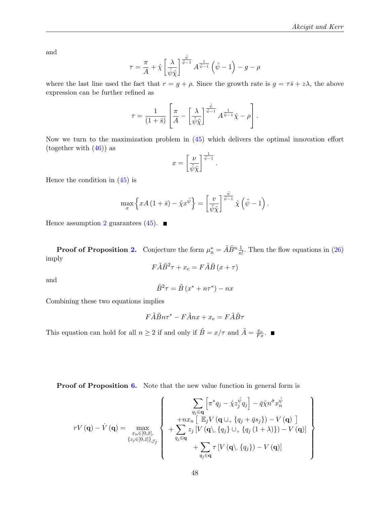and

$$
\tau = \frac{\pi}{A} + \hat{\chi} \left[ \frac{\lambda}{\hat{\psi}\hat{\chi}} \right]^{\frac{\hat{\psi}}{\hat{\psi}-1}} A^{\frac{1}{\hat{\psi}-1}} \left( \hat{\psi} - 1 \right) - g - \rho
$$

where the last line used the fact that  $r = g + \rho$ . Since the growth rate is  $g = \tau \bar{s} + z\lambda$ , the above expression can be further refined as

$$
\tau = \frac{1}{(1+\bar{s})} \left[ \frac{\pi}{A} - \left[ \frac{\lambda}{\hat{\psi}\hat{\chi}} \right]^{\frac{\hat{\psi}}{\hat{\psi}-1}} A^{\frac{1}{\hat{\psi}-1}} \hat{\chi} - \rho \right].
$$

Now we turn to the maximization problem in [\(45\)](#page-48-1) which delivers the optimal innovation effort (together with  $(46)$ ) as

$$
x = \left[\frac{\nu}{\tilde{\psi}\tilde{\chi}}\right]^{\frac{1}{\tilde{\psi}-1}}.
$$

Hence the condition in  $(45)$  is

$$
\max_{x} \left\{ xA\left(1+\bar{s}\right)-\tilde{\chi}x^{\tilde{\psi}} \right\} = \left[ \frac{v}{\tilde{\psi}\tilde{\chi}} \right]^{\frac{\tilde{\psi}}{\tilde{\psi}-1}} \tilde{\chi}\left(\tilde{\psi}-1\right).
$$

Hence assumption [2](#page-15-2) guarantees [\(45\)](#page-48-1).  $\blacksquare$ 

**Proof of Proposition [2.](#page-16-3)** Conjecture the form  $\mu_n^* = \tilde{A}\tilde{B}^n \frac{1}{n!}$ . Then the flow equations in [\(26\)](#page-16-4) imply

$$
F\tilde{A}\tilde{B}^2\tau + x_e = F\tilde{A}\tilde{B}\left(x + \tau\right)
$$

and

$$
\tilde{B}^2 \tau = \tilde{B} \left( x^* + n\tau^* \right) - nx
$$

Combining these two equations implies

$$
F\tilde{A}\tilde{B}n\tau^* - F\tilde{A}nx + x_e = F\tilde{A}\tilde{B}\tau
$$

This equation can hold for all  $n \geq 2$  if and only if  $\tilde{B} = x/\tau$  and  $\tilde{A} = \frac{x_e}{Fx}$ .

Proof of Proposition [6.](#page-20-0) Note that the new value function in general form is

$$
rV(\mathbf{q}) - \dot{V}(\mathbf{q}) = \max_{\substack{x_n \in [0,\bar{x}],\\z_j \in [0,\bar{z}] \}_{\mathcal{J}_f}} \left\{ \begin{array}{c} \left\{ \begin{array}{c} \sum_{q_j \in \mathbf{q}} \left[ \pi^* q_j - \hat{\chi} z_j^{\hat{\psi}} q_j \right] - \bar{q} \tilde{\chi} n^{\tilde{\sigma}} x_n^{\tilde{\psi}} \right. \\ \left. + nx_n \left[ \mathbb{E}_j V \left( \mathbf{q} \cup_+ \{ q_j + \bar{q} s_j \} \right) - V \left( \mathbf{q} \right) \right. \\ \left. + \sum_{q_j \in \mathbf{q}} z_j \left[ V \left( \mathbf{q} \setminus \{ q_j \} \cup_+ \{ q_j \left( 1 + \lambda \right) \} \right) - V \left( \mathbf{q} \right) \right] \\ \left. + \sum_{q_j \in \mathbf{q}} \tau \left[ V \left( \mathbf{q} \setminus \{ q_j \} \right) - V \left( \mathbf{q} \right) \right] \end{array} \right\} \end{array} \right\}
$$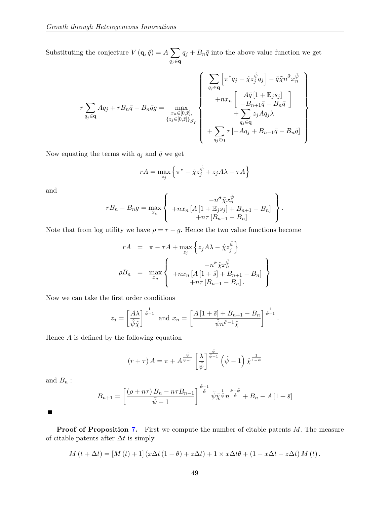Substituting the conjecture  $V(\mathbf{q}, \bar{q}) = A \sum$ qj∈q  $q_j + B_n \bar{q}$  into the above value function we get

$$
r\sum_{q_j\in\mathbf{q}}Aq_j + rB_n\bar{q} - B_n\bar{q}g = \max_{\substack{x_n\in[0,\bar{x}],\\{z_j\in[0,\bar{z}]}\}_{\mathcal{I}_f}}\left\{\begin{array}{l} \sum_{q_j\in\mathbf{q}}\left[\pi^*q_j - \hat{\chi}z_j^{\hat{\psi}}q_j\right] - \bar{q}\tilde{\chi}n^{\tilde{\sigma}}x_n^{\tilde{\psi}} \\ + nx_n\left[\begin{array}{c} A\bar{q}\left[1 + \mathbb{E}_js_j\right] \\ + B_{n+1}\bar{q} - B_n\bar{q} \end{array}\right] \\ + \sum_{q_j\in\mathbf{q}}z_jAq_j\lambda \\ + \sum_{q_j\in\mathbf{q}}\tau\left[-Aq_j + B_{n-1}\bar{q} - B_n\bar{q}\right] \end{array}\right\}
$$

Now equating the terms with  $q_j$  and  $\bar{q}$  we get

$$
rA = \max_{z_j} \left\{ \pi^* - \hat{\chi} z_j^{\hat{\psi}} + z_j A \lambda - \tau A \right\}
$$

and

$$
rB_n - B_n g = \max_{x_n} \left\{ \begin{array}{c} -n^{\tilde{\sigma}} \tilde{\chi} x_n^{\tilde{\psi}} \\ + nx_n \left[ A \left[ 1 + \mathbb{E}_j s_j \right] + B_{n+1} - B_n \right] \\ + n\tau \left[ B_{n-1} - B_n \right] \end{array} \right\}.
$$

Note that from log utility we have  $\rho = r - g$ . Hence the two value functions become

$$
rA = \pi - \tau A + \max_{z_j} \left\{ z_j A \lambda - \hat{\chi} z_j^{\hat{\psi}} \right\}
$$
  
\n
$$
\rho B_n = \max_{x_n} \left\{ \begin{array}{c} -n^{\tilde{\sigma}} \tilde{\chi} x_n^{\tilde{\psi}} \\ + n x_n \left[ A \left[ 1 + \bar{s} \right] + B_{n+1} - B_n \right] \\ + n \tau \left[ B_{n-1} - B_n \right]. \end{array} \right\}
$$

Now we can take the first order conditions

$$
z_j = \left[\frac{A\lambda}{\hat{\psi}\hat{\chi}}\right]^{\frac{1}{\hat{\psi}-1}} \text{ and } x_n = \left[\frac{A\left[1+\bar{s}\right]+B_{n+1}-B_n}{\tilde{\psi}n^{\tilde{\sigma}-1}\tilde{\chi}}\right]^{\frac{1}{\tilde{\psi}-1}}.
$$

Hence  $A$  is defined by the following equation

$$
(r+\tau) A = \pi + A^{\frac{\hat{\psi}}{\hat{\psi}-1}} \left[\frac{\lambda}{\hat{\psi}}\right]^{\frac{\hat{\psi}}{\hat{\psi}-1}} \left(\hat{\psi}-1\right) \hat{\chi}^{\frac{1}{1-\hat{\psi}}}
$$

and  $B_n$ :

$$
B_{n+1} = \left[ \frac{(\rho + n\tau) B_n - n\tau B_{n-1}}{\tilde{\psi} - 1} \right]^{\frac{\tilde{\psi} - 1}{\tilde{\psi}}} \tilde{\psi} \tilde{\chi}^{\frac{1}{\tilde{\psi}}} n^{\frac{\tilde{\sigma} - \tilde{\psi}}{\tilde{\psi}}} + B_n - A \left[ 1 + \bar{s} \right]
$$

г

Proof of Proposition [7.](#page-23-1) First we compute the number of citable patents M. The measure of citable patents after  $\Delta t$  is simply

$$
M(t + \Delta t) = [M(t) + 1] (x \Delta t (1 - \theta) + z \Delta t) + 1 \times x \Delta t \theta + (1 - x \Delta t - z \Delta t) M(t).
$$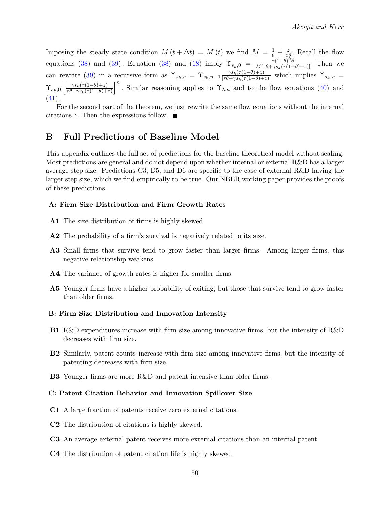Imposing the steady state condition  $M(t + \Delta t) = M(t)$  we find  $M = \frac{1}{\theta} + \frac{z}{x\theta}$ . Recall the flow equations [\(38\)](#page-22-0) and [\(39\)](#page-22-0). Equation (38) and [\(18\)](#page-13-2) imply  $\Upsilon_{s_k,0} = \frac{\tau(1-\theta)^k \theta}{M[\tau \theta + \gamma s_k(\tau(1-\theta)+z)]}$ . Then we can rewrite [\(39\)](#page-22-0) in a recursive form as  $\Upsilon_{s_k,n} = \Upsilon_{s_k,n-1} \frac{\gamma s_k(\tau(1-\theta)+z)}{[\tau\theta+\gamma s_k(\tau(1-\theta)+z)]}$  which implies  $\Upsilon_{s_k,n} =$  $\Upsilon_{s_k,0} \left[ \frac{\gamma s_k(\tau(1-\theta)+z)}{\tau \theta + \gamma s_k(\tau(1-\theta)+z)} \right]$  $\overline{\tau \theta + \gamma s_k(\tau(1-\theta)+z)}$ <sup>n</sup>. Similar reasoning applies to  $\Upsilon_{\lambda,n}$  and to the flow equations [\(40\)](#page-23-2) and  $(41)$ .

For the second part of the theorem, we just rewrite the same flow equations without the internal citations z. Then the expressions follow.  $\blacksquare$ 

# B Full Predictions of Baseline Model

This appendix outlines the full set of predictions for the baseline theoretical model without scaling. Most predictions are general and do not depend upon whether internal or external R&D has a larger average step size. Predictions C3, D5, and D6 are specific to the case of external R&D having the larger step size, which we find empirically to be true. Our NBER working paper provides the proofs of these predictions.

#### A: Firm Size Distribution and Firm Growth Rates

- A1 The size distribution of firms is highly skewed.
- A2 The probability of a firm's survival is negatively related to its size.
- A3 Small firms that survive tend to grow faster than larger firms. Among larger firms, this negative relationship weakens.
- A4 The variance of growth rates is higher for smaller firms.
- A5 Younger firms have a higher probability of exiting, but those that survive tend to grow faster than older firms.

#### B: Firm Size Distribution and Innovation Intensity

- B1 R&D expenditures increase with firm size among innovative firms, but the intensity of R&D decreases with firm size.
- B2 Similarly, patent counts increase with firm size among innovative firms, but the intensity of patenting decreases with firm size.
- B3 Younger firms are more R&D and patent intensive than older firms.

#### C: Patent Citation Behavior and Innovation Spillover Size

- C1 A large fraction of patents receive zero external citations.
- C2 The distribution of citations is highly skewed.
- C3 An average external patent receives more external citations than an internal patent.
- C4 The distribution of patent citation life is highly skewed.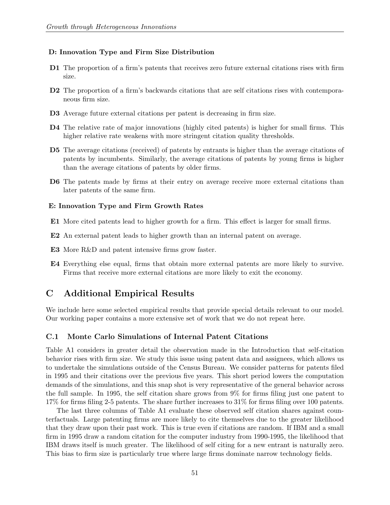#### D: Innovation Type and Firm Size Distribution

- D1 The proportion of a firm's patents that receives zero future external citations rises with firm size.
- D2 The proportion of a firm's backwards citations that are self citations rises with contemporaneous firm size.
- D3 Average future external citations per patent is decreasing in firm size.
- D4 The relative rate of major innovations (highly cited patents) is higher for small firms. This higher relative rate weakens with more stringent citation quality thresholds.
- D5 The average citations (received) of patents by entrants is higher than the average citations of patents by incumbents. Similarly, the average citations of patents by young firms is higher than the average citations of patents by older firms.
- D6 The patents made by firms at their entry on average receive more external citations than later patents of the same firm.

#### E: Innovation Type and Firm Growth Rates

- E1 More cited patents lead to higher growth for a firm. This effect is larger for small firms.
- E2 An external patent leads to higher growth than an internal patent on average.
- E3 More R&D and patent intensive firms grow faster.
- E4 Everything else equal, firms that obtain more external patents are more likely to survive. Firms that receive more external citations are more likely to exit the economy.

## C Additional Empirical Results

We include here some selected empirical results that provide special details relevant to our model. Our working paper contains a more extensive set of work that we do not repeat here.

#### C.1 Monte Carlo Simulations of Internal Patent Citations

Table A1 considers in greater detail the observation made in the Introduction that self-citation behavior rises with firm size. We study this issue using patent data and assignees, which allows us to undertake the simulations outside of the Census Bureau. We consider patterns for patents filed in 1995 and their citations over the previous five years. This short period lowers the computation demands of the simulations, and this snap shot is very representative of the general behavior across the full sample. In 1995, the self citation share grows from 9% for firms filing just one patent to 17% for firms filing 2-5 patents. The share further increases to 31% for firms filing over 100 patents.

The last three columns of Table A1 evaluate these observed self citation shares against counterfactuals. Large patenting firms are more likely to cite themselves due to the greater likelihood that they draw upon their past work. This is true even if citations are random. If IBM and a small firm in 1995 draw a random citation for the computer industry from 1990-1995, the likelihood that IBM draws itself is much greater. The likelihood of self citing for a new entrant is naturally zero. This bias to firm size is particularly true where large firms dominate narrow technology fields.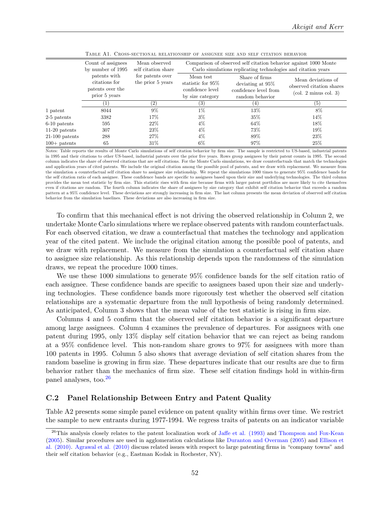|                  | Count of assignees<br>by number of 1995                            | Mean observed<br>self citation share  | Comparison of observed self citation behavior against 1000 Monte<br>Carlo simulations replicating technologies and citation years |                                                                                |                                                                                                       |  |  |
|------------------|--------------------------------------------------------------------|---------------------------------------|-----------------------------------------------------------------------------------------------------------------------------------|--------------------------------------------------------------------------------|-------------------------------------------------------------------------------------------------------|--|--|
|                  | patents with<br>citations for<br>patents over the<br>prior 5 years | for patents over<br>the prior 5 years | Mean test<br>statistic for 95\%<br>confidence level<br>by size category                                                           | Share of firms<br>deviating at 95%<br>confidence level from<br>random behavior | Mean deviations of<br>observed citation shares<br>$\left(\text{col. } 2 \text{ minus col. } 3\right)$ |  |  |
|                  |                                                                    | (2)                                   | $\left( 3\right)$                                                                                                                 | $_{(4)}$                                                                       | (5)                                                                                                   |  |  |
| 1 patent         | 8044                                                               | $9\%$                                 | $1\%$                                                                                                                             | 13%                                                                            | 8%                                                                                                    |  |  |
| $2-5$ patents    | 3382                                                               | 17%                                   | $3\%$                                                                                                                             | $35\%$                                                                         | 14%                                                                                                   |  |  |
| $6-10$ patents   | 595                                                                | $22\%$                                | $4\%$                                                                                                                             | 64%                                                                            | 18%                                                                                                   |  |  |
| $11-20$ patents  | 307                                                                | 23\%                                  | $4\%$                                                                                                                             | 73%                                                                            | 19%                                                                                                   |  |  |
| $21-100$ patents | 288                                                                | $27\%$                                | $4\%$                                                                                                                             | 89%                                                                            | 23%                                                                                                   |  |  |
| $100+$ patents   | 65                                                                 | $31\%$                                | $6\%$                                                                                                                             | 97%                                                                            | 25%                                                                                                   |  |  |

Table A1. Cross-sectional relationship of assignee size and self citation behavior

Notes: Table reports the results of Monte Carlo simulations of self citation behavior by firm size. The sample is restricted to US-based, industrial patents in 1995 and their citations to other US-based, industrial patents over the prior Öve years. Rows group assignees by their patent counts in 1995. The second column indicates the share of observed citations that are self citations. For the Monte Carlo simulations, we draw counterfactuals that match the technologies and application years of cited patents. We include the original citation among the possible pool of patents, and we draw with replacement. We measure from the simulation a counterfactual self citation share to assignee size relationship. We repeat the simulations 1000 times to generate 95% confidence bands for the self citation ratio of each assignee. These confidence bands are specific to assignees based upon their size and underlying technologies. The third column provides the mean test statistic by Örm size. This statistic rises with Örm size because Örms with larger patent portfolios are more likely to cite themselves even if citations are random. The fourth column indicates the share of assignees by size category that exhibit self citation behavior that exceeds a random pattern at a 95% confidence level. These deviations are strongly increasing in firm size. The last column presents the mean deviation of observed self citation behavior from the simulation baselines. These deviations are also increasing in firm size.

To confirm that this mechanical effect is not driving the observed relationship in Column 2, we undertake Monte Carlo simulations where we replace observed patents with random counterfactuals. For each observed citation, we draw a counterfactual that matches the technology and application year of the cited patent. We include the original citation among the possible pool of patents, and we draw with replacement. We measure from the simulation a counterfactual self citation share to assignee size relationship. As this relationship depends upon the randomness of the simulation draws, we repeat the procedure 1000 times.

We use these 1000 simulations to generate 95% confidence bands for the self citation ratio of each assignee. These confidence bands are specific to assignees based upon their size and underlying technologies. These confidence bands more rigorously test whether the observed self citation relationships are a systematic departure from the null hypothesis of being randomly determined. As anticipated, Column 3 shows that the mean value of the test statistic is rising in firm size.

Columns 4 and 5 confirm that the observed self citation behavior is a significant departure among large assignees. Column 4 examines the prevalence of departures. For assignees with one patent during 1995, only 13% display self citation behavior that we can reject as being random at a 95% confidence level. This non-random share grows to 97% for assignees with more than 100 patents in 1995. Column 5 also shows that average deviation of self citation shares from the random baseline is growing in firm size. These departures indicate that our results are due to firm behavior rather than the mechanics of firm size. These self citation findings hold in within-firm panel analyses, too.[26](#page-53-0)

#### C.2 Panel Relationship Between Entry and Patent Quality

Table A2 presents some simple panel evidence on patent quality within firms over time. We restrict the sample to new entrants during 1977-1994. We regress traits of patents on an indicator variable

<span id="page-53-0"></span><sup>&</sup>lt;sup>26</sup>This analysis closely relates to the patent localization work of [Jaffe et al. \(1993\)](#page-45-14) and [Thompson and Fox-Kean](#page-47-13) [\(2005\)](#page-47-13). Similar procedures are used in agglomeration calculations like [Duranton and Overman](#page-43-16) [\(2005\)](#page-43-16) and [Ellison et](#page-43-17) [al. \(2010\).](#page-43-17) [Agrawal et al. \(2010\)](#page-42-16) discuss related issues with respect to large patenting firms in "company towns" and their self citation behavior (e.g., Eastman Kodak in Rochester, NY).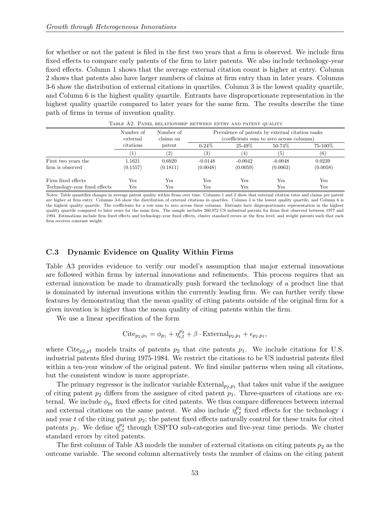for whether or not the patent is filed in the first two years that a firm is observed. We include firm fixed effects to compare early patents of the firm to later patents. We also include technology-year fixed effects. Column 1 shows that the average external citation count is higher at entry. Column 2 shows that patents also have larger numbers of claims at firm entry than in later years. Columns 3-6 show the distribution of external citations in quartiles. Column 3 is the lowest quality quartile, and Column 6 is the highest quality quartile. Entrants have disproportionate representation in the highest quality quartile compared to later years for the same firm. The results describe the time path of firms in terms of invention quality.

|                               | Number of<br>external<br>citations | Number of<br>claims on<br>patent | Prevalence of patents by external citation ranks<br>(coefficients sum to zero across columns) |             |           |          |
|-------------------------------|------------------------------------|----------------------------------|-----------------------------------------------------------------------------------------------|-------------|-----------|----------|
|                               |                                    |                                  | $0 - 24\%$                                                                                    | $25 - 49\%$ | 50-74%    | 75-100%  |
|                               |                                    | (2)                              | $\left( 3\right)$                                                                             | (4)         | (5)       | (6)      |
| First two years the           | 1.1621                             | 0.6920                           | $-0.0148$                                                                                     | $-0.0042$   | $-0.0048$ | 0.0239   |
| firm is observed              | (0.1557)                           | (0.1811)                         | (0.0048)                                                                                      | (0.0059)    | (0.0063)  | (0.0058) |
| Firm fixed effects            | Yes                                | Yes                              | Yes                                                                                           | Yes         | Yes       | Yes      |
| Technology-year fixed effects | Yes                                | Yes                              | Yes                                                                                           | Yes         | Yes       | Yes      |

Table A2. Panel relationship between entry and patent quality

Notes: Table quantifies changes in average patent quality within firms over time. Columns 1 and 2 show that external citation rates and claims per patent are higher at firm entry. Columns 3-6 show the distribution of external citations in quartiles. Column 3 is the lowest quality quartile, and Column 6 is the highest quality quartile. The coefficients for a row sum to zero across these columns. Entrants have disproportionate representation in the highest quality quartile compared to later years for the same firm. The sample includes 260,972 US industrial patents for firms first observed between 1977 and 1994. Estimations include firm fixed effects and technology-year fixed effects, cluster standard errors at the firm level, and weight patents such that each firm receives constant weight.

#### C.3 Dynamic Evidence on Quality Within Firms

Table A3 provides evidence to verify our model's assumption that major external innovations are followed within firms by internal innovations and refinements. This process requires that an external innovation be made to dramatically push forward the technology of a product line that is dominated by internal inventions within the currently leading firm. We can further verify these features by demonstrating that the mean quality of citing patents outside of the original firm for a given invention is higher than the mean quality of citing patents within the firm.

We use a linear specification of the form

Cite<sub>p2,p1</sub> = 
$$
\phi_{p1} + \eta_{i,t}^{p2} + \beta \cdot \text{External}_{p_2,p_1} + \epsilon_{p_2,p_1},
$$

where Cite<sub>p2,p1</sub> models traits of patents  $p_2$  that cite patents  $p_1$ . We include citations for U.S. industrial patents filed during 1975-1984. We restrict the citations to be US industrial patents filed within a ten-year window of the original patent. We find similar patterns when using all citations, but the consistent window is more appropriate.

The primary regressor is the indicator variable  $\text{External}_{p_2, p_1}$  that takes unit value if the assignee of citing patent  $p_2$  differs from the assignee of cited patent  $p_1$ . Three-quarters of citations are external. We include  $\phi_{p_1}$  fixed effects for cited patents. We thus compare differences between internal and external citations on the same patent. We also include  $\eta_{i,t}^{p_2}$  fixed effects for the technology i and year t of the citing patent  $p_2$ ; the patent fixed effects naturally control for these traits for cited patents  $p_1$ . We define  $\eta_{i,t}^{p_2}$  through USPTO sub-categories and five-year time periods. We cluster standard errors by cited patents.

The first column of Table A3 models the number of external citations on citing patents  $p_2$  as the outcome variable. The second column alternatively tests the number of claims on the citing patent